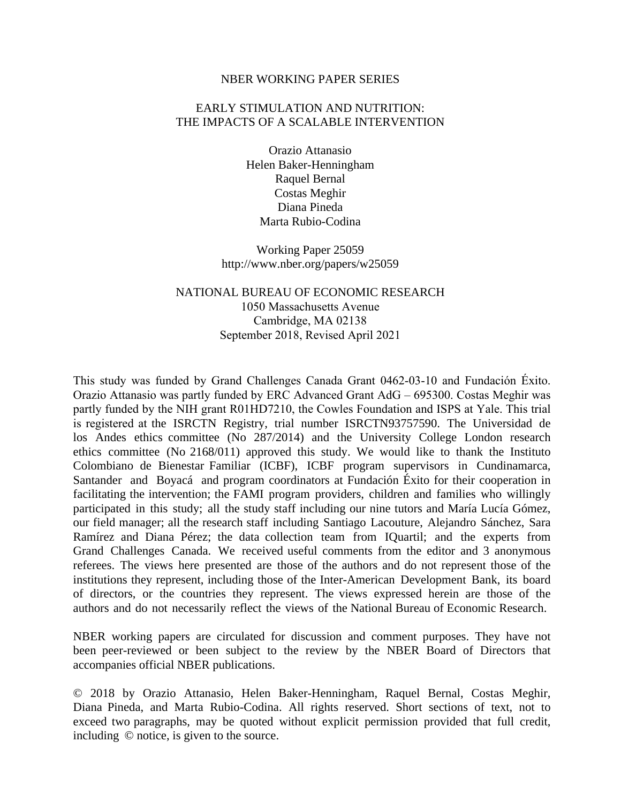### NBER WORKING PAPER SERIES

### EARLY STIMULATION AND NUTRITION: THE IMPACTS OF A SCALABLE INTERVENTION

Orazio Attanasio Helen Baker-Henningham Raquel Bernal Costas Meghir Diana Pineda Marta Rubio-Codina

Working Paper 25059 http://www.nber.org/papers/w25059

NATIONAL BUREAU OF ECONOMIC RESEARCH 1050 Massachusetts Avenue Cambridge, MA 02138 September 2018, Revised April 2021

This study was funded by Grand Challenges Canada Grant 0462-03-10 and Fundación Éxito. Orazio Attanasio was partly funded by ERC Advanced Grant AdG – 695300. Costas Meghir was partly funded by the NIH grant R01HD7210, the Cowles Foundation and ISPS at Yale. This trial is registered at the ISRCTN Registry, trial number ISRCTN93757590. The Universidad de los Andes ethics committee (No 287/2014) and the University College London research ethics committee (No 2168/011) approved this study. We would like to thank the Instituto Colombiano de Bienestar Familiar (ICBF), ICBF program supervisors in Cundinamarca, Santander and Boyacá and program coordinators at Fundación Éxito for their cooperation in facilitating the intervention; the FAMI program providers, children and families who willingly participated in this study; all the study staff including our nine tutors and María Lucía Gómez, our field manager; all the research staff including Santiago Lacouture, Alejandro Sánchez, Sara Ramírez and Diana Pérez; the data collection team from IQuartil; and the experts from Grand Challenges Canada. We received useful comments from the editor and 3 anonymous referees. The views here presented are those of the authors and do not represent those of the institutions they represent, including those of the Inter-American Development Bank, its board of directors, or the countries they represent. The views expressed herein are those of the authors and do not necessarily reflect the views of the National Bureau of Economic Research.

NBER working papers are circulated for discussion and comment purposes. They have not been peer-reviewed or been subject to the review by the NBER Board of Directors that accompanies official NBER publications.

© 2018 by Orazio Attanasio, Helen Baker-Henningham, Raquel Bernal, Costas Meghir, Diana Pineda, and Marta Rubio-Codina. All rights reserved. Short sections of text, not to exceed two paragraphs, may be quoted without explicit permission provided that full credit, including © notice, is given to the source.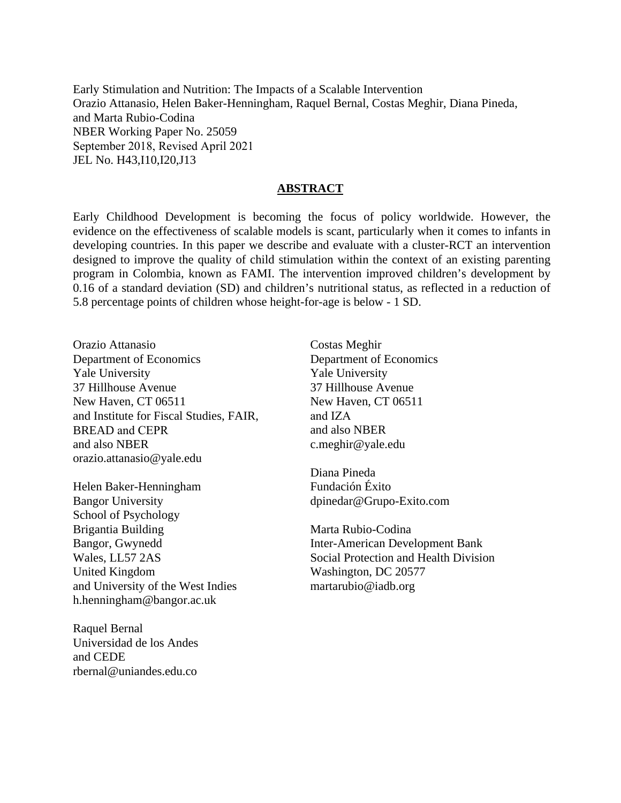Early Stimulation and Nutrition: The Impacts of a Scalable Intervention Orazio Attanasio, Helen Baker-Henningham, Raquel Bernal, Costas Meghir, Diana Pineda, and Marta Rubio-Codina NBER Working Paper No. 25059 September 2018, Revised April 2021 JEL No. H43,I10,I20,J13

### **ABSTRACT**

Early Childhood Development is becoming the focus of policy worldwide. However, the evidence on the effectiveness of scalable models is scant, particularly when it comes to infants in developing countries. In this paper we describe and evaluate with a cluster-RCT an intervention designed to improve the quality of child stimulation within the context of an existing parenting program in Colombia, known as FAMI. The intervention improved children's development by 0.16 of a standard deviation (SD) and children's nutritional status, as reflected in a reduction of 5.8 percentage points of children whose height-for-age is below - 1 SD.

Orazio Attanasio Department of Economics Yale University 37 Hillhouse Avenue New Haven, CT 06511 and also NBER orazio.attanasio@yale.edu and Institute for Fiscal Studies, FAIR, and IZA BREAD and CEPR and also NBER

Helen Baker-Henningham Bangor University School of Psychology Brigantia Building Bangor, Gwynedd Wales, LL57 2AS United Kingdom and University of the West Indies h.henningham@bangor.ac.uk

Raquel Bernal Universidad de los Andes and CEDE rbernal@uniandes.edu.co

Costas Meghir Department of Economics Yale University 37 Hillhouse Avenue New Haven, CT 06511 c.meghir@yale.edu

Diana Pineda Fundación Éxito dpinedar@Grupo-Exito.com

Marta Rubio-Codina Inter-American Development Bank Social Protection and Health Division Washington, DC 20577 martarubio@iadb.org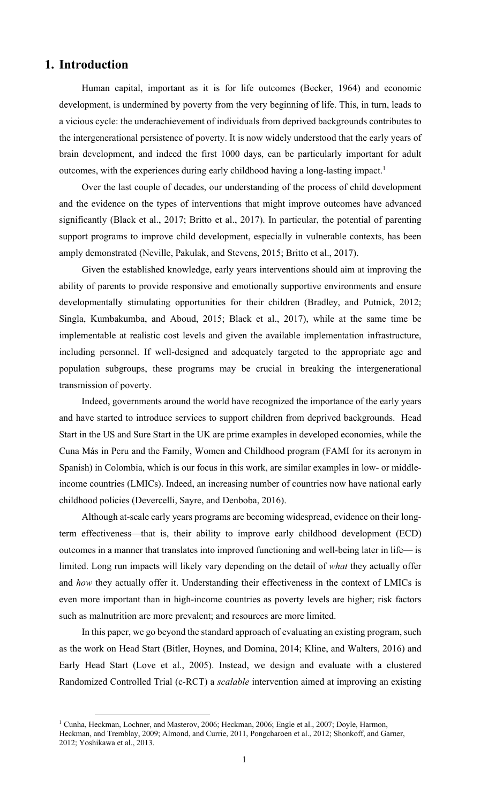# **1. Introduction**

Human capital, important as it is for life outcomes (Becker, 1964) and economic development, is undermined by poverty from the very beginning of life. This, in turn, leads to a vicious cycle: the underachievement of individuals from deprived backgrounds contributes to the intergenerational persistence of poverty. It is now widely understood that the early years of brain development, and indeed the first 1000 days, can be particularly important for adult outcomes, with the experiences during early childhood having a long-lasting impact. 1

Over the last couple of decades, our understanding of the process of child development and the evidence on the types of interventions that might improve outcomes have advanced significantly (Black et al., 2017; Britto et al., 2017). In particular, the potential of parenting support programs to improve child development, especially in vulnerable contexts, has been amply demonstrated (Neville, Pakulak, and Stevens, 2015; Britto et al., 2017).

Given the established knowledge, early years interventions should aim at improving the ability of parents to provide responsive and emotionally supportive environments and ensure developmentally stimulating opportunities for their children (Bradley, and Putnick, 2012; Singla, Kumbakumba, and Aboud, 2015; Black et al., 2017), while at the same time be implementable at realistic cost levels and given the available implementation infrastructure, including personnel. If well-designed and adequately targeted to the appropriate age and population subgroups, these programs may be crucial in breaking the intergenerational transmission of poverty.

Indeed, governments around the world have recognized the importance of the early years and have started to introduce services to support children from deprived backgrounds. Head Start in the US and Sure Start in the UK are prime examples in developed economies, while the Cuna Más in Peru and the Family, Women and Childhood program (FAMI for its acronym in Spanish) in Colombia, which is our focus in this work, are similar examples in low- or middleincome countries (LMICs). Indeed, an increasing number of countries now have national early childhood policies (Devercelli, Sayre, and Denboba, 2016).

Although at-scale early years programs are becoming widespread, evidence on their longterm effectiveness—that is, their ability to improve early childhood development (ECD) outcomes in a manner that translates into improved functioning and well-being later in life— is limited. Long run impacts will likely vary depending on the detail of *what* they actually offer and *how* they actually offer it. Understanding their effectiveness in the context of LMICs is even more important than in high-income countries as poverty levels are higher; risk factors such as malnutrition are more prevalent; and resources are more limited.

In this paper, we go beyond the standard approach of evaluating an existing program, such as the work on Head Start (Bitler, Hoynes, and Domina, 2014; Kline, and Walters, 2016) and Early Head Start (Love et al., 2005). Instead, we design and evaluate with a clustered Randomized Controlled Trial (c-RCT) a *scalable* intervention aimed at improving an existing

<sup>&</sup>lt;sup>1</sup> Cunha, Heckman, Lochner, and Masterov, 2006; Heckman, 2006; Engle et al., 2007; Doyle, Harmon, Heckman, and Tremblay, 2009; Almond, and Currie, 2011, Pongcharoen et al., 2012; Shonkoff, and Garner, 2012; Yoshikawa et al., 2013.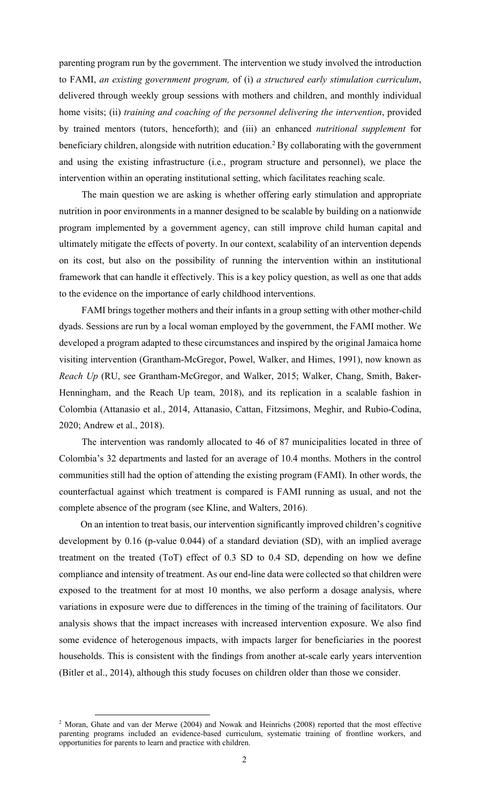parenting program run by the government. The intervention we study involved the introduction to FAMI, *an existing government program,* of (i) *a structured early stimulation curriculum*, delivered through weekly group sessions with mothers and children, and monthly individual home visits; (ii) *training and coaching of the personnel delivering the intervention*, provided by trained mentors (tutors, henceforth); and (iii) an enhanced *nutritional supplement* for beneficiary children, alongside with nutrition education.<sup>2</sup> By collaborating with the government and using the existing infrastructure (i.e., program structure and personnel), we place the intervention within an operating institutional setting, which facilitates reaching scale.

The main question we are asking is whether offering early stimulation and appropriate nutrition in poor environments in a manner designed to be scalable by building on a nationwide program implemented by a government agency, can still improve child human capital and ultimately mitigate the effects of poverty. In our context, scalability of an intervention depends on its cost, but also on the possibility of running the intervention within an institutional framework that can handle it effectively. This is a key policy question, as well as one that adds to the evidence on the importance of early childhood interventions.

FAMI brings together mothers and their infants in a group setting with other mother-child dyads. Sessions are run by a local woman employed by the government, the FAMI mother. We developed a program adapted to these circumstances and inspired by the original Jamaica home visiting intervention (Grantham-McGregor, Powel, Walker, and Himes, 1991), now known as *Reach Up* (RU, see Grantham-McGregor, and Walker, 2015; Walker, Chang, Smith, Baker-Henningham, and the Reach Up team, 2018), and its replication in a scalable fashion in Colombia (Attanasio et al., 2014, Attanasio, Cattan, Fitzsimons, Meghir, and Rubio-Codina, 2020; Andrew et al., 2018).

The intervention was randomly allocated to 46 of 87 municipalities located in three of Colombia's 32 departments and lasted for an average of 10.4 months. Mothers in the control communities still had the option of attending the existing program (FAMI). In other words, the counterfactual against which treatment is compared is FAMI running as usual, and not the complete absence of the program (see Kline, and Walters, 2016).

 On an intention to treat basis, our intervention significantly improved children's cognitive development by 0.16 (p-value 0.044) of a standard deviation (SD), with an implied average treatment on the treated (ToT) effect of 0.3 SD to 0.4 SD, depending on how we define compliance and intensity of treatment. As our end-line data were collected so that children were exposed to the treatment for at most 10 months, we also perform a dosage analysis, where variations in exposure were due to differences in the timing of the training of facilitators. Our analysis shows that the impact increases with increased intervention exposure. We also find some evidence of heterogenous impacts, with impacts larger for beneficiaries in the poorest households. This is consistent with the findings from another at-scale early years intervention (Bitler et al., 2014), although this study focuses on children older than those we consider.

<sup>2</sup> Moran, Ghate and van der Merwe (2004) and Nowak and Heinrichs (2008) reported that the most effective parenting programs included an evidence-based curriculum, systematic training of frontline workers, and opportunities for parents to learn and practice with children.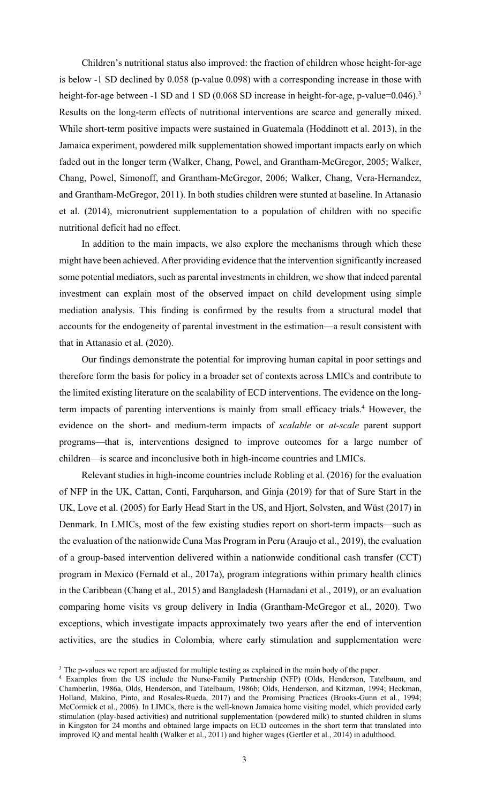Children's nutritional status also improved: the fraction of children whose height-for-age is below -1 SD declined by 0.058 (p-value 0.098) with a corresponding increase in those with height-for-age between -1 SD and 1 SD (0.068 SD increase in height-for-age, p-value=0.046).<sup>3</sup> Results on the long-term effects of nutritional interventions are scarce and generally mixed. While short-term positive impacts were sustained in Guatemala (Hoddinott et al. 2013), in the Jamaica experiment, powdered milk supplementation showed important impacts early on which faded out in the longer term (Walker, Chang, Powel, and Grantham-McGregor, 2005; Walker, Chang, Powel, Simonoff, and Grantham-McGregor, 2006; Walker, Chang, Vera-Hernandez, and Grantham-McGregor, 2011). In both studies children were stunted at baseline. In Attanasio et al. (2014), micronutrient supplementation to a population of children with no specific nutritional deficit had no effect.

In addition to the main impacts, we also explore the mechanisms through which these might have been achieved. After providing evidence that the intervention significantly increased some potential mediators, such as parental investments in children, we show that indeed parental investment can explain most of the observed impact on child development using simple mediation analysis. This finding is confirmed by the results from a structural model that accounts for the endogeneity of parental investment in the estimation—a result consistent with that in Attanasio et al. (2020).

Our findings demonstrate the potential for improving human capital in poor settings and therefore form the basis for policy in a broader set of contexts across LMICs and contribute to the limited existing literature on the scalability of ECD interventions. The evidence on the longterm impacts of parenting interventions is mainly from small efficacy trials. <sup>4</sup> However, the evidence on the short- and medium-term impacts of *scalable* or *at-scale* parent support programs—that is, interventions designed to improve outcomes for a large number of children—is scarce and inconclusive both in high-income countries and LMICs.

Relevant studies in high-income countries include Robling et al. (2016) for the evaluation of NFP in the UK, Cattan, Conti, Farquharson, and Ginja (2019) for that of Sure Start in the UK, Love et al. (2005) for Early Head Start in the US, and Hjort, Solvsten, and Wüst (2017) in Denmark. In LMICs, most of the few existing studies report on short-term impacts—such as the evaluation of the nationwide Cuna Mas Program in Peru (Araujo et al., 2019), the evaluation of a group-based intervention delivered within a nationwide conditional cash transfer (CCT) program in Mexico (Fernald et al., 2017a), program integrations within primary health clinics in the Caribbean (Chang et al., 2015) and Bangladesh (Hamadani et al., 2019), or an evaluation comparing home visits vs group delivery in India (Grantham-McGregor et al., 2020). Two exceptions, which investigate impacts approximately two years after the end of intervention activities, are the studies in Colombia, where early stimulation and supplementation were

<sup>&</sup>lt;sup>3</sup> The p-values we report are adjusted for multiple testing as explained in the main body of the paper.

<sup>&</sup>lt;sup>4</sup> Examples from the US include the Nurse-Family Partnership (NFP) (Olds, Henderson, Tatelbaum, and Chamberlin, 1986a, Olds, Henderson, and Tatelbaum, 1986b; Olds, Henderson, and Kitzman, 1994; Heckman, Holland, Makino, Pinto, and Rosales-Rueda, 2017) and the Promising Practices (Brooks-Gunn et al., 1994; McCormick et al., 2006). In LIMCs, there is the well-known Jamaica home visiting model, which provided early stimulation (play-based activities) and nutritional supplementation (powdered milk) to stunted children in slums in Kingston for 24 months and obtained large impacts on ECD outcomes in the short term that translated into improved IQ and mental health (Walker et al., 2011) and higher wages (Gertler et al., 2014) in adulthood.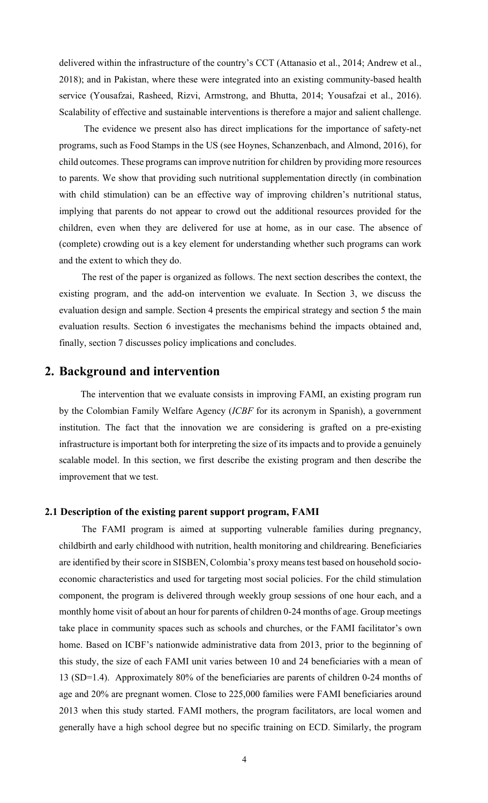delivered within the infrastructure of the country's CCT (Attanasio et al., 2014; Andrew et al., 2018); and in Pakistan, where these were integrated into an existing community-based health service (Yousafzai, Rasheed, Rizvi, Armstrong, and Bhutta, 2014; Yousafzai et al., 2016). Scalability of effective and sustainable interventions is therefore a major and salient challenge.

The evidence we present also has direct implications for the importance of safety-net programs, such as Food Stamps in the US (see Hoynes, Schanzenbach, and Almond, 2016), for child outcomes. These programs can improve nutrition for children by providing more resources to parents. We show that providing such nutritional supplementation directly (in combination with child stimulation) can be an effective way of improving children's nutritional status, implying that parents do not appear to crowd out the additional resources provided for the children, even when they are delivered for use at home, as in our case. The absence of (complete) crowding out is a key element for understanding whether such programs can work and the extent to which they do.

The rest of the paper is organized as follows. The next section describes the context, the existing program, and the add-on intervention we evaluate. In Section 3, we discuss the evaluation design and sample. Section 4 presents the empirical strategy and section 5 the main evaluation results. Section 6 investigates the mechanisms behind the impacts obtained and, finally, section 7 discusses policy implications and concludes.

# **2. Background and intervention**

The intervention that we evaluate consists in improving FAMI, an existing program run by the Colombian Family Welfare Agency (*ICBF* for its acronym in Spanish), a government institution. The fact that the innovation we are considering is grafted on a pre-existing infrastructure is important both for interpreting the size of its impacts and to provide a genuinely scalable model. In this section, we first describe the existing program and then describe the improvement that we test.

### **2.1 Description of the existing parent support program, FAMI**

The FAMI program is aimed at supporting vulnerable families during pregnancy, childbirth and early childhood with nutrition, health monitoring and childrearing. Beneficiaries are identified by their score in SISBEN, Colombia's proxy means test based on household socioeconomic characteristics and used for targeting most social policies. For the child stimulation component, the program is delivered through weekly group sessions of one hour each, and a monthly home visit of about an hour for parents of children 0-24 months of age. Group meetings take place in community spaces such as schools and churches, or the FAMI facilitator's own home. Based on ICBF's nationwide administrative data from 2013, prior to the beginning of this study, the size of each FAMI unit varies between 10 and 24 beneficiaries with a mean of 13 (SD=1.4). Approximately 80% of the beneficiaries are parents of children 0-24 months of age and 20% are pregnant women. Close to 225,000 families were FAMI beneficiaries around 2013 when this study started. FAMI mothers, the program facilitators, are local women and generally have a high school degree but no specific training on ECD. Similarly, the program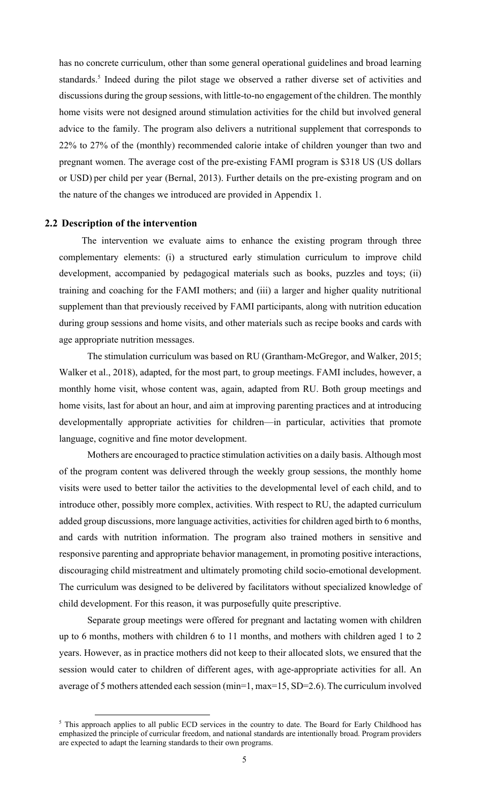has no concrete curriculum, other than some general operational guidelines and broad learning standards. <sup>5</sup> Indeed during the pilot stage we observed a rather diverse set of activities and discussions during the group sessions, with little-to-no engagement of the children. The monthly home visits were not designed around stimulation activities for the child but involved general advice to the family. The program also delivers a nutritional supplement that corresponds to 22% to 27% of the (monthly) recommended calorie intake of children younger than two and pregnant women. The average cost of the pre-existing FAMI program is \$318 US (US dollars or USD) per child per year (Bernal, 2013). Further details on the pre-existing program and on the nature of the changes we introduced are provided in Appendix 1.

### **2.2 Description of the intervention**

The intervention we evaluate aims to enhance the existing program through three complementary elements: (i) a structured early stimulation curriculum to improve child development, accompanied by pedagogical materials such as books, puzzles and toys; (ii) training and coaching for the FAMI mothers; and (iii) a larger and higher quality nutritional supplement than that previously received by FAMI participants, along with nutrition education during group sessions and home visits, and other materials such as recipe books and cards with age appropriate nutrition messages.

The stimulation curriculum was based on RU (Grantham-McGregor, and Walker, 2015; Walker et al., 2018), adapted, for the most part, to group meetings. FAMI includes, however, a monthly home visit, whose content was, again, adapted from RU. Both group meetings and home visits, last for about an hour, and aim at improving parenting practices and at introducing developmentally appropriate activities for children—in particular, activities that promote language, cognitive and fine motor development.

Mothers are encouraged to practice stimulation activities on a daily basis. Although most of the program content was delivered through the weekly group sessions, the monthly home visits were used to better tailor the activities to the developmental level of each child, and to introduce other, possibly more complex, activities. With respect to RU, the adapted curriculum added group discussions, more language activities, activities for children aged birth to 6 months, and cards with nutrition information. The program also trained mothers in sensitive and responsive parenting and appropriate behavior management, in promoting positive interactions, discouraging child mistreatment and ultimately promoting child socio-emotional development. The curriculum was designed to be delivered by facilitators without specialized knowledge of child development. For this reason, it was purposefully quite prescriptive.

Separate group meetings were offered for pregnant and lactating women with children up to 6 months, mothers with children 6 to 11 months, and mothers with children aged 1 to 2 years. However, as in practice mothers did not keep to their allocated slots, we ensured that the session would cater to children of different ages, with age-appropriate activities for all. An average of 5 mothers attended each session (min=1, max=15, SD=2.6).The curriculum involved

<sup>&</sup>lt;sup>5</sup> This approach applies to all public ECD services in the country to date. The Board for Early Childhood has emphasized the principle of curricular freedom, and national standards are intentionally broad. Program providers are expected to adapt the learning standards to their own programs.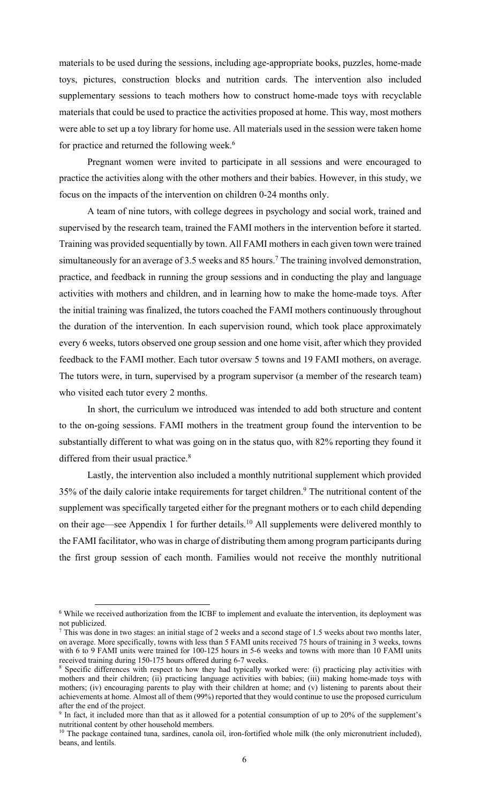materials to be used during the sessions, including age-appropriate books, puzzles, home-made toys, pictures, construction blocks and nutrition cards. The intervention also included supplementary sessions to teach mothers how to construct home-made toys with recyclable materials that could be used to practice the activities proposed at home. This way, most mothers were able to set up a toy library for home use. All materials used in the session were taken home for practice and returned the following week. 6

Pregnant women were invited to participate in all sessions and were encouraged to practice the activities along with the other mothers and their babies. However, in this study, we focus on the impacts of the intervention on children 0-24 months only.

A team of nine tutors, with college degrees in psychology and social work, trained and supervised by the research team, trained the FAMI mothers in the intervention before it started. Training was provided sequentially by town. All FAMI mothers in each given town were trained simultaneously for an average of 3.5 weeks and 85 hours.<sup>7</sup> The training involved demonstration, practice, and feedback in running the group sessions and in conducting the play and language activities with mothers and children, and in learning how to make the home-made toys. After the initial training was finalized, the tutors coached the FAMI mothers continuously throughout the duration of the intervention. In each supervision round, which took place approximately every 6 weeks, tutors observed one group session and one home visit, after which they provided feedback to the FAMI mother. Each tutor oversaw 5 towns and 19 FAMI mothers, on average. The tutors were, in turn, supervised by a program supervisor (a member of the research team) who visited each tutor every 2 months.

In short, the curriculum we introduced was intended to add both structure and content to the on-going sessions. FAMI mothers in the treatment group found the intervention to be substantially different to what was going on in the status quo, with 82% reporting they found it differed from their usual practice.<sup>8</sup>

Lastly, the intervention also included a monthly nutritional supplement which provided 35% of the daily calorie intake requirements for target children. <sup>9</sup> The nutritional content of the supplement was specifically targeted either for the pregnant mothers or to each child depending on their age—see Appendix 1 for further details.<sup>10</sup> All supplements were delivered monthly to the FAMI facilitator, who was in charge of distributing them among program participants during the first group session of each month. Families would not receive the monthly nutritional

<sup>&</sup>lt;sup>6</sup> While we received authorization from the ICBF to implement and evaluate the intervention, its deployment was not publicized.

 $7$  This was done in two stages: an initial stage of 2 weeks and a second stage of 1.5 weeks about two months later, on average. More specifically, towns with less than 5 FAMI units received 75 hours of training in 3 weeks, towns with 6 to 9 FAMI units were trained for 100-125 hours in 5-6 weeks and towns with more than 10 FAMI units received training during 150-175 hours offered during 6-7 weeks.

<sup>&</sup>lt;sup>8</sup> Specific differences with respect to how they had typically worked were: (i) practicing play activities with mothers and their children; (ii) practicing language activities with babies; (iii) making home-made toys with mothers; (iv) encouraging parents to play with their children at home; and (v) listening to parents about their achievements at home. Almost all of them (99%) reported that they would continue to use the proposed curriculum after the end of the project.

<sup>&</sup>lt;sup>9</sup> In fact, it included more than that as it allowed for a potential consumption of up to 20% of the supplement's nutritional content by other household members.

<sup>&</sup>lt;sup>10</sup> The package contained tuna, sardines, canola oil, iron-fortified whole milk (the only micronutrient included), beans, and lentils.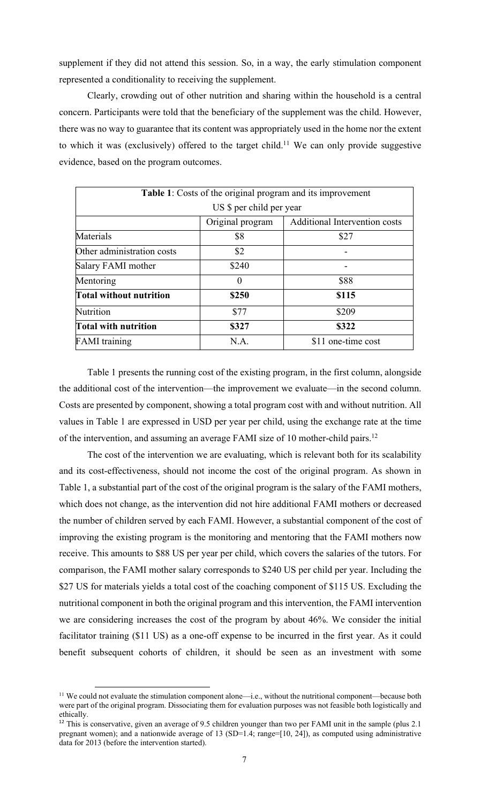supplement if they did not attend this session. So, in a way, the early stimulation component represented a conditionality to receiving the supplement.

Clearly, crowding out of other nutrition and sharing within the household is a central concern. Participants were told that the beneficiary of the supplement was the child. However, there was no way to guarantee that its content was appropriately used in the home nor the extent to which it was (exclusively) offered to the target child.<sup>11</sup> We can only provide suggestive evidence, based on the program outcomes.

| Table 1: Costs of the original program and its improvement |                          |                                      |  |  |  |  |  |  |
|------------------------------------------------------------|--------------------------|--------------------------------------|--|--|--|--|--|--|
|                                                            | US \$ per child per year |                                      |  |  |  |  |  |  |
|                                                            | Original program         | <b>Additional Intervention costs</b> |  |  |  |  |  |  |
| Materials                                                  | \$8                      | \$27                                 |  |  |  |  |  |  |
| Other administration costs                                 | \$2                      |                                      |  |  |  |  |  |  |
| Salary FAMI mother                                         | \$240                    |                                      |  |  |  |  |  |  |
| Mentoring                                                  | $\theta$                 | \$88                                 |  |  |  |  |  |  |
| <b>Total without nutrition</b>                             | \$250                    | \$115                                |  |  |  |  |  |  |
| Nutrition                                                  | \$77                     | \$209                                |  |  |  |  |  |  |
| <b>Total with nutrition</b>                                | \$327                    | \$322                                |  |  |  |  |  |  |
| <b>FAMI</b> training                                       | N.A.                     | \$11 one-time cost                   |  |  |  |  |  |  |

Table 1 presents the running cost of the existing program, in the first column, alongside the additional cost of the intervention—the improvement we evaluate—in the second column. Costs are presented by component, showing a total program cost with and without nutrition. All values in Table 1 are expressed in USD per year per child, using the exchange rate at the time of the intervention, and assuming an average FAMI size of 10 mother-child pairs.<sup>12</sup>

The cost of the intervention we are evaluating, which is relevant both for its scalability and its cost-effectiveness, should not income the cost of the original program. As shown in Table 1, a substantial part of the cost of the original program is the salary of the FAMI mothers, which does not change, as the intervention did not hire additional FAMI mothers or decreased the number of children served by each FAMI. However, a substantial component of the cost of improving the existing program is the monitoring and mentoring that the FAMI mothers now receive. This amounts to \$88 US per year per child, which covers the salaries of the tutors. For comparison, the FAMI mother salary corresponds to \$240 US per child per year. Including the \$27 US for materials yields a total cost of the coaching component of \$115 US. Excluding the nutritional component in both the original program and this intervention, the FAMI intervention we are considering increases the cost of the program by about 46%. We consider the initial facilitator training (\$11 US) as a one-off expense to be incurred in the first year. As it could benefit subsequent cohorts of children, it should be seen as an investment with some

<sup>&</sup>lt;sup>11</sup> We could not evaluate the stimulation component alone—i.e., without the nutritional component—because both were part of the original program. Dissociating them for evaluation purposes was not feasible both logistically and ethically.

<sup>&</sup>lt;sup>12</sup> This is conservative, given an average of 9.5 children younger than two per FAMI unit in the sample (plus 2.1 pregnant women); and a nationwide average of 13 (SD=1.4; range=[10, 24]), as computed using administrative data for 2013 (before the intervention started).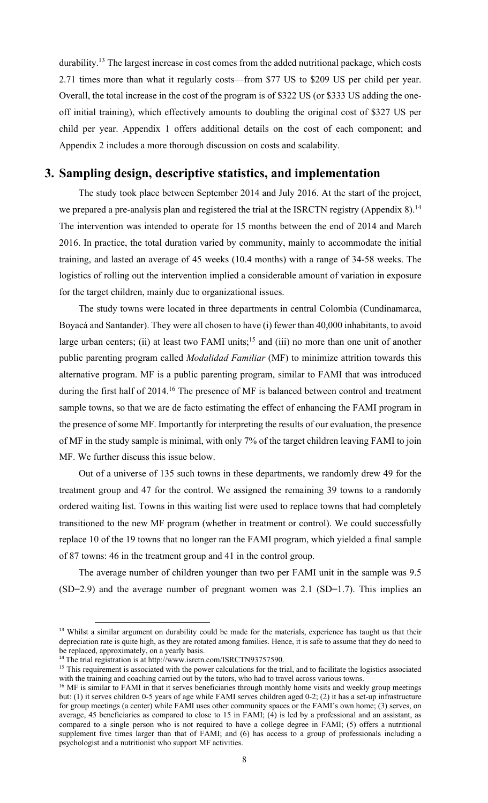durability.<sup>13</sup> The largest increase in cost comes from the added nutritional package, which costs 2.71 times more than what it regularly costs—from \$77 US to \$209 US per child per year. Overall, the total increase in the cost of the program is of \$322 US (or \$333 US adding the oneoff initial training), which effectively amounts to doubling the original cost of \$327 US per child per year. Appendix 1 offers additional details on the cost of each component; and Appendix 2 includes a more thorough discussion on costs and scalability.

# **3. Sampling design, descriptive statistics, and implementation**

The study took place between September 2014 and July 2016. At the start of the project, we prepared a pre-analysis plan and registered the trial at the ISRCTN registry (Appendix 8).<sup>14</sup> The intervention was intended to operate for 15 months between the end of 2014 and March 2016. In practice, the total duration varied by community, mainly to accommodate the initial training, and lasted an average of 45 weeks (10.4 months) with a range of 34-58 weeks. The logistics of rolling out the intervention implied a considerable amount of variation in exposure for the target children, mainly due to organizational issues.

The study towns were located in three departments in central Colombia (Cundinamarca, Boyacá and Santander). They were all chosen to have (i) fewer than 40,000 inhabitants, to avoid large urban centers; (ii) at least two FAMI units;<sup>15</sup> and (iii) no more than one unit of another public parenting program called *Modalidad Familiar* (MF) to minimize attrition towards this alternative program. MF is a public parenting program, similar to FAMI that was introduced during the first half of 2014.<sup>16</sup> The presence of MF is balanced between control and treatment sample towns, so that we are de facto estimating the effect of enhancing the FAMI program in the presence of some MF. Importantly for interpreting the results of our evaluation, the presence of MF in the study sample is minimal, with only 7% of the target children leaving FAMI to join MF. We further discuss this issue below.

Out of a universe of 135 such towns in these departments, we randomly drew 49 for the treatment group and 47 for the control. We assigned the remaining 39 towns to a randomly ordered waiting list. Towns in this waiting list were used to replace towns that had completely transitioned to the new MF program (whether in treatment or control). We could successfully replace 10 of the 19 towns that no longer ran the FAMI program, which yielded a final sample of 87 towns: 46 in the treatment group and 41 in the control group.

The average number of children younger than two per FAMI unit in the sample was 9.5  $(SD=2.9)$  and the average number of pregnant women was 2.1  $(SD=1.7)$ . This implies an

<sup>&</sup>lt;sup>13</sup> Whilst a similar argument on durability could be made for the materials, experience has taught us that their depreciation rate is quite high, as they are rotated among families. Hence, it is safe to assume that they do need to be replaced, approximately, on a yearly basis.

<sup>&</sup>lt;sup>14</sup> The trial registration is at http://www.isrctn.com/ISRCTN93757590.

<sup>&</sup>lt;sup>15</sup> This requirement is associated with the power calculations for the trial, and to facilitate the logistics associated with the training and coaching carried out by the tutors, who had to travel across various towns.

<sup>&</sup>lt;sup>16</sup> MF is similar to FAMI in that it serves beneficiaries through monthly home visits and weekly group meetings but: (1) it serves children 0-5 years of age while FAMI serves children aged 0-2; (2) it has a set-up infrastructure for group meetings (a center) while FAMI uses other community spaces or the FAMI's own home; (3) serves, on average, 45 beneficiaries as compared to close to 15 in FAMI; (4) is led by a professional and an assistant, as compared to a single person who is not required to have a college degree in FAMI; (5) offers a nutritional supplement five times larger than that of FAMI; and (6) has access to a group of professionals including a psychologist and a nutritionist who support MF activities.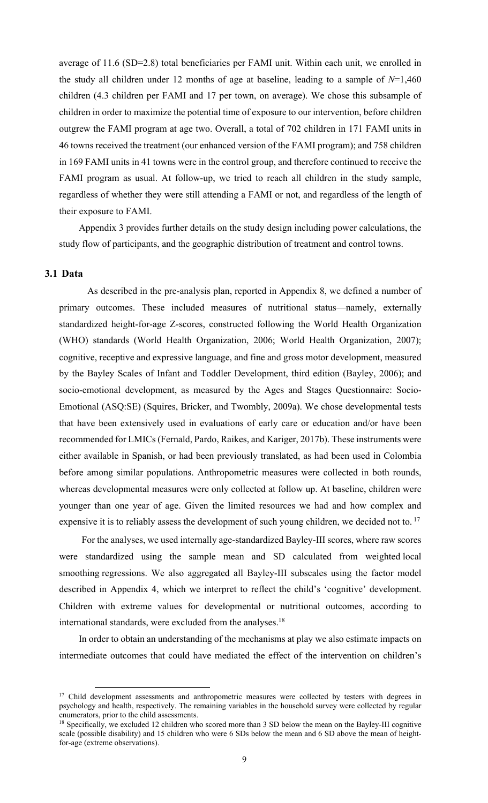average of 11.6 (SD=2.8) total beneficiaries per FAMI unit. Within each unit, we enrolled in the study all children under 12 months of age at baseline, leading to a sample of *N*=1,460 children (4.3 children per FAMI and 17 per town, on average). We chose this subsample of children in order to maximize the potential time of exposure to our intervention, before children outgrew the FAMI program at age two. Overall, a total of 702 children in 171 FAMI units in 46 towns received the treatment (our enhanced version of the FAMI program); and 758 children in 169 FAMI units in 41 towns were in the control group, and therefore continued to receive the FAMI program as usual. At follow-up, we tried to reach all children in the study sample, regardless of whether they were still attending a FAMI or not, and regardless of the length of their exposure to FAMI.

Appendix 3 provides further details on the study design including power calculations, the study flow of participants, and the geographic distribution of treatment and control towns.

### **3.1 Data**

As described in the pre-analysis plan, reported in Appendix 8, we defined a number of primary outcomes. These included measures of nutritional status—namely, externally standardized height-for-age Z-scores, constructed following the World Health Organization (WHO) standards (World Health Organization, 2006; World Health Organization, 2007); cognitive, receptive and expressive language, and fine and gross motor development, measured by the Bayley Scales of Infant and Toddler Development, third edition (Bayley, 2006); and socio-emotional development, as measured by the Ages and Stages Questionnaire: Socio-Emotional (ASQ:SE) (Squires, Bricker, and Twombly, 2009a). We chose developmental tests that have been extensively used in evaluations of early care or education and/or have been recommended for LMICs(Fernald, Pardo, Raikes, and Kariger, 2017b). These instruments were either available in Spanish, or had been previously translated, as had been used in Colombia before among similar populations. Anthropometric measures were collected in both rounds, whereas developmental measures were only collected at follow up. At baseline, children were younger than one year of age. Given the limited resources we had and how complex and expensive it is to reliably assess the development of such young children, we decided not to.<sup>17</sup>

For the analyses, we used internally age-standardized Bayley-III scores, where raw scores were standardized using the sample mean and SD calculated from weighted local smoothing regressions. We also aggregated all Bayley-III subscales using the factor model described in Appendix 4, which we interpret to reflect the child's 'cognitive' development. Children with extreme values for developmental or nutritional outcomes, according to international standards, were excluded from the analyses.<sup>18</sup>

In order to obtain an understanding of the mechanisms at play we also estimate impacts on intermediate outcomes that could have mediated the effect of the intervention on children's

<sup>&</sup>lt;sup>17</sup> Child development assessments and anthropometric measures were collected by testers with degrees in psychology and health, respectively. The remaining variables in the household survey were collected by regular enumerators, prior to the child assessments.

<sup>&</sup>lt;sup>18</sup> Specifically, we excluded 12 children who scored more than 3 SD below the mean on the Bayley-III cognitive scale (possible disability) and 15 children who were 6 SDs below the mean and 6 SD above the mean of heightfor-age (extreme observations).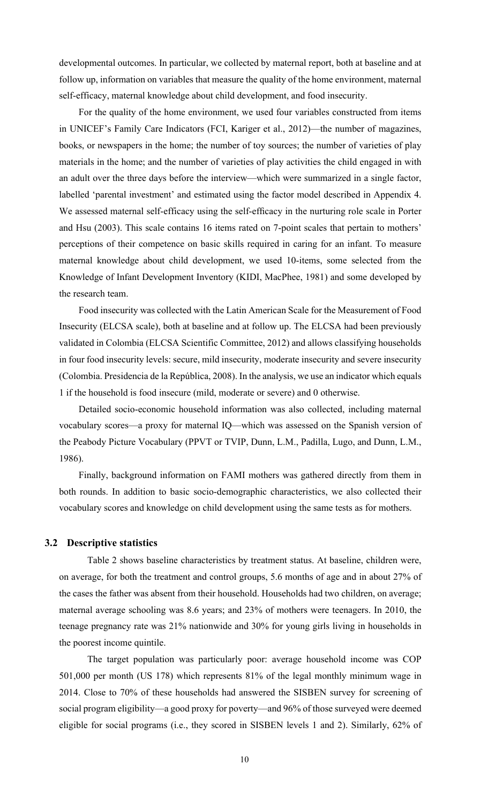developmental outcomes. In particular, we collected by maternal report, both at baseline and at follow up, information on variables that measure the quality of the home environment, maternal self-efficacy, maternal knowledge about child development, and food insecurity.

For the quality of the home environment, we used four variables constructed from items in UNICEF's Family Care Indicators (FCI, Kariger et al., 2012)—the number of magazines, books, or newspapers in the home; the number of toy sources; the number of varieties of play materials in the home; and the number of varieties of play activities the child engaged in with an adult over the three days before the interview—which were summarized in a single factor, labelled 'parental investment' and estimated using the factor model described in Appendix 4. We assessed maternal self-efficacy using the self-efficacy in the nurturing role scale in Porter and Hsu (2003). This scale contains 16 items rated on 7-point scales that pertain to mothers' perceptions of their competence on basic skills required in caring for an infant. To measure maternal knowledge about child development, we used 10-items, some selected from the Knowledge of Infant Development Inventory (KIDI, MacPhee, 1981) and some developed by the research team.

Food insecurity was collected with the Latin American Scale for the Measurement of Food Insecurity (ELCSA scale), both at baseline and at follow up. The ELCSA had been previously validated in Colombia (ELCSA Scientific Committee, 2012) and allows classifying households in four food insecurity levels: secure, mild insecurity, moderate insecurity and severe insecurity (Colombia. Presidencia de la República, 2008). In the analysis, we use an indicator which equals 1 if the household is food insecure (mild, moderate or severe) and 0 otherwise.

Detailed socio-economic household information was also collected, including maternal vocabulary scores—a proxy for maternal IQ—which was assessed on the Spanish version of the Peabody Picture Vocabulary (PPVT or TVIP, Dunn, L.M., Padilla, Lugo, and Dunn, L.M., 1986).

Finally, background information on FAMI mothers was gathered directly from them in both rounds. In addition to basic socio-demographic characteristics, we also collected their vocabulary scores and knowledge on child development using the same tests as for mothers.

### **3.2 Descriptive statistics**

Table 2 shows baseline characteristics by treatment status. At baseline, children were, on average, for both the treatment and control groups, 5.6 months of age and in about 27% of the cases the father was absent from their household. Households had two children, on average; maternal average schooling was 8.6 years; and 23% of mothers were teenagers. In 2010, the teenage pregnancy rate was 21% nationwide and 30% for young girls living in households in the poorest income quintile.

The target population was particularly poor: average household income was COP 501,000 per month (US 178) which represents 81% of the legal monthly minimum wage in 2014. Close to 70% of these households had answered the SISBEN survey for screening of social program eligibility—a good proxy for poverty—and 96% of those surveyed were deemed eligible for social programs (i.e., they scored in SISBEN levels 1 and 2). Similarly, 62% of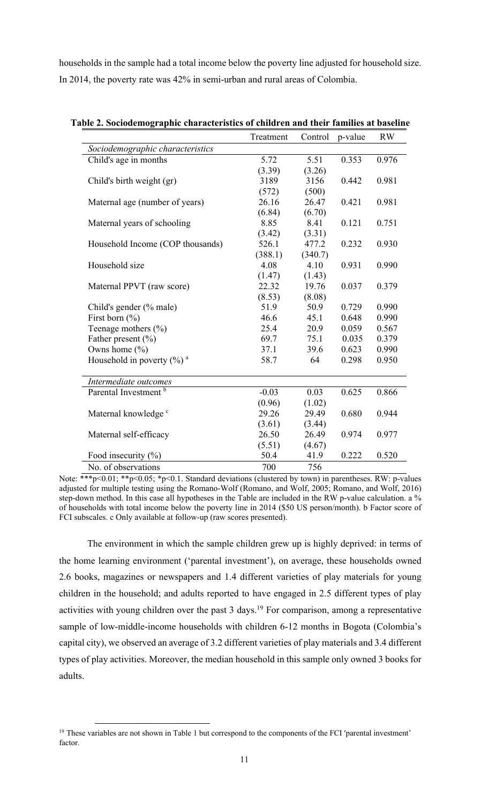households in the sample had a total income below the poverty line adjusted for household size. In 2014, the poverty rate was 42% in semi-urban and rural areas of Colombia.

|                                          | Treatment | Control | p-value | <b>RW</b> |
|------------------------------------------|-----------|---------|---------|-----------|
| Sociodemographic characteristics         |           |         |         |           |
| Child's age in months                    | 5.72      | 5.51    | 0.353   | 0.976     |
|                                          | (3.39)    | (3.26)  |         |           |
| Child's birth weight (gr)                | 3189      | 3156    | 0.442   | 0.981     |
|                                          | (572)     | (500)   |         |           |
| Maternal age (number of years)           | 26.16     | 26.47   | 0.421   | 0.981     |
|                                          | (6.84)    | (6.70)  |         |           |
| Maternal years of schooling              | 8.85      | 8.41    | 0.121   | 0.751     |
|                                          | (3.42)    | (3.31)  |         |           |
| Household Income (COP thousands)         | 526.1     | 477.2   | 0.232   | 0.930     |
|                                          | (388.1)   | (340.7) |         |           |
| Household size                           | 4.08      | 4.10    | 0.931   | 0.990     |
|                                          | (1.47)    | (1.43)  |         |           |
| Maternal PPVT (raw score)                | 22.32     | 19.76   | 0.037   | 0.379     |
|                                          | (8.53)    | (8.08)  |         |           |
| Child's gender (% male)                  | 51.9      | 50.9    | 0.729   | 0.990     |
| First born $(\% )$                       | 46.6      | 45.1    | 0.648   | 0.990     |
| Teenage mothers $(\% )$                  | 25.4      | 20.9    | 0.059   | 0.567     |
| Father present (%)                       | 69.7      | 75.1    | 0.035   | 0.379     |
| Owns home (%)                            | 37.1      | 39.6    | 0.623   | 0.990     |
| Household in poverty $(\%)$ <sup>a</sup> | 58.7      | 64      | 0.298   | 0.950     |
| Intermediate outcomes                    |           |         |         |           |
| Parental Investment <sup>b</sup>         | $-0.03$   | 0.03    | 0.625   | 0.866     |
|                                          | (0.96)    | (1.02)  |         |           |
| Maternal knowledge <sup>c</sup>          | 29.26     | 29.49   | 0.680   | 0.944     |
|                                          | (3.61)    | (3.44)  |         |           |
| Maternal self-efficacy                   | 26.50     | 26.49   | 0.974   | 0.977     |
|                                          | (5.51)    | (4.67)  |         |           |
| Food insecurity (%)                      | 50.4      | 41.9    | 0.222   | 0.520     |
| No. of observations                      | 700       | 756     |         |           |

**Table 2. Sociodemographic characteristics of children and their families at baseline** 

Note: \*\*\*p<0.01; \*\*p<0.05; \*p<0.1. Standard deviations (clustered by town) in parentheses. RW: p-values adjusted for multiple testing using the Romano-Wolf (Romano, and Wolf, 2005; Romano, and Wolf, 2016) step-down method. In this case all hypotheses in the Table are included in the RW p-value calculation. a % of households with total income below the poverty line in 2014 (\$50 US person/month). b Factor score of FCI subscales. c Only available at follow-up (raw scores presented).

The environment in which the sample children grew up is highly deprived: in terms of the home learning environment ('parental investment'), on average, these households owned 2.6 books, magazines or newspapers and 1.4 different varieties of play materials for young children in the household; and adults reported to have engaged in 2.5 different types of play activities with young children over the past  $3$  days.<sup>19</sup> For comparison, among a representative sample of low-middle-income households with children 6-12 months in Bogota (Colombia's capital city), we observed an average of 3.2 different varieties of play materials and 3.4 different types of play activities. Moreover, the median household in this sample only owned 3 books for adults.

<sup>&</sup>lt;sup>19</sup> These variables are not shown in Table 1 but correspond to the components of the FCI 'parental investment' factor.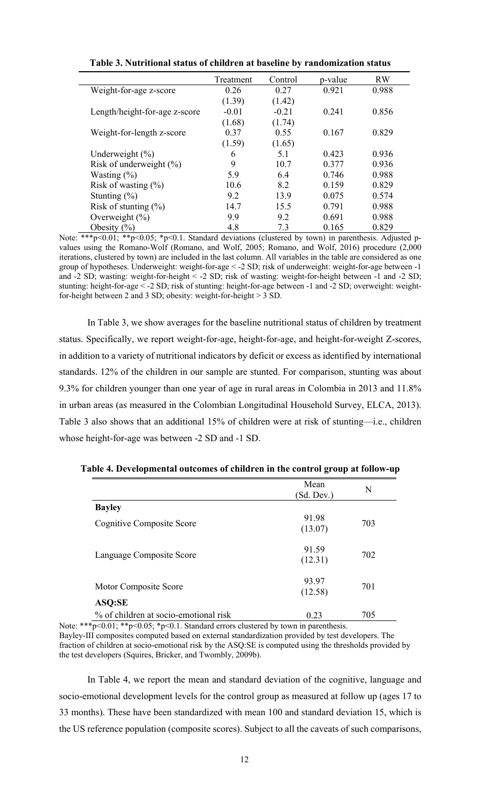|                               | Treatment | Control | p-value | <b>RW</b> |
|-------------------------------|-----------|---------|---------|-----------|
| Weight-for-age z-score        | 0.26      | 0.27    | 0.921   | 0.988     |
|                               | (1.39)    | (1.42)  |         |           |
| Length/height-for-age z-score | $-0.01$   | $-0.21$ | 0.241   | 0.856     |
|                               | (1.68)    | (1.74)  |         |           |
| Weight-for-length z-score     | 0.37      | 0.55    | 0.167   | 0.829     |
|                               | (1.59)    | (1.65)  |         |           |
| Underweight $(\% )$           | 6         | 5.1     | 0.423   | 0.936     |
| Risk of underweight $(\% )$   | 9         | 10.7    | 0.377   | 0.936     |
| Wasting $(\% )$               | 5.9       | 6.4     | 0.746   | 0.988     |
| Risk of wasting $(\%)$        | 10.6      | 8.2     | 0.159   | 0.829     |
| Stunting $(\%)$               | 9.2       | 13.9    | 0.075   | 0.574     |
| Risk of stunting $(\%)$       | 14.7      | 15.5    | 0.791   | 0.988     |
| Overweight $(\% )$            | 9.9       | 9.2     | 0.691   | 0.988     |
| Obesity $(\% )$               | 4.8       | 7.3     | 0.165   | 0.829     |

**Table 3. Nutritional status of children at baseline by randomization status**

Note: \*\*\*p<0.01; \*\*p<0.05; \*p<0.1. Standard deviations (clustered by town) in parenthesis. Adjusted pvalues using the Romano-Wolf (Romano, and Wolf, 2005; Romano, and Wolf, 2016) procedure (2,000 iterations, clustered by town) are included in the last column. All variables in the table are considered as one group of hypotheses. Underweight: weight-for-age < -2 SD; risk of underweight: weight-for-age between -1 and -2 SD; wasting: weight-for-height < -2 SD; risk of wasting: weight-for-height between -1 and -2 SD; stunting: height-for-age < -2 SD; risk of stunting: height-for-age between -1 and -2 SD; overweight: weightfor-height between 2 and 3 SD; obesity: weight-for-height > 3 SD.

In Table 3, we show averages for the baseline nutritional status of children by treatment status. Specifically, we report weight-for-age, height-for-age, and height-for-weight Z-scores, in addition to a variety of nutritional indicators by deficit or excess as identified by international standards. 12% of the children in our sample are stunted. For comparison, stunting was about 9.3% for children younger than one year of age in rural areas in Colombia in 2013 and 11.8% in urban areas (as measured in the Colombian Longitudinal Household Survey, ELCA, 2013). Table 3 also shows that an additional 15% of children were at risk of stunting—i.e., children whose height-for-age was between -2 SD and -1 SD.

|                                       | Mean<br>(Sd. Dev.) | N   |
|---------------------------------------|--------------------|-----|
| <b>Bayley</b>                         |                    |     |
| Cognitive Composite Score             | 91.98<br>(13.07)   | 703 |
| Language Composite Score              | 91.59<br>(12.31)   | 702 |
| Motor Composite Score                 | 93.97<br>(12.58)   | 701 |
| ASQ:SE                                |                    |     |
| % of children at socio-emotional risk | 0.23               | 705 |

**Table 4. Developmental outcomes of children in the control group at follow-up**

Note: \*\*\*p<0.01; \*\*p<0.05; \*p<0.1. Standard errors clustered by town in parenthesis. Bayley-III composites computed based on external standardization provided by test developers. The fraction of children at socio-emotional risk by the ASQ:SE is computed using the thresholds provided by the test developers (Squires, Bricker, and Twombly, 2009b).

In Table 4, we report the mean and standard deviation of the cognitive, language and socio-emotional development levels for the control group as measured at follow up (ages 17 to 33 months). These have been standardized with mean 100 and standard deviation 15, which is the US reference population (composite scores). Subject to all the caveats of such comparisons,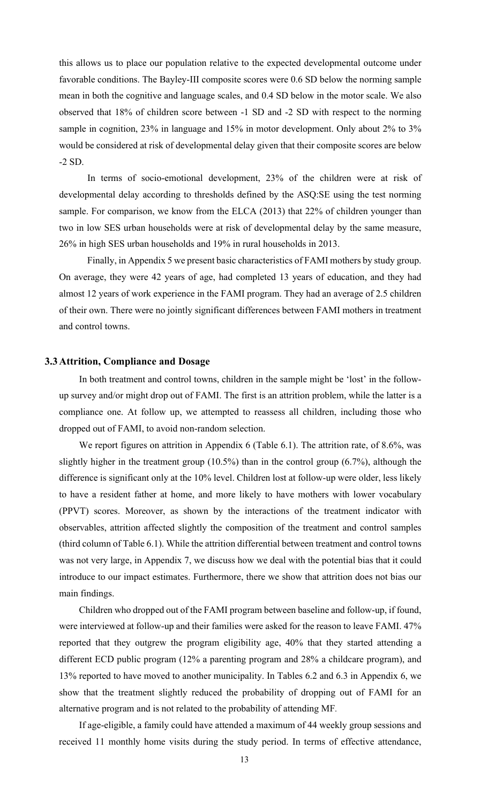this allows us to place our population relative to the expected developmental outcome under favorable conditions. The Bayley-III composite scores were 0.6 SD below the norming sample mean in both the cognitive and language scales, and 0.4 SD below in the motor scale. We also observed that 18% of children score between -1 SD and -2 SD with respect to the norming sample in cognition, 23% in language and 15% in motor development. Only about 2% to 3% would be considered at risk of developmental delay given that their composite scores are below -2 SD.

In terms of socio-emotional development, 23% of the children were at risk of developmental delay according to thresholds defined by the ASQ:SE using the test norming sample. For comparison, we know from the ELCA (2013) that 22% of children younger than two in low SES urban households were at risk of developmental delay by the same measure, 26% in high SES urban households and 19% in rural households in 2013.

Finally, in Appendix 5 we present basic characteristics of FAMI mothers by study group. On average, they were 42 years of age, had completed 13 years of education, and they had almost 12 years of work experience in the FAMI program. They had an average of 2.5 children of their own. There were no jointly significant differences between FAMI mothers in treatment and control towns.

### **3.3Attrition, Compliance and Dosage**

In both treatment and control towns, children in the sample might be 'lost' in the followup survey and/or might drop out of FAMI. The first is an attrition problem, while the latter is a compliance one. At follow up, we attempted to reassess all children, including those who dropped out of FAMI, to avoid non-random selection.

We report figures on attrition in Appendix 6 (Table 6.1). The attrition rate, of 8.6%, was slightly higher in the treatment group (10.5%) than in the control group (6.7%), although the difference is significant only at the 10% level. Children lost at follow-up were older, less likely to have a resident father at home, and more likely to have mothers with lower vocabulary (PPVT) scores. Moreover, as shown by the interactions of the treatment indicator with observables, attrition affected slightly the composition of the treatment and control samples (third column of Table 6.1). While the attrition differential between treatment and control towns was not very large, in Appendix 7, we discuss how we deal with the potential bias that it could introduce to our impact estimates. Furthermore, there we show that attrition does not bias our main findings.

Children who dropped out of the FAMI program between baseline and follow-up, if found, were interviewed at follow-up and their families were asked for the reason to leave FAMI. 47% reported that they outgrew the program eligibility age, 40% that they started attending a different ECD public program (12% a parenting program and 28% a childcare program), and 13% reported to have moved to another municipality. In Tables 6.2 and 6.3 in Appendix 6, we show that the treatment slightly reduced the probability of dropping out of FAMI for an alternative program and is not related to the probability of attending MF*.*

If age-eligible, a family could have attended a maximum of 44 weekly group sessions and received 11 monthly home visits during the study period. In terms of effective attendance,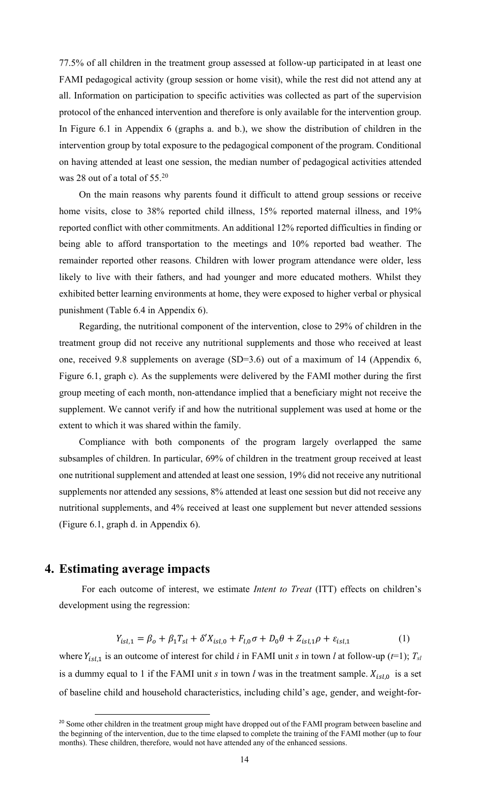77.5% of all children in the treatment group assessed at follow-up participated in at least one FAMI pedagogical activity (group session or home visit), while the rest did not attend any at all. Information on participation to specific activities was collected as part of the supervision protocol of the enhanced intervention and therefore is only available for the intervention group. In Figure 6.1 in Appendix 6 (graphs a. and b.), we show the distribution of children in the intervention group by total exposure to the pedagogical component of the program. Conditional on having attended at least one session, the median number of pedagogical activities attended was 28 out of a total of 55.20

On the main reasons why parents found it difficult to attend group sessions or receive home visits, close to 38% reported child illness, 15% reported maternal illness, and 19% reported conflict with other commitments. An additional 12% reported difficulties in finding or being able to afford transportation to the meetings and 10% reported bad weather. The remainder reported other reasons. Children with lower program attendance were older, less likely to live with their fathers, and had younger and more educated mothers. Whilst they exhibited better learning environments at home, they were exposed to higher verbal or physical punishment (Table 6.4 in Appendix 6).

Regarding, the nutritional component of the intervention, close to 29% of children in the treatment group did not receive any nutritional supplements and those who received at least one, received 9.8 supplements on average (SD=3.6) out of a maximum of 14 (Appendix 6, Figure 6.1, graph c). As the supplements were delivered by the FAMI mother during the first group meeting of each month, non-attendance implied that a beneficiary might not receive the supplement. We cannot verify if and how the nutritional supplement was used at home or the extent to which it was shared within the family.

Compliance with both components of the program largely overlapped the same subsamples of children. In particular, 69% of children in the treatment group received at least one nutritional supplement and attended at least one session, 19% did not receive any nutritional supplements nor attended any sessions, 8% attended at least one session but did not receive any nutritional supplements, and 4% received at least one supplement but never attended sessions (Figure 6.1, graph d. in Appendix 6).

# **4. Estimating average impacts**

For each outcome of interest, we estimate *Intent to Treat* (ITT) effects on children's development using the regression:

$$
Y_{isl,1} = \beta_o + \beta_1 T_{sl} + \delta' X_{isl,0} + F_{l,0} \sigma + D_0 \theta + Z_{isl,1} \rho + \varepsilon_{isl,1}
$$
 (1)

where  $Y_{i s l, 1}$  is an outcome of interest for child *i* in FAMI unit *s* in town *l* at follow-up ( $t=1$ );  $T_{s l}$ is a dummy equal to 1 if the FAMI unit  $s$  in town  $l$  was in the treatment sample.  $X_{i s l, 0}$  is a set of baseline child and household characteristics, including child's age, gender, and weight-for-

<sup>&</sup>lt;sup>20</sup> Some other children in the treatment group might have dropped out of the FAMI program between baseline and the beginning of the intervention, due to the time elapsed to complete the training of the FAMI mother (up to four months). These children, therefore, would not have attended any of the enhanced sessions.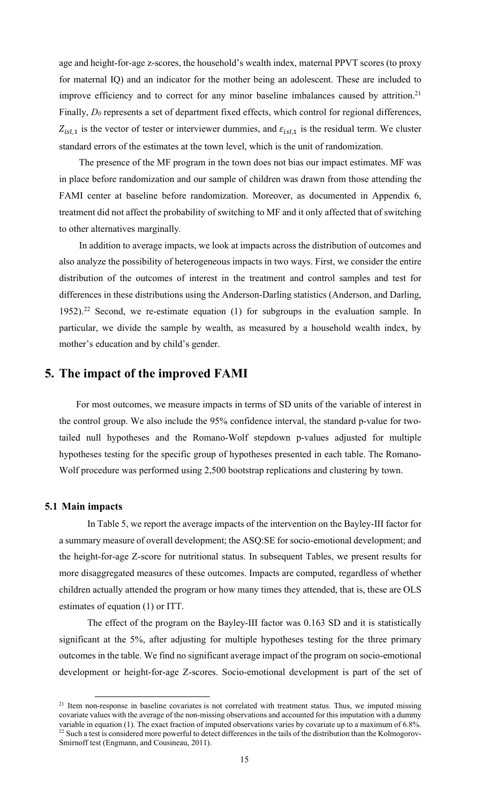age and height-for-age z-scores, the household's wealth index, maternal PPVT scores (to proxy for maternal IQ) and an indicator for the mother being an adolescent. These are included to improve efficiency and to correct for any minor baseline imbalances caused by attrition.<sup>21</sup> Finally,  $D_0$  represents a set of department fixed effects, which control for regional differences,  $Z_{isl,1}$  is the vector of tester or interviewer dummies, and  $\varepsilon_{isl,1}$  is the residual term. We cluster standard errors of the estimates at the town level, which is the unit of randomization.

The presence of the MF program in the town does not bias our impact estimates. MF was in place before randomization and our sample of children was drawn from those attending the FAMI center at baseline before randomization. Moreover, as documented in Appendix 6, treatment did not affect the probability of switching to MF and it only affected that of switching to other alternatives marginally*.*

In addition to average impacts, we look at impacts across the distribution of outcomes and also analyze the possibility of heterogeneous impacts in two ways. First, we consider the entire distribution of the outcomes of interest in the treatment and control samples and test for differences in these distributions using the Anderson-Darling statistics (Anderson, and Darling, 1952).<sup>22</sup> Second, we re-estimate equation  $(1)$  for subgroups in the evaluation sample. In particular, we divide the sample by wealth, as measured by a household wealth index, by mother's education and by child's gender.

# **5. The impact of the improved FAMI**

For most outcomes, we measure impacts in terms of SD units of the variable of interest in the control group. We also include the 95% confidence interval, the standard p-value for twotailed null hypotheses and the Romano-Wolf stepdown p-values adjusted for multiple hypotheses testing for the specific group of hypotheses presented in each table. The Romano-Wolf procedure was performed using 2,500 bootstrap replications and clustering by town.

### **5.1 Main impacts**

In Table 5, we report the average impacts of the intervention on the Bayley-III factor for a summary measure of overall development; the ASQ:SE for socio-emotional development; and the height-for-age Z-score for nutritional status. In subsequent Tables, we present results for more disaggregated measures of these outcomes. Impacts are computed, regardless of whether children actually attended the program or how many times they attended, that is, these are OLS estimates of equation (1) or ITT.

The effect of the program on the Bayley-III factor was 0.163 SD and it is statistically significant at the 5%, after adjusting for multiple hypotheses testing for the three primary outcomes in the table. We find no significant average impact of the program on socio-emotional development or height-for-age Z-scores. Socio-emotional development is part of the set of

<sup>&</sup>lt;sup>21</sup> Item non-response in baseline covariates is not correlated with treatment status. Thus, we imputed missing covariate values with the average of the non-missing observations and accounted for this imputation with a dummy variable in equation (1). The exact fraction of imputed observations varies by covariate up to a maximum of 6.8%.  $22$  Such a test is considered more powerful to detect differences in the tails of the distribution than the Kolmogorov-Smirnoff test (Engmann, and Cousineau, 2011).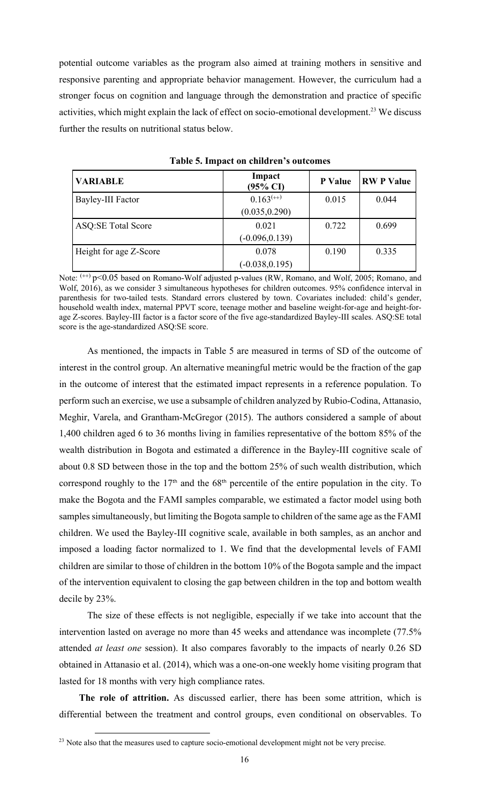potential outcome variables as the program also aimed at training mothers in sensitive and responsive parenting and appropriate behavior management. However, the curriculum had a stronger focus on cognition and language through the demonstration and practice of specific activities, which might explain the lack of effect on socio-emotional development.<sup>23</sup> We discuss further the results on nutritional status below.

| <b>VARIABLE</b>           | Impact<br>$(95\% \text{ CI})$ | <b>P</b> Value | <b>RWP</b> Value |
|---------------------------|-------------------------------|----------------|------------------|
| Bayley-III Factor         | $0.163^{(+)}$                 | 0.015          | 0.044            |
|                           | (0.035, 0.290)                |                |                  |
| <b>ASQ:SE Total Score</b> | 0.021                         | 0.722          | 0.699            |
|                           | $(-0.096, 0.139)$             |                |                  |
| Height for age Z-Score    | 0.078                         | 0.190          | 0.335            |
|                           | $(-0.038, 0.195)$             |                |                  |

**Table 5. Impact on children's outcomes**

Note:  $^{(+)}$  p<0.05 based on Romano-Wolf adjusted p-values (RW, Romano, and Wolf, 2005; Romano, and Wolf, 2016), as we consider 3 simultaneous hypotheses for children outcomes. 95% confidence interval in parenthesis for two-tailed tests. Standard errors clustered by town. Covariates included: child's gender, household wealth index, maternal PPVT score, teenage mother and baseline weight-for-age and height-forage Z-scores. Bayley-III factor is a factor score of the five age-standardized Bayley-III scales. ASQ:SE total score is the age-standardized ASQ:SE score.

As mentioned, the impacts in Table 5 are measured in terms of SD of the outcome of interest in the control group. An alternative meaningful metric would be the fraction of the gap in the outcome of interest that the estimated impact represents in a reference population. To perform such an exercise, we use a subsample of children analyzed by Rubio-Codina, Attanasio, Meghir, Varela, and Grantham-McGregor (2015). The authors considered a sample of about 1,400 children aged 6 to 36 months living in families representative of the bottom 85% of the wealth distribution in Bogota and estimated a difference in the Bayley-III cognitive scale of about 0.8 SD between those in the top and the bottom 25% of such wealth distribution, which correspond roughly to the  $17<sup>th</sup>$  and the  $68<sup>th</sup>$  percentile of the entire population in the city. To make the Bogota and the FAMI samples comparable, we estimated a factor model using both samples simultaneously, but limiting the Bogota sample to children of the same age as the FAMI children. We used the Bayley-III cognitive scale, available in both samples, as an anchor and imposed a loading factor normalized to 1. We find that the developmental levels of FAMI children are similar to those of children in the bottom 10% of the Bogota sample and the impact of the intervention equivalent to closing the gap between children in the top and bottom wealth decile by 23%.

The size of these effects is not negligible, especially if we take into account that the intervention lasted on average no more than 45 weeks and attendance was incomplete (77.5% attended *at least one* session). It also compares favorably to the impacts of nearly 0.26 SD obtained in Attanasio et al. (2014), which was a one-on-one weekly home visiting program that lasted for 18 months with very high compliance rates.

**The role of attrition.** As discussed earlier, there has been some attrition, which is differential between the treatment and control groups, even conditional on observables. To

<sup>&</sup>lt;sup>23</sup> Note also that the measures used to capture socio-emotional development might not be very precise.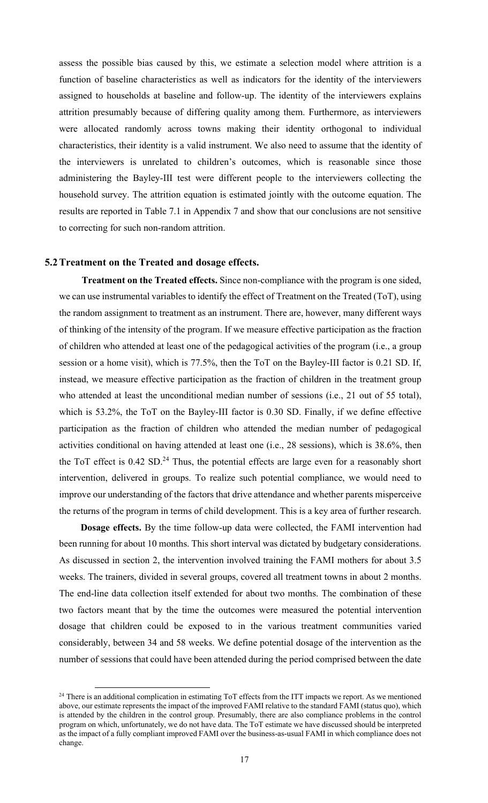assess the possible bias caused by this, we estimate a selection model where attrition is a function of baseline characteristics as well as indicators for the identity of the interviewers assigned to households at baseline and follow-up. The identity of the interviewers explains attrition presumably because of differing quality among them. Furthermore, as interviewers were allocated randomly across towns making their identity orthogonal to individual characteristics, their identity is a valid instrument. We also need to assume that the identity of the interviewers is unrelated to children's outcomes, which is reasonable since those administering the Bayley-III test were different people to the interviewers collecting the household survey. The attrition equation is estimated jointly with the outcome equation. The results are reported in Table 7.1 in Appendix 7 and show that our conclusions are not sensitive to correcting for such non-random attrition.

### **5.2Treatment on the Treated and dosage effects.**

**Treatment on the Treated effects.** Since non-compliance with the program is one sided, we can use instrumental variables to identify the effect of Treatment on the Treated (ToT), using the random assignment to treatment as an instrument. There are, however, many different ways of thinking of the intensity of the program. If we measure effective participation as the fraction of children who attended at least one of the pedagogical activities of the program (i.e., a group session or a home visit), which is 77.5%, then the ToT on the Bayley-III factor is 0.21 SD. If, instead, we measure effective participation as the fraction of children in the treatment group who attended at least the unconditional median number of sessions (i.e., 21 out of 55 total), which is 53.2%, the ToT on the Bayley-III factor is 0.30 SD. Finally, if we define effective participation as the fraction of children who attended the median number of pedagogical activities conditional on having attended at least one (i.e., 28 sessions), which is 38.6%, then the ToT effect is 0.42 SD.<sup>24</sup> Thus, the potential effects are large even for a reasonably short intervention, delivered in groups. To realize such potential compliance, we would need to improve our understanding of the factors that drive attendance and whether parents misperceive the returns of the program in terms of child development. This is a key area of further research.

**Dosage effects.** By the time follow-up data were collected, the FAMI intervention had been running for about 10 months. This short interval was dictated by budgetary considerations. As discussed in section 2, the intervention involved training the FAMI mothers for about 3.5 weeks. The trainers, divided in several groups, covered all treatment towns in about 2 months. The end-line data collection itself extended for about two months. The combination of these two factors meant that by the time the outcomes were measured the potential intervention dosage that children could be exposed to in the various treatment communities varied considerably, between 34 and 58 weeks. We define potential dosage of the intervention as the number of sessions that could have been attended during the period comprised between the date

<sup>&</sup>lt;sup>24</sup> There is an additional complication in estimating ToT effects from the ITT impacts we report. As we mentioned above, our estimate represents the impact of the improved FAMI relative to the standard FAMI (status quo), which is attended by the children in the control group. Presumably, there are also compliance problems in the control program on which, unfortunately, we do not have data. The ToT estimate we have discussed should be interpreted as the impact of a fully compliant improved FAMI over the business-as-usual FAMI in which compliance does not change.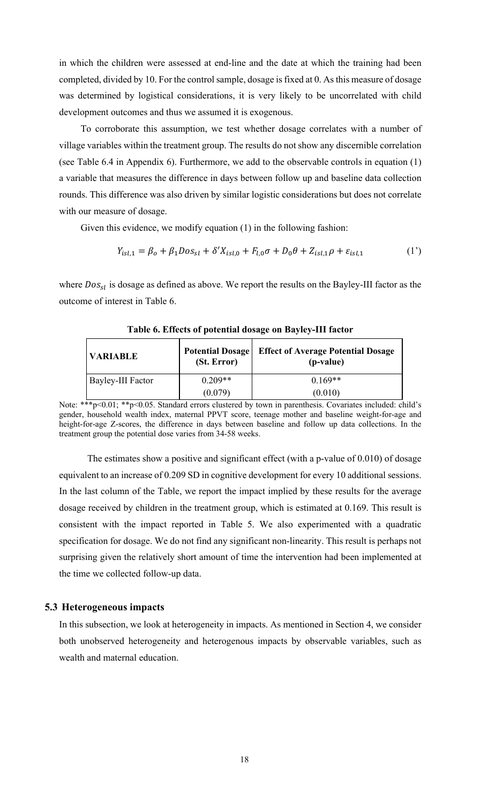in which the children were assessed at end-line and the date at which the training had been completed, divided by 10. For the control sample, dosage is fixed at 0. As this measure of dosage was determined by logistical considerations, it is very likely to be uncorrelated with child development outcomes and thus we assumed it is exogenous.

To corroborate this assumption, we test whether dosage correlates with a number of village variables within the treatment group. The results do not show any discernible correlation (see Table 6.4 in Appendix 6). Furthermore, we add to the observable controls in equation (1) a variable that measures the difference in days between follow up and baseline data collection rounds. This difference was also driven by similar logistic considerations but does not correlate with our measure of dosage.

Given this evidence, we modify equation (1) in the following fashion:

$$
Y_{isl,1} = \beta_o + \beta_1 \text{Dos}_{sl} + \delta' X_{isl,0} + F_{l,0} \sigma + D_0 \theta + Z_{isl,1} \rho + \varepsilon_{isl,1}
$$
 (1')

where  $Dos_{sl}$  is dosage as defined as above. We report the results on the Bayley-III factor as the outcome of interest in Table 6.

| <b>VARIABLE</b>   | <b>Potential Dosage</b><br>(St. Error) | <b>Effect of Average Potential Dosage</b><br>(p-value) |
|-------------------|----------------------------------------|--------------------------------------------------------|
| Bayley-III Factor | $0.209**$                              | $0.169**$                                              |
|                   | (0.079)                                | (0.010)                                                |

**Table 6. Effects of potential dosage on Bayley-III factor**

Note: \*\*\*p<0.01; \*\*p<0.05. Standard errors clustered by town in parenthesis. Covariates included: child's gender, household wealth index, maternal PPVT score, teenage mother and baseline weight-for-age and height-for-age Z-scores, the difference in days between baseline and follow up data collections. In the treatment group the potential dose varies from 34-58 weeks.

The estimates show a positive and significant effect (with a p-value of 0.010) of dosage equivalent to an increase of 0.209 SD in cognitive development for every 10 additional sessions. In the last column of the Table, we report the impact implied by these results for the average dosage received by children in the treatment group, which is estimated at 0.169. This result is consistent with the impact reported in Table 5. We also experimented with a quadratic specification for dosage. We do not find any significant non-linearity. This result is perhaps not surprising given the relatively short amount of time the intervention had been implemented at the time we collected follow-up data.

### **5.3 Heterogeneous impacts**

In this subsection, we look at heterogeneity in impacts. As mentioned in Section 4, we consider both unobserved heterogeneity and heterogenous impacts by observable variables, such as wealth and maternal education.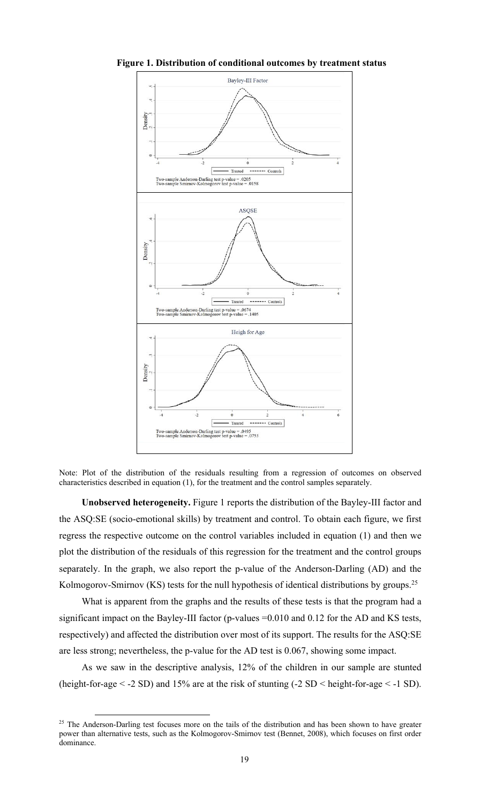

**Figure 1. Distribution of conditional outcomes by treatment status**

Note: Plot of the distribution of the residuals resulting from a regression of outcomes on observed characteristics described in equation (1), for the treatment and the control samples separately.

**Unobserved heterogeneity.** Figure 1 reports the distribution of the Bayley-III factor and the ASQ:SE (socio-emotional skills) by treatment and control. To obtain each figure, we first regress the respective outcome on the control variables included in equation (1) and then we plot the distribution of the residuals of this regression for the treatment and the control groups separately. In the graph, we also report the p-value of the Anderson-Darling (AD) and the Kolmogorov-Smirnov (KS) tests for the null hypothesis of identical distributions by groups.<sup>25</sup>

What is apparent from the graphs and the results of these tests is that the program had a significant impact on the Bayley-III factor (p-values  $=0.010$  and 0.12 for the AD and KS tests, respectively) and affected the distribution over most of its support. The results for the ASQ:SE are less strong; nevertheless, the p-value for the AD test is 0.067, showing some impact.

As we saw in the descriptive analysis, 12% of the children in our sample are stunted (height-for-age < -2 SD) and 15% are at the risk of stunting (-2 SD < height-for-age < -1 SD).

<sup>&</sup>lt;sup>25</sup> The Anderson-Darling test focuses more on the tails of the distribution and has been shown to have greater power than alternative tests, such as the Kolmogorov-Smirnov test (Bennet, 2008), which focuses on first order dominance.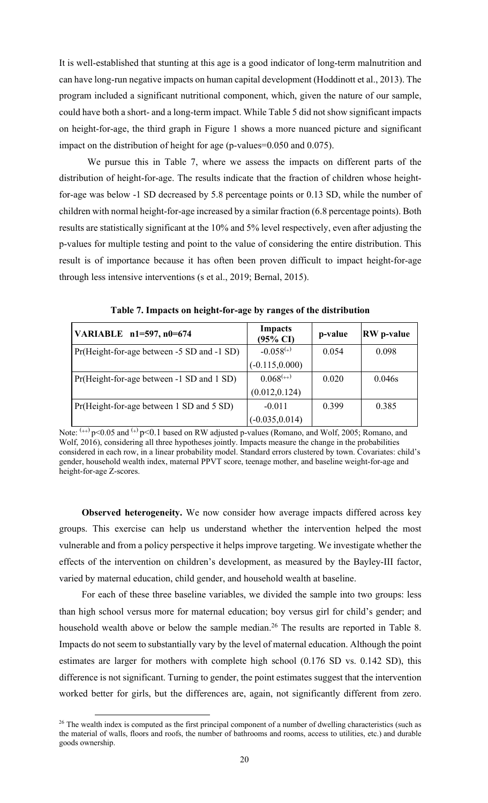It is well-established that stunting at this age is a good indicator of long-term malnutrition and can have long-run negative impacts on human capital development (Hoddinott et al., 2013). The program included a significant nutritional component, which, given the nature of our sample, could have both a short- and a long-term impact. While Table 5 did not show significant impacts on height-for-age, the third graph in Figure 1 shows a more nuanced picture and significant impact on the distribution of height for age (p-values=0.050 and 0.075).

We pursue this in Table 7, where we assess the impacts on different parts of the distribution of height-for-age. The results indicate that the fraction of children whose heightfor-age was below -1 SD decreased by 5.8 percentage points or 0.13 SD, while the number of children with normal height-for-age increased by a similar fraction (6.8 percentage points). Both results are statistically significant at the 10% and 5% level respectively, even after adjusting the p-values for multiple testing and point to the value of considering the entire distribution. This result is of importance because it has often been proven difficult to impact height-for-age through less intensive interventions (s et al., 2019; Bernal, 2015).

| VARIABLE n1=597, n0=674                    | <b>Impacts</b><br>(95% CI) | p-value | <b>RW</b> p-value |
|--------------------------------------------|----------------------------|---------|-------------------|
| Pr(Height-for-age between -5 SD and -1 SD) | $-0.058^{(+)}$             | 0.054   | 0.098             |
|                                            | $(-0.115, 0.000)$          |         |                   |
| Pr(Height-for-age between -1 SD and 1 SD)  | $0.068^{(+)}$              | 0.020   | 0.046s            |
|                                            | (0.012, 0.124)             |         |                   |
| Pr(Height-for-age between 1 SD and 5 SD)   | $-0.011$                   | 0.399   | 0.385             |
|                                            | $(-0.035, 0.014)$          |         |                   |

**Table 7. Impacts on height-for-age by ranges of the distribution**

Note:  $\frac{(n+1)}{2}$  p<0.05 and  $\frac{(n+1)}{2}$  p<0.1 based on RW adjusted p-values (Romano, and Wolf, 2005; Romano, and Wolf, 2016), considering all three hypotheses jointly. Impacts measure the change in the probabilities considered in each row, in a linear probability model. Standard errors clustered by town. Covariates: child's gender, household wealth index, maternal PPVT score, teenage mother, and baseline weight-for-age and height-for-age Z-scores.

**Observed heterogeneity.** We now consider how average impacts differed across key groups. This exercise can help us understand whether the intervention helped the most vulnerable and from a policy perspective it helps improve targeting. We investigate whether the effects of the intervention on children's development, as measured by the Bayley-III factor, varied by maternal education, child gender, and household wealth at baseline.

For each of these three baseline variables, we divided the sample into two groups: less than high school versus more for maternal education; boy versus girl for child's gender; and household wealth above or below the sample median.<sup>26</sup> The results are reported in Table 8. Impacts do not seem to substantially vary by the level of maternal education. Although the point estimates are larger for mothers with complete high school (0.176 SD vs. 0.142 SD), this difference is not significant. Turning to gender, the point estimates suggest that the intervention worked better for girls, but the differences are, again, not significantly different from zero.

 $26$  The wealth index is computed as the first principal component of a number of dwelling characteristics (such as the material of walls, floors and roofs, the number of bathrooms and rooms, access to utilities, etc.) and durable goods ownership.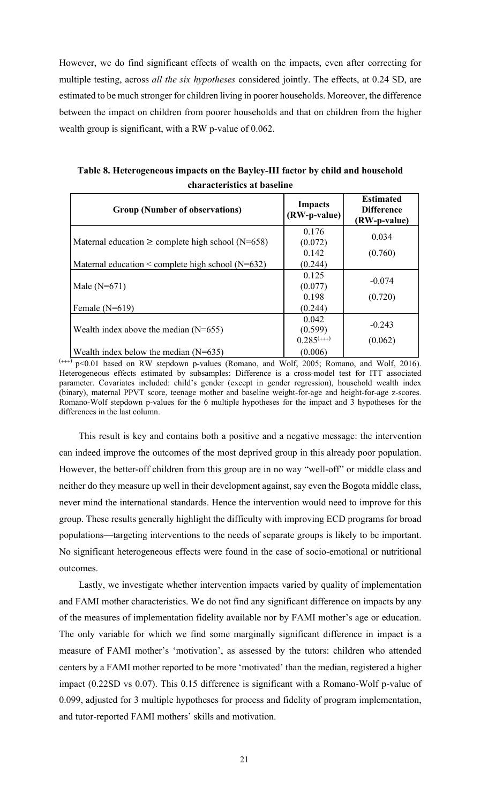However, we do find significant effects of wealth on the impacts, even after correcting for multiple testing, across *all the six hypotheses* considered jointly. The effects, at 0.24 SD, are estimated to be much stronger for children living in poorer households. Moreover, the difference between the impact on children from poorer households and that on children from the higher wealth group is significant, with a RW p-value of 0.062.

| <b>Group (Number of observations)</b>                  | <b>Impacts</b><br>(RW-p-value) | <b>Estimated</b><br><b>Difference</b><br>(RW-p-value) |
|--------------------------------------------------------|--------------------------------|-------------------------------------------------------|
| Maternal education $\geq$ complete high school (N=658) | 0.176<br>(0.072)               | 0.034                                                 |
|                                                        | 0.142                          | (0.760)                                               |
| Maternal education $\leq$ complete high school (N=632) | (0.244)                        |                                                       |
|                                                        | 0.125                          | $-0.074$                                              |
| Male $(N=671)$                                         | (0.077)                        |                                                       |
|                                                        | 0.198                          | (0.720)                                               |
| Female $(N=619)$                                       | (0.244)                        |                                                       |
|                                                        | 0.042                          | $-0.243$                                              |
| Wealth index above the median $(N=655)$                | (0.599)                        |                                                       |
|                                                        | $0.285^{(++)}$                 | (0.062)                                               |
| Wealth index below the median $(N=635)$                | (0.006)                        |                                                       |

**Table 8. Heterogeneous impacts on the Bayley-III factor by child and household characteristics at baseline**

 $(***)$  p<0.01 based on RW stepdown p-values (Romano, and Wolf, 2005; Romano, and Wolf, 2016). Heterogeneous effects estimated by subsamples: Difference is a cross-model test for ITT associated parameter. Covariates included: child's gender (except in gender regression), household wealth index (binary), maternal PPVT score, teenage mother and baseline weight-for-age and height-for-age z-scores. Romano-Wolf stepdown p-values for the 6 multiple hypotheses for the impact and 3 hypotheses for the differences in the last column.

This result is key and contains both a positive and a negative message: the intervention can indeed improve the outcomes of the most deprived group in this already poor population. However, the better-off children from this group are in no way "well-off" or middle class and neither do they measure up well in their development against, say even the Bogota middle class, never mind the international standards. Hence the intervention would need to improve for this group. These results generally highlight the difficulty with improving ECD programs for broad populations—targeting interventions to the needs of separate groups is likely to be important. No significant heterogeneous effects were found in the case of socio-emotional or nutritional outcomes.

Lastly, we investigate whether intervention impacts varied by quality of implementation and FAMI mother characteristics. We do not find any significant difference on impacts by any of the measures of implementation fidelity available nor by FAMI mother's age or education. The only variable for which we find some marginally significant difference in impact is a measure of FAMI mother's 'motivation', as assessed by the tutors: children who attended centers by a FAMI mother reported to be more 'motivated' than the median, registered a higher impact (0.22SD vs 0.07). This 0.15 difference is significant with a Romano-Wolf p-value of 0.099, adjusted for 3 multiple hypotheses for process and fidelity of program implementation, and tutor-reported FAMI mothers' skills and motivation.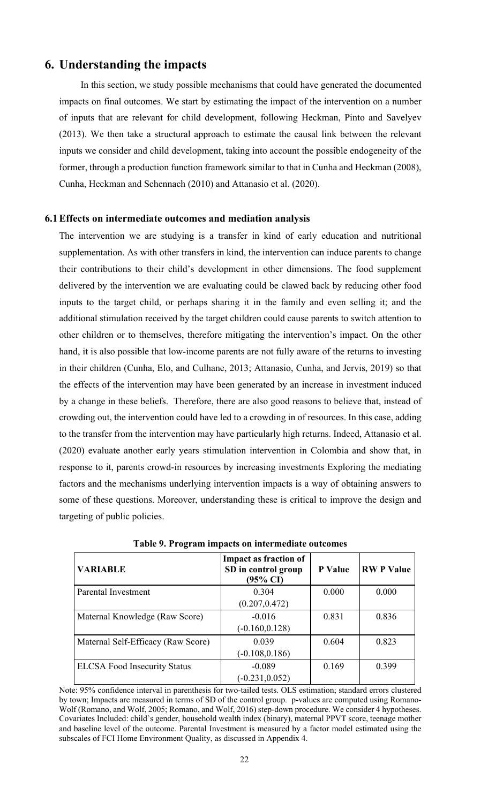# **6. Understanding the impacts**

In this section, we study possible mechanisms that could have generated the documented impacts on final outcomes. We start by estimating the impact of the intervention on a number of inputs that are relevant for child development, following Heckman, Pinto and Savelyev (2013). We then take a structural approach to estimate the causal link between the relevant inputs we consider and child development, taking into account the possible endogeneity of the former, through a production function framework similar to that in Cunha and Heckman (2008), Cunha, Heckman and Schennach (2010) and Attanasio et al. (2020).

### **6.1Effects on intermediate outcomes and mediation analysis**

The intervention we are studying is a transfer in kind of early education and nutritional supplementation. As with other transfers in kind, the intervention can induce parents to change their contributions to their child's development in other dimensions. The food supplement delivered by the intervention we are evaluating could be clawed back by reducing other food inputs to the target child, or perhaps sharing it in the family and even selling it; and the additional stimulation received by the target children could cause parents to switch attention to other children or to themselves, therefore mitigating the intervention's impact. On the other hand, it is also possible that low-income parents are not fully aware of the returns to investing in their children (Cunha, Elo, and Culhane, 2013; Attanasio, Cunha, and Jervis, 2019) so that the effects of the intervention may have been generated by an increase in investment induced by a change in these beliefs. Therefore, there are also good reasons to believe that, instead of crowding out, the intervention could have led to a crowding in of resources. In this case, adding to the transfer from the intervention may have particularly high returns. Indeed, Attanasio et al. (2020) evaluate another early years stimulation intervention in Colombia and show that, in response to it, parents crowd-in resources by increasing investments Exploring the mediating factors and the mechanisms underlying intervention impacts is a way of obtaining answers to some of these questions. Moreover, understanding these is critical to improve the design and targeting of public policies.

| <b>VARIABLE</b>                     | <b>Impact as fraction of</b><br>SD in control group<br>$(95\% \text{ CI})$ | P Value | <b>RWP</b> Value |
|-------------------------------------|----------------------------------------------------------------------------|---------|------------------|
| <b>Parental Investment</b>          | 0.304                                                                      | 0.000   | 0.000            |
|                                     | (0.207, 0.472)                                                             |         |                  |
| Maternal Knowledge (Raw Score)      | $-0.016$                                                                   | 0.831   | 0.836            |
|                                     | $(-0.160, 0.128)$                                                          |         |                  |
| Maternal Self-Efficacy (Raw Score)  | 0.039                                                                      | 0.604   | 0.823            |
|                                     | $(-0.108, 0.186)$                                                          |         |                  |
| <b>ELCSA Food Insecurity Status</b> | $-0.089$                                                                   | 0.169   | 0.399            |
|                                     | $(-0.231, 0.052)$                                                          |         |                  |

**Table 9. Program impacts on intermediate outcomes**

Note: 95% confidence interval in parenthesis for two-tailed tests. OLS estimation; standard errors clustered by town; Impacts are measured in terms of SD of the control group. p-values are computed using Romano-Wolf (Romano, and Wolf, 2005; Romano, and Wolf, 2016) step-down procedure. We consider 4 hypotheses. Covariates Included: child's gender, household wealth index (binary), maternal PPVT score, teenage mother and baseline level of the outcome. Parental Investment is measured by a factor model estimated using the subscales of FCI Home Environment Quality, as discussed in Appendix 4.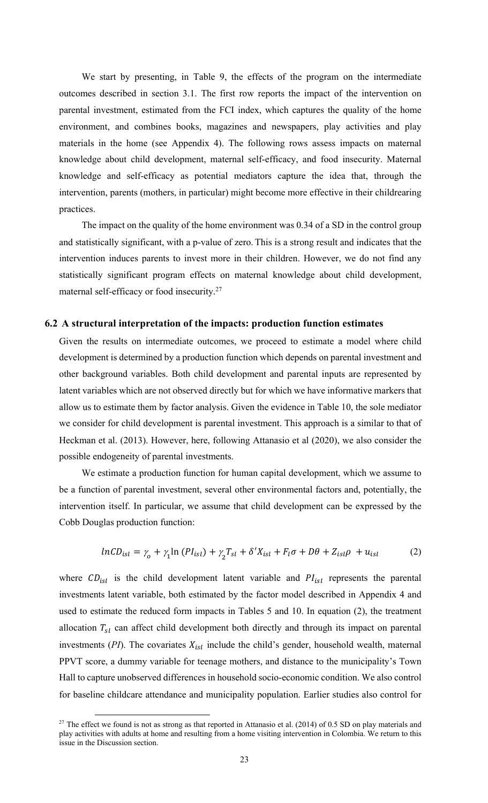We start by presenting, in Table 9, the effects of the program on the intermediate outcomes described in section 3.1. The first row reports the impact of the intervention on parental investment, estimated from the FCI index, which captures the quality of the home environment, and combines books, magazines and newspapers, play activities and play materials in the home (see Appendix 4). The following rows assess impacts on maternal knowledge about child development, maternal self-efficacy, and food insecurity. Maternal knowledge and self-efficacy as potential mediators capture the idea that, through the intervention, parents (mothers, in particular) might become more effective in their childrearing practices.

The impact on the quality of the home environment was 0.34 of a SD in the control group and statistically significant, with a p-value of zero. This is a strong result and indicates that the intervention induces parents to invest more in their children. However, we do not find any statistically significant program effects on maternal knowledge about child development, maternal self-efficacy or food insecurity.27

### **6.2 A structural interpretation of the impacts: production function estimates**

Given the results on intermediate outcomes, we proceed to estimate a model where child development is determined by a production function which depends on parental investment and other background variables. Both child development and parental inputs are represented by latent variables which are not observed directly but for which we have informative markers that allow us to estimate them by factor analysis. Given the evidence in Table 10, the sole mediator we consider for child development is parental investment. This approach is a similar to that of Heckman et al. (2013). However, here, following Attanasio et al (2020), we also consider the possible endogeneity of parental investments.

We estimate a production function for human capital development, which we assume to be a function of parental investment, several other environmental factors and, potentially, the intervention itself. In particular, we assume that child development can be expressed by the Cobb Douglas production function:

$$
lnCD_{isl} = \gamma_o + \gamma_1 ln (PI_{isl}) + \gamma_2 T_{sl} + \delta' X_{isl} + F_l \sigma + D\theta + Z_{isl}\rho + u_{isl}
$$
 (2)

where  $CD_{isl}$  is the child development latent variable and  $PI_{isl}$  represents the parental investments latent variable, both estimated by the factor model described in Appendix 4 and used to estimate the reduced form impacts in Tables 5 and 10. In equation (2), the treatment allocation  $T_{sl}$  can affect child development both directly and through its impact on parental investments  $(PI)$ . The covariates  $X_{ist}$  include the child's gender, household wealth, maternal PPVT score, a dummy variable for teenage mothers, and distance to the municipality's Town Hall to capture unobserved differences in household socio-economic condition. We also control for baseline childcare attendance and municipality population. Earlier studies also control for

 $27$  The effect we found is not as strong as that reported in Attanasio et al. (2014) of 0.5 SD on play materials and play activities with adults at home and resulting from a home visiting intervention in Colombia. We return to this issue in the Discussion section.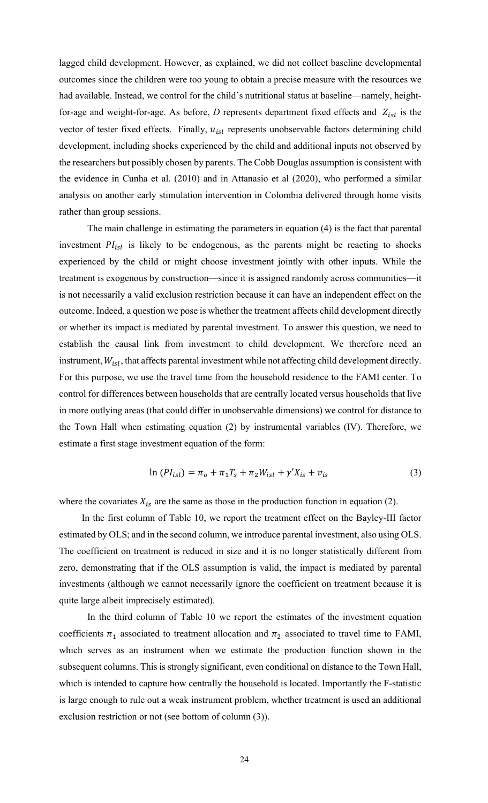lagged child development. However, as explained, we did not collect baseline developmental outcomes since the children were too young to obtain a precise measure with the resources we had available. Instead, we control for the child's nutritional status at baseline—namely, heightfor-age and weight-for-age. As before,  $D$  represents department fixed effects and  $Z_{isl}$  is the vector of tester fixed effects. Finally,  $u_{tsl}$  represents unobservable factors determining child development, including shocks experienced by the child and additional inputs not observed by the researchers but possibly chosen by parents. The Cobb Douglas assumption is consistent with the evidence in Cunha et al. (2010) and in Attanasio et al (2020), who performed a similar analysis on another early stimulation intervention in Colombia delivered through home visits rather than group sessions.

The main challenge in estimating the parameters in equation (4) is the fact that parental investment  $PI_{is}$  is likely to be endogenous, as the parents might be reacting to shocks experienced by the child or might choose investment jointly with other inputs. While the treatment is exogenous by construction—since it is assigned randomly across communities—it is not necessarily a valid exclusion restriction because it can have an independent effect on the outcome. Indeed, a question we pose is whether the treatment affects child development directly or whether its impact is mediated by parental investment. To answer this question, we need to establish the causal link from investment to child development. We therefore need an instrument,  $W_{isl}$ , that affects parental investment while not affecting child development directly. For this purpose, we use the travel time from the household residence to the FAMI center. To control for differences between households that are centrally located versus households that live in more outlying areas (that could differ in unobservable dimensions) we control for distance to the Town Hall when estimating equation (2) by instrumental variables (IV). Therefore, we estimate a first stage investment equation of the form:

$$
\ln (PI_{isl}) = \pi_o + \pi_1 T_s + \pi_2 W_{isl} + \gamma' X_{is} + \nu_{is}
$$
\n(3)

where the covariates  $X_{is}$  are the same as those in the production function in equation (2).

In the first column of Table 10, we report the treatment effect on the Bayley-III factor estimated by OLS; and in the second column, we introduce parental investment, also using OLS. The coefficient on treatment is reduced in size and it is no longer statistically different from zero, demonstrating that if the OLS assumption is valid, the impact is mediated by parental investments (although we cannot necessarily ignore the coefficient on treatment because it is quite large albeit imprecisely estimated).

In the third column of Table 10 we report the estimates of the investment equation coefficients  $\pi_1$  associated to treatment allocation and  $\pi_2$  associated to travel time to FAMI, which serves as an instrument when we estimate the production function shown in the subsequent columns. This is strongly significant, even conditional on distance to the Town Hall, which is intended to capture how centrally the household is located. Importantly the F-statistic is large enough to rule out a weak instrument problem, whether treatment is used an additional exclusion restriction or not (see bottom of column (3)).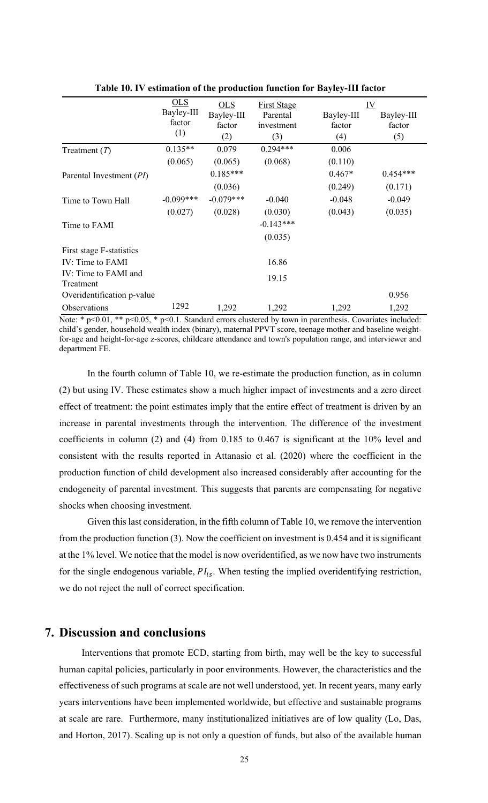|                                   | OLS         | <b>OLS</b>  | <b>First Stage</b> | IV <sub></sub> |            |
|-----------------------------------|-------------|-------------|--------------------|----------------|------------|
|                                   | Bayley-III  | Bayley-III  | Parental           | Bayley-III     | Bayley-III |
|                                   | factor      | factor      | investment         | factor         | factor     |
|                                   | (1)         | (2)         | (3)                | (4)            | (5)        |
| Treatment $(T)$                   | $0.135**$   | 0.079       | $0.294***$         | 0.006          |            |
|                                   | (0.065)     | (0.065)     | (0.068)            | (0.110)        |            |
| Parental Investment (PI)          |             | $0.185***$  |                    | $0.467*$       | $0.454***$ |
|                                   |             | (0.036)     |                    | (0.249)        | (0.171)    |
| Time to Town Hall                 | $-0.099***$ | $-0.079***$ | $-0.040$           | $-0.048$       | $-0.049$   |
|                                   | (0.027)     | (0.028)     | (0.030)            | (0.043)        | (0.035)    |
| Time to FAMI                      |             |             | $-0.143***$        |                |            |
|                                   |             |             | (0.035)            |                |            |
| First stage F-statistics          |             |             |                    |                |            |
| IV: Time to FAMI                  |             |             | 16.86              |                |            |
| IV: Time to FAMI and<br>Treatment |             |             | 19.15              |                |            |
| Overidentification p-value        |             |             |                    |                | 0.956      |
| Observations                      | 1292        | 1,292       | 1,292              | 1,292          | 1,292      |

**Table 10. IV estimation of the production function for Bayley-III factor**

Note: \* p<0.01, \*\* p<0.05, \* p<0.1. Standard errors clustered by town in parenthesis. Covariates included: child's gender, household wealth index (binary), maternal PPVT score, teenage mother and baseline weightfor-age and height-for-age z-scores, childcare attendance and town's population range, and interviewer and department FE.

In the fourth column of Table 10, we re-estimate the production function, as in column (2) but using IV. These estimates show a much higher impact of investments and a zero direct effect of treatment: the point estimates imply that the entire effect of treatment is driven by an increase in parental investments through the intervention. The difference of the investment coefficients in column (2) and (4) from 0.185 to 0.467 is significant at the 10% level and consistent with the results reported in Attanasio et al. (2020) where the coefficient in the production function of child development also increased considerably after accounting for the endogeneity of parental investment. This suggests that parents are compensating for negative shocks when choosing investment.

Given this last consideration, in the fifth column of Table 10, we remove the intervention from the production function (3). Now the coefficient on investment is 0.454 and it is significant at the 1% level. We notice that the model is now overidentified, as we now have two instruments for the single endogenous variable,  $PI_{is}$ . When testing the implied overidentifying restriction, we do not reject the null of correct specification.

# **7. Discussion and conclusions**

Interventions that promote ECD, starting from birth, may well be the key to successful human capital policies, particularly in poor environments. However, the characteristics and the effectiveness of such programs at scale are not well understood, yet. In recent years, many early years interventions have been implemented worldwide, but effective and sustainable programs at scale are rare. Furthermore, many institutionalized initiatives are of low quality (Lo, Das, and Horton, 2017). Scaling up is not only a question of funds, but also of the available human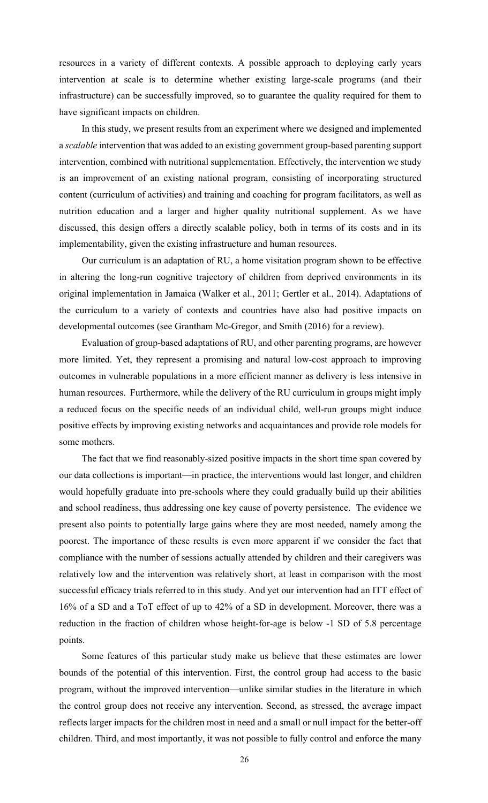resources in a variety of different contexts. A possible approach to deploying early years intervention at scale is to determine whether existing large-scale programs (and their infrastructure) can be successfully improved, so to guarantee the quality required for them to have significant impacts on children.

In this study, we present results from an experiment where we designed and implemented a *scalable* intervention that was added to an existing government group-based parenting support intervention, combined with nutritional supplementation. Effectively, the intervention we study is an improvement of an existing national program, consisting of incorporating structured content (curriculum of activities) and training and coaching for program facilitators, as well as nutrition education and a larger and higher quality nutritional supplement. As we have discussed, this design offers a directly scalable policy, both in terms of its costs and in its implementability, given the existing infrastructure and human resources.

Our curriculum is an adaptation of RU, a home visitation program shown to be effective in altering the long-run cognitive trajectory of children from deprived environments in its original implementation in Jamaica (Walker et al., 2011; Gertler et al., 2014). Adaptations of the curriculum to a variety of contexts and countries have also had positive impacts on developmental outcomes (see Grantham Mc-Gregor, and Smith (2016) for a review).

Evaluation of group-based adaptations of RU, and other parenting programs, are however more limited. Yet, they represent a promising and natural low-cost approach to improving outcomes in vulnerable populations in a more efficient manner as delivery is less intensive in human resources. Furthermore, while the delivery of the RU curriculum in groups might imply a reduced focus on the specific needs of an individual child, well-run groups might induce positive effects by improving existing networks and acquaintances and provide role models for some mothers.

The fact that we find reasonably-sized positive impacts in the short time span covered by our data collections is important—in practice, the interventions would last longer, and children would hopefully graduate into pre-schools where they could gradually build up their abilities and school readiness, thus addressing one key cause of poverty persistence. The evidence we present also points to potentially large gains where they are most needed, namely among the poorest. The importance of these results is even more apparent if we consider the fact that compliance with the number of sessions actually attended by children and their caregivers was relatively low and the intervention was relatively short, at least in comparison with the most successful efficacy trials referred to in this study. And yet our intervention had an ITT effect of 16% of a SD and a ToT effect of up to 42% of a SD in development. Moreover, there was a reduction in the fraction of children whose height-for-age is below -1 SD of 5.8 percentage points.

Some features of this particular study make us believe that these estimates are lower bounds of the potential of this intervention. First, the control group had access to the basic program, without the improved intervention—unlike similar studies in the literature in which the control group does not receive any intervention. Second, as stressed, the average impact reflects larger impacts for the children most in need and a small or null impact for the better-off children. Third, and most importantly, it was not possible to fully control and enforce the many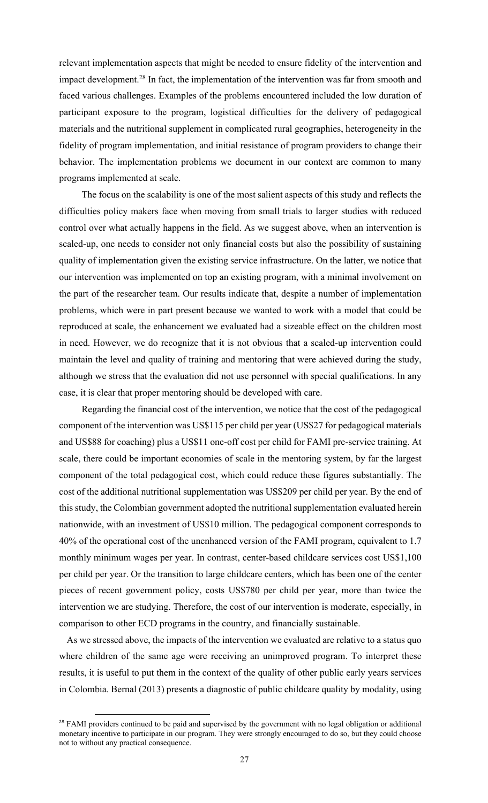relevant implementation aspects that might be needed to ensure fidelity of the intervention and impact development.28 In fact, the implementation of the intervention was far from smooth and faced various challenges. Examples of the problems encountered included the low duration of participant exposure to the program, logistical difficulties for the delivery of pedagogical materials and the nutritional supplement in complicated rural geographies, heterogeneity in the fidelity of program implementation, and initial resistance of program providers to change their behavior. The implementation problems we document in our context are common to many programs implemented at scale.

The focus on the scalability is one of the most salient aspects of this study and reflects the difficulties policy makers face when moving from small trials to larger studies with reduced control over what actually happens in the field. As we suggest above, when an intervention is scaled-up, one needs to consider not only financial costs but also the possibility of sustaining quality of implementation given the existing service infrastructure. On the latter, we notice that our intervention was implemented on top an existing program, with a minimal involvement on the part of the researcher team. Our results indicate that, despite a number of implementation problems, which were in part present because we wanted to work with a model that could be reproduced at scale, the enhancement we evaluated had a sizeable effect on the children most in need. However, we do recognize that it is not obvious that a scaled-up intervention could maintain the level and quality of training and mentoring that were achieved during the study, although we stress that the evaluation did not use personnel with special qualifications. In any case, it is clear that proper mentoring should be developed with care.

Regarding the financial cost of the intervention, we notice that the cost of the pedagogical component of the intervention was US\$115 per child per year (US\$27 for pedagogical materials and US\$88 for coaching) plus a US\$11 one-off cost per child for FAMI pre-service training. At scale, there could be important economies of scale in the mentoring system, by far the largest component of the total pedagogical cost, which could reduce these figures substantially. The cost of the additional nutritional supplementation was US\$209 per child per year. By the end of this study, the Colombian government adopted the nutritional supplementation evaluated herein nationwide, with an investment of US\$10 million. The pedagogical component corresponds to 40% of the operational cost of the unenhanced version of the FAMI program, equivalent to 1.7 monthly minimum wages per year. In contrast, center-based childcare services cost US\$1,100 per child per year. Or the transition to large childcare centers, which has been one of the center pieces of recent government policy, costs US\$780 per child per year, more than twice the intervention we are studying. Therefore, the cost of our intervention is moderate, especially, in comparison to other ECD programs in the country, and financially sustainable.

As we stressed above, the impacts of the intervention we evaluated are relative to a status quo where children of the same age were receiving an unimproved program. To interpret these results, it is useful to put them in the context of the quality of other public early years services in Colombia. Bernal (2013) presents a diagnostic of public childcare quality by modality, using

<sup>&</sup>lt;sup>28</sup> FAMI providers continued to be paid and supervised by the government with no legal obligation or additional monetary incentive to participate in our program. They were strongly encouraged to do so, but they could choose not to without any practical consequence.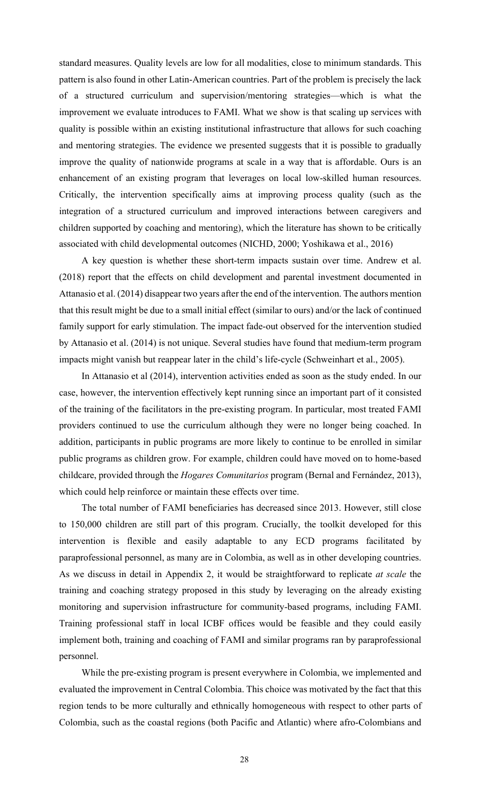standard measures. Quality levels are low for all modalities, close to minimum standards. This pattern is also found in other Latin-American countries. Part of the problem is precisely the lack of a structured curriculum and supervision/mentoring strategies—which is what the improvement we evaluate introduces to FAMI. What we show is that scaling up services with quality is possible within an existing institutional infrastructure that allows for such coaching and mentoring strategies. The evidence we presented suggests that it is possible to gradually improve the quality of nationwide programs at scale in a way that is affordable. Ours is an enhancement of an existing program that leverages on local low-skilled human resources. Critically, the intervention specifically aims at improving process quality (such as the integration of a structured curriculum and improved interactions between caregivers and children supported by coaching and mentoring), which the literature has shown to be critically associated with child developmental outcomes (NICHD, 2000; Yoshikawa et al., 2016)

A key question is whether these short-term impacts sustain over time. Andrew et al. (2018) report that the effects on child development and parental investment documented in Attanasio et al. (2014) disappear two years after the end of the intervention. The authors mention that this result might be due to a small initial effect (similar to ours) and/or the lack of continued family support for early stimulation. The impact fade-out observed for the intervention studied by Attanasio et al. (2014) is not unique. Several studies have found that medium-term program impacts might vanish but reappear later in the child's life-cycle (Schweinhart et al., 2005).

In Attanasio et al (2014), intervention activities ended as soon as the study ended. In our case, however, the intervention effectively kept running since an important part of it consisted of the training of the facilitators in the pre-existing program. In particular, most treated FAMI providers continued to use the curriculum although they were no longer being coached. In addition, participants in public programs are more likely to continue to be enrolled in similar public programs as children grow. For example, children could have moved on to home-based childcare, provided through the *Hogares Comunitarios* program (Bernal and Fernández, 2013), which could help reinforce or maintain these effects over time.

The total number of FAMI beneficiaries has decreased since 2013. However, still close to 150,000 children are still part of this program. Crucially, the toolkit developed for this intervention is flexible and easily adaptable to any ECD programs facilitated by paraprofessional personnel, as many are in Colombia, as well as in other developing countries. As we discuss in detail in Appendix 2, it would be straightforward to replicate *at scale* the training and coaching strategy proposed in this study by leveraging on the already existing monitoring and supervision infrastructure for community-based programs, including FAMI. Training professional staff in local ICBF offices would be feasible and they could easily implement both, training and coaching of FAMI and similar programs ran by paraprofessional personnel.

While the pre-existing program is present everywhere in Colombia, we implemented and evaluated the improvement in Central Colombia. This choice was motivated by the fact that this region tends to be more culturally and ethnically homogeneous with respect to other parts of Colombia, such as the coastal regions (both Pacific and Atlantic) where afro-Colombians and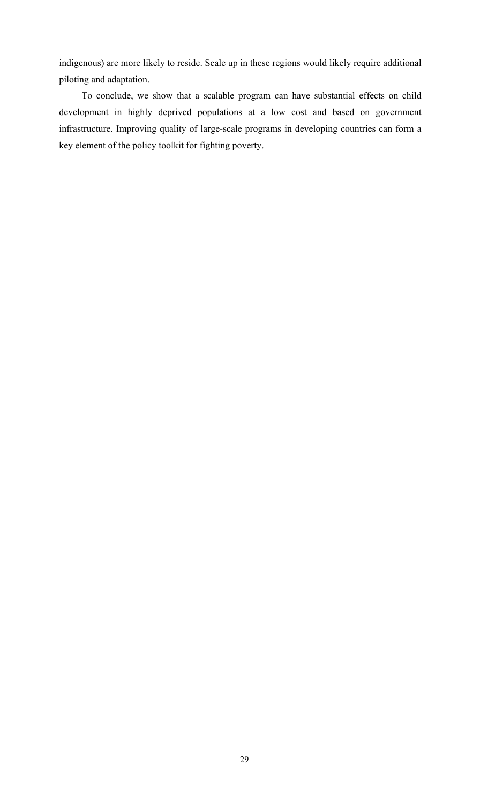indigenous) are more likely to reside. Scale up in these regions would likely require additional piloting and adaptation.

To conclude, we show that a scalable program can have substantial effects on child development in highly deprived populations at a low cost and based on government infrastructure. Improving quality of large-scale programs in developing countries can form a key element of the policy toolkit for fighting poverty.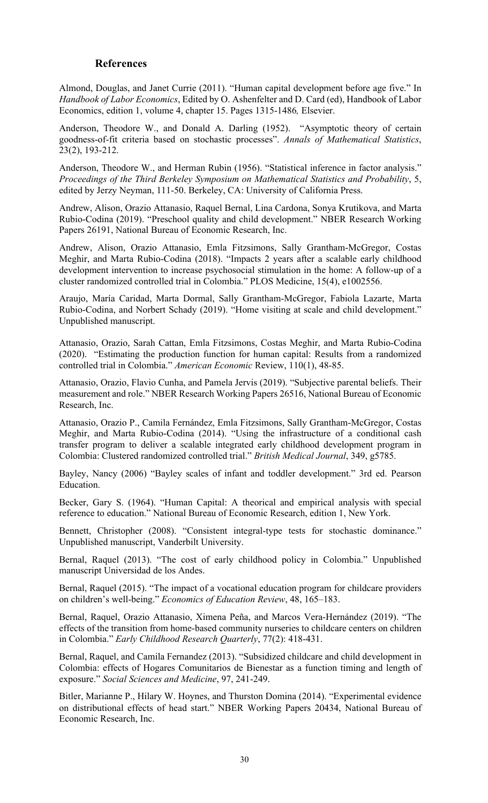# **References**

Almond, Douglas, and Janet Currie (2011). "Human capital development before age five." In *Handbook of Labor Economics*, Edited by O. Ashenfelter and D. Card (ed), Handbook of Labor Economics, edition 1, volume 4, chapter 15. Pages 1315-1486*,* Elsevier.

Anderson, Theodore W., and Donald A. Darling (1952). "Asymptotic theory of certain goodness-of-fit criteria based on stochastic processes". *Annals of Mathematical Statistics*, 23(2), 193-212.

Anderson, Theodore W., and Herman Rubin (1956). "Statistical inference in factor analysis." *Proceedings of the Third Berkeley Symposium on Mathematical Statistics and Probability*, 5, edited by Jerzy Neyman, 111-50. Berkeley, CA: University of California Press.

Andrew, Alison, Orazio Attanasio, Raquel Bernal, Lina Cardona, Sonya Krutikova, and Marta Rubio-Codina (2019). "Preschool quality and child development." NBER Research Working Papers 26191, National Bureau of Economic Research, Inc.

Andrew, Alison, Orazio Attanasio, Emla Fitzsimons, Sally Grantham-McGregor, Costas Meghir, and Marta Rubio-Codina (2018). "Impacts 2 years after a scalable early childhood development intervention to increase psychosocial stimulation in the home: A follow-up of a cluster randomized controlled trial in Colombia." PLOS Medicine, 15(4), e1002556.

Araujo, María Caridad, Marta Dormal, Sally Grantham-McGregor, Fabiola Lazarte, Marta Rubio-Codina, and Norbert Schady (2019). "Home visiting at scale and child development." Unpublished manuscript.

Attanasio, Orazio, Sarah Cattan, Emla Fitzsimons, Costas Meghir, and Marta Rubio-Codina (2020). "Estimating the production function for human capital: Results from a randomized controlled trial in Colombia." *American Economic* Review, 110(1), 48-85.

Attanasio, Orazio, Flavio Cunha, and Pamela Jervis (2019). "Subjective parental beliefs. Their measurement and role." NBER Research Working Papers 26516, National Bureau of Economic Research, Inc.

Attanasio, Orazio P., Camila Fernández, Emla Fitzsimons, Sally Grantham-McGregor, Costas Meghir, and Marta Rubio-Codina (2014). "Using the infrastructure of a conditional cash transfer program to deliver a scalable integrated early childhood development program in Colombia: Clustered randomized controlled trial." *British Medical Journal*, 349, g5785.

Bayley, Nancy (2006) "Bayley scales of infant and toddler development." 3rd ed. Pearson Education.

Becker, Gary S. (1964). "Human Capital: A theorical and empirical analysis with special reference to education." National Bureau of Economic Research, edition 1, New York.

Bennett, Christopher (2008). "Consistent integral-type tests for stochastic dominance." Unpublished manuscript, Vanderbilt University.

Bernal, Raquel (2013). "The cost of early childhood policy in Colombia." Unpublished manuscript Universidad de los Andes.

Bernal, Raquel (2015). "The impact of a vocational education program for childcare providers on children's well-being." *Economics of Education Review*, 48, 165–183.

Bernal, Raquel, Orazio Attanasio, Ximena Peña, and Marcos Vera-Hernández (2019). "The effects of the transition from home-based community nurseries to childcare centers on children in Colombia." *Early Childhood Research Quarterly*, 77(2): 418-431.

Bernal, Raquel, and Camila Fernandez (2013). "Subsidized childcare and child development in Colombia: effects of Hogares Comunitarios de Bienestar as a function timing and length of exposure." *Social Sciences and Medicine*, 97, 241-249.

Bitler, Marianne P., Hilary W. Hoynes, and Thurston Domina (2014). "Experimental evidence on distributional effects of head start." NBER Working Papers 20434, National Bureau of Economic Research, Inc.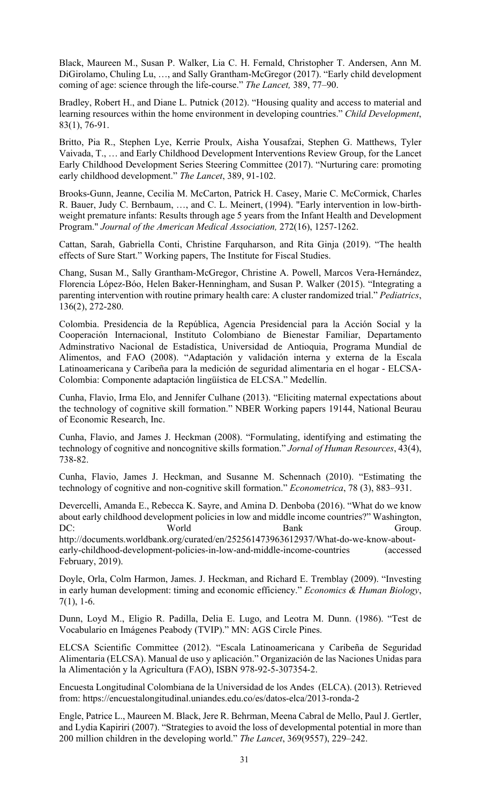Black, Maureen M., Susan P. Walker, Lia C. H. Fernald, Christopher T. Andersen, Ann M. DiGirolamo, Chuling Lu, …, and Sally Grantham-McGregor (2017). "Early child development coming of age: science through the life-course." *The Lancet,* 389, 77–90.

Bradley, Robert H., and Diane L. Putnick (2012). "Housing quality and access to material and learning resources within the home environment in developing countries." *Child Development*, 83(1), 76-91.

Britto, Pia R., Stephen Lye, Kerrie Proulx, Aisha Yousafzai, Stephen G. Matthews, Tyler Vaivada, T., … and Early Childhood Development Interventions Review Group, for the Lancet Early Childhood Development Series Steering Committee (2017). "Nurturing care: promoting early childhood development." *The Lancet*, 389, 91-102.

Brooks-Gunn, Jeanne, Cecilia M. McCarton, Patrick H. Casey, Marie C. McCormick, Charles R. Bauer, Judy C. Bernbaum, …, and C. L. Meinert, (1994). "Early intervention in low-birthweight premature infants: Results through age 5 years from the Infant Health and Development Program." *Journal of the American Medical Association,* 272(16), 1257-1262.

Cattan, Sarah, Gabriella Conti, Christine Farquharson, and Rita Ginja (2019). "The health effects of Sure Start." Working papers, The Institute for Fiscal Studies.

Chang, Susan M., Sally Grantham-McGregor, Christine A. Powell, Marcos Vera-Hernández, Florencia López-Bóo, Helen Baker-Henningham, and Susan P. Walker (2015). "Integrating a parenting intervention with routine primary health care: A cluster randomized trial." *Pediatrics*, 136(2), 272-280.

Colombia. Presidencia de la República, Agencia Presidencial para la Acción Social y la Cooperación Internacional, Instituto Colombiano de Bienestar Familiar, Departamento Adminstrativo Nacional de Estadística, Universidad de Antioquia, Programa Mundial de Alimentos, and FAO (2008). "Adaptación y validación interna y externa de la Escala Latinoamericana y Caribeña para la medición de seguridad alimentaria en el hogar - ELCSA-Colombia: Componente adaptación lingüística de ELCSA." Medellín.

Cunha, Flavio, Irma Elo, and Jennifer Culhane (2013). "Eliciting maternal expectations about the technology of cognitive skill formation." NBER Working papers 19144, National Beurau of Economic Research, Inc.

Cunha, Flavio, and James J. Heckman (2008). "Formulating, identifying and estimating the technology of cognitive and noncognitive skills formation." *Jornal of Human Resources*, 43(4), 738-82.

Cunha, Flavio, James J. Heckman, and Susanne M. Schennach (2010). "Estimating the technology of cognitive and non-cognitive skill formation." *Econometrica*, 78 (3), 883–931.

Devercelli, Amanda E., Rebecca K. Sayre, and Amina D. Denboba (2016). "What do we know about early childhood development policies in low and middle income countries?" Washington, DC: World Bank Group. http://documents.worldbank.org/curated/en/252561473963612937/What-do-we-know-aboutearly-childhood-development-policies-in-low-and-middle-income-countries (accessed February, 2019).

Doyle, Orla, Colm Harmon, James. J. Heckman, and Richard E. Tremblay (2009). "Investing in early human development: timing and economic efficiency." *Economics & Human Biology*, 7(1), 1-6.

Dunn, Loyd M., Eligio R. Padilla, Delia E. Lugo, and Leotra M. Dunn. (1986). "Test de Vocabulario en Imágenes Peabody (TVIP)." MN: AGS Circle Pines.

ELCSA Scientific Committee (2012). "Escala Latinoamericana y Caribeña de Seguridad Alimentaria (ELCSA). Manual de uso y aplicación." Organización de las Naciones Unidas para la Alimentación y la Agricultura (FAO), ISBN 978-92-5-307354-2.

Encuesta Longitudinal Colombiana de la Universidad de los Andes (ELCA). (2013). Retrieved from: https://encuestalongitudinal.uniandes.edu.co/es/datos-elca/2013-ronda-2

Engle, Patrice L., Maureen M. Black, Jere R. Behrman, Meena Cabral de Mello, Paul J. Gertler, and Lydia Kapiriri (2007). "Strategies to avoid the loss of developmental potential in more than 200 million children in the developing world." *The Lancet*, 369(9557), 229–242.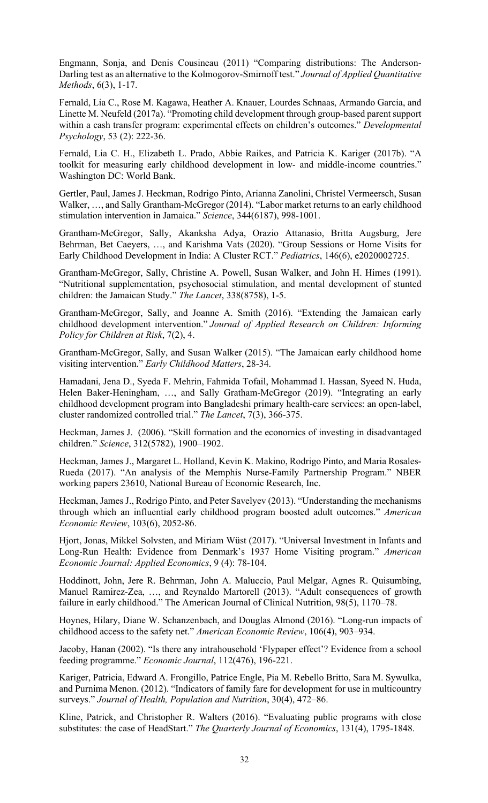Engmann, Sonja, and Denis Cousineau (2011) "Comparing distributions: The Anderson-Darling test as an alternative to the Kolmogorov-Smirnoff test." *Journal of Applied Quantitative Methods*, 6(3), 1-17.

Fernald, Lia C., Rose M. Kagawa, Heather A. Knauer, Lourdes Schnaas, Armando Garcia, and Linette M. Neufeld (2017a). "Promoting child development through group-based parent support within a cash transfer program: experimental effects on children's outcomes." *Developmental Psychology*, 53 (2): 222-36.

Fernald, Lia C. H., Elizabeth L. Prado, Abbie Raikes, and Patricia K. Kariger (2017b). "A toolkit for measuring early childhood development in low- and middle-income countries." Washington DC: World Bank.

Gertler, Paul, James J. Heckman, Rodrigo Pinto, Arianna Zanolini, Christel Vermeersch, Susan Walker, …, and Sally Grantham-McGregor (2014). "Labor market returns to an early childhood stimulation intervention in Jamaica." *Science*, 344(6187), 998-1001.

Grantham-McGregor, Sally, Akanksha Adya, Orazio Attanasio, Britta Augsburg, Jere Behrman, Bet Caeyers, …, and Karishma Vats (2020). "Group Sessions or Home Visits for Early Childhood Development in India: A Cluster RCT." *Pediatrics*, 146(6), e2020002725.

Grantham-McGregor, Sally, Christine A. Powell, Susan Walker, and John H. Himes (1991). "Nutritional supplementation, psychosocial stimulation, and mental development of stunted children: the Jamaican Study." *The Lancet*, 338(8758), 1-5.

Grantham-McGregor, Sally, and Joanne A. Smith (2016). "Extending the Jamaican early childhood development intervention." *Journal of Applied Research on Children: Informing Policy for Children at Risk*, 7(2), 4.

Grantham-McGregor, Sally, and Susan Walker (2015). "The Jamaican early childhood home visiting intervention." *Early Childhood Matters*, 28-34.

Hamadani, Jena D., Syeda F. Mehrin, Fahmida Tofail, Mohammad I. Hassan, Syeed N. Huda, Helen Baker-Heningham, …, and Sally Gratham-McGregor (2019). "Integrating an early childhood development program into Bangladeshi primary health-care services: an open-label, cluster randomized controlled trial." *The Lancet*, 7(3), 366-375.

Heckman, James J. (2006). "Skill formation and the economics of investing in disadvantaged children." *Science*, 312(5782), 1900–1902.

Heckman, James J., Margaret L. Holland, Kevin K. Makino, Rodrigo Pinto, and Maria Rosales-Rueda (2017). "An analysis of the Memphis Nurse-Family Partnership Program." NBER working papers 23610, National Bureau of Economic Research, Inc.

Heckman, James J., Rodrigo Pinto, and Peter Savelyev (2013). "Understanding the mechanisms through which an influential early childhood program boosted adult outcomes." *American Economic Review*, 103(6), 2052-86.

Hjort, Jonas, Mikkel Solvsten, and Miriam Wüst (2017). "Universal Investment in Infants and Long-Run Health: Evidence from Denmark's 1937 Home Visiting program." *American Economic Journal: Applied Economics*, 9 (4): 78-104.

Hoddinott, John, Jere R. Behrman, John A. Maluccio, Paul Melgar, Agnes R. Quisumbing, Manuel Ramirez-Zea, …, and Reynaldo Martorell (2013). "Adult consequences of growth failure in early childhood." The American Journal of Clinical Nutrition, 98(5), 1170–78.

Hoynes, Hilary, Diane W. Schanzenbach, and Douglas Almond (2016). "Long-run impacts of childhood access to the safety net." *American Economic Review*, 106(4), 903–934.

Jacoby, Hanan (2002). "Is there any intrahousehold 'Flypaper effect'? Evidence from a school feeding programme." *Economic Journal*, 112(476), 196-221.

Kariger, Patricia, Edward A. Frongillo, Patrice Engle, Pia M. Rebello Britto, Sara M. Sywulka, and Purnima Menon. (2012). "Indicators of family fare for development for use in multicountry surveys." *Journal of Health, Population and Nutrition*, 30(4), 472–86.

Kline, Patrick, and Christopher R. Walters (2016). "Evaluating public programs with close substitutes: the case of HeadStart." *The Quarterly Journal of Economics*, 131(4), 1795-1848.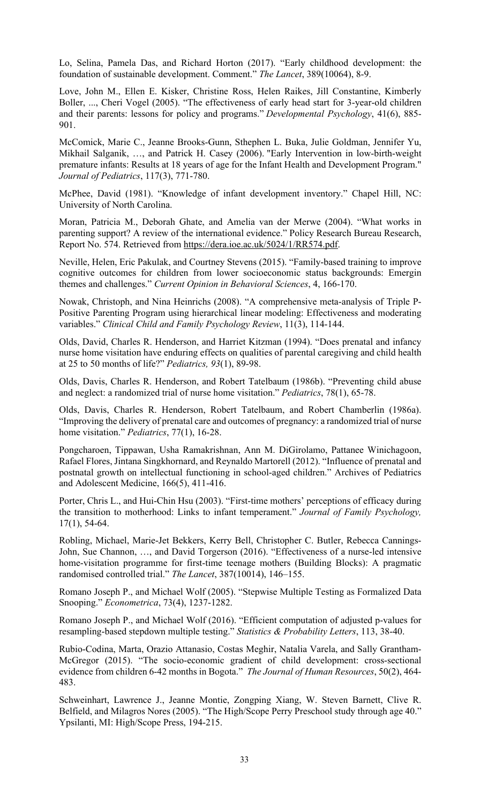Lo, Selina, Pamela Das, and Richard Horton (2017). "Early childhood development: the foundation of sustainable development. Comment." *The Lancet*, 389(10064), 8-9.

Love, John M., Ellen E. Kisker, Christine Ross, Helen Raikes, Jill Constantine, Kimberly Boller, ..., Cheri Vogel (2005). "The effectiveness of early head start for 3-year-old children and their parents: lessons for policy and programs." *Developmental Psychology*, 41(6), 885- 901.

McComick, Marie C., Jeanne Brooks-Gunn, Sthephen L. Buka, Julie Goldman, Jennifer Yu, Mikhail Salganik, …, and Patrick H. Casey (2006). "Early Intervention in low-birth-weight premature infants: Results at 18 years of age for the Infant Health and Development Program." *Journal of Pediatrics*, 117(3), 771-780.

McPhee, David (1981). "Knowledge of infant development inventory." Chapel Hill, NC: University of North Carolina.

Moran, Patricia M., Deborah Ghate, and Amelia van der Merwe (2004). "What works in parenting support? A review of the international evidence." Policy Research Bureau Research, Report No. 574. Retrieved from https://dera.ioe.ac.uk/5024/1/RR574.pdf.

Neville, Helen, Eric Pakulak, and Courtney Stevens (2015). "Family-based training to improve cognitive outcomes for children from lower socioeconomic status backgrounds: Emergin themes and challenges." *Current Opinion in Behavioral Sciences*, 4, 166-170.

Nowak, Christoph, and Nina Heinrichs (2008). "A comprehensive meta-analysis of Triple P-Positive Parenting Program using hierarchical linear modeling: Effectiveness and moderating variables." *Clinical Child and Family Psychology Review*, 11(3), 114-144.

Olds, David, Charles R. Henderson, and Harriet Kitzman (1994). "Does prenatal and infancy nurse home visitation have enduring effects on qualities of parental caregiving and child health at 25 to 50 months of life?" *Pediatrics, 93*(1), 89-98.

Olds, Davis, Charles R. Henderson, and Robert Tatelbaum (1986b). "Preventing child abuse and neglect: a randomized trial of nurse home visitation." *Pediatrics*, 78(1), 65-78.

Olds, Davis, Charles R. Henderson, Robert Tatelbaum, and Robert Chamberlin (1986a). "Improving the delivery of prenatal care and outcomes of pregnancy: a randomized trial of nurse home visitation." *Pediatrics*, 77(1), 16-28.

Pongcharoen, Tippawan, Usha Ramakrishnan, Ann M. DiGirolamo, Pattanee Winichagoon, Rafael Flores, Jintana Singkhornard, and Reynaldo Martorell (2012). "Influence of prenatal and postnatal growth on intellectual functioning in school-aged children." Archives of Pediatrics and Adolescent Medicine, 166(5), 411-416.

Porter, Chris L., and Hui-Chin Hsu (2003). "First-time mothers' perceptions of efficacy during the transition to motherhood: Links to infant temperament." *Journal of Family Psychology,*  17(1), 54-64.

Robling, Michael, Marie-Jet Bekkers, Kerry Bell, Christopher C. Butler, Rebecca Cannings-John, Sue Channon, …, and David Torgerson (2016). "Effectiveness of a nurse-led intensive home-visitation programme for first-time teenage mothers (Building Blocks): A pragmatic randomised controlled trial." *The Lancet*, 387(10014), 146–155.

Romano Joseph P., and Michael Wolf (2005). "Stepwise Multiple Testing as Formalized Data Snooping." *Econometrica*, 73(4), 1237-1282.

Romano Joseph P., and Michael Wolf (2016). "Efficient computation of adjusted p-values for resampling-based stepdown multiple testing." *Statistics & Probability Letters*, 113, 38-40.

Rubio-Codina, Marta, Orazio Attanasio, Costas Meghir, Natalia Varela, and Sally Grantham-McGregor (2015). "The socio-economic gradient of child development: cross-sectional evidence from children 6-42 months in Bogota." *The Journal of Human Resources*, 50(2), 464- 483.

Schweinhart, Lawrence J., Jeanne Montie, Zongping Xiang, W. Steven Barnett, Clive R. Belfield, and Milagros Nores (2005). "The High/Scope Perry Preschool study through age 40." Ypsilanti, MI: High/Scope Press, 194-215.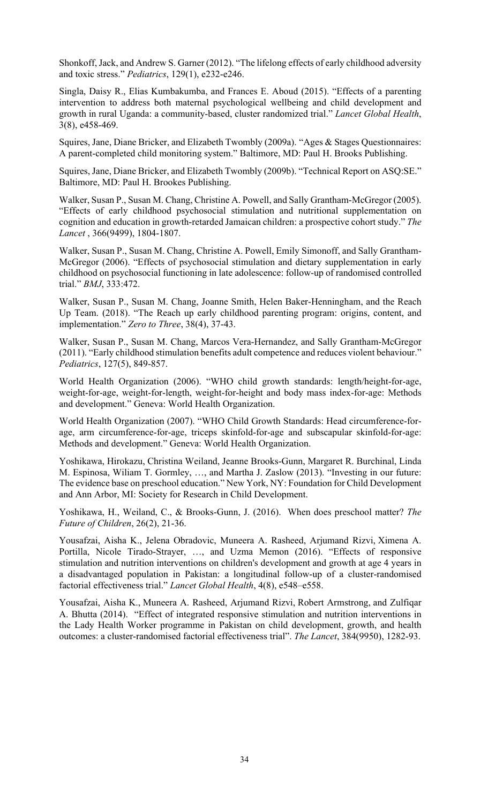Shonkoff, Jack, and Andrew S. Garner (2012). "The lifelong effects of early childhood adversity and toxic stress." *Pediatrics*, 129(1), e232-e246.

Singla, Daisy R., Elias Kumbakumba, and Frances E. Aboud (2015). "Effects of a parenting intervention to address both maternal psychological wellbeing and child development and growth in rural Uganda: a community-based, cluster randomized trial." *Lancet Global Health*, 3(8), e458-469.

Squires, Jane, Diane Bricker, and Elizabeth Twombly (2009a). "Ages & Stages Questionnaires: A parent-completed child monitoring system." Baltimore, MD: Paul H. Brooks Publishing.

Squires, Jane, Diane Bricker, and Elizabeth Twombly (2009b). "Technical Report on ASQ:SE." Baltimore, MD: Paul H. Brookes Publishing.

Walker, Susan P., Susan M. Chang, Christine A. Powell, and Sally Grantham-McGregor (2005). "Effects of early childhood psychosocial stimulation and nutritional supplementation on cognition and education in growth-retarded Jamaican children: a prospective cohort study." *The Lancet* , 366(9499), 1804-1807.

Walker, Susan P., Susan M. Chang, Christine A. Powell, Emily Simonoff, and Sally Grantham-McGregor (2006). "Effects of psychosocial stimulation and dietary supplementation in early childhood on psychosocial functioning in late adolescence: follow-up of randomised controlled trial." *BMJ*, 333:472.

Walker, Susan P., Susan M. Chang, Joanne Smith, Helen Baker-Henningham, and the Reach Up Team. (2018). "The Reach up early childhood parenting program: origins, content, and implementation." *Zero to Three*, 38(4), 37-43.

Walker, Susan P., Susan M. Chang, Marcos Vera-Hernandez, and Sally Grantham-McGregor (2011). "Early childhood stimulation benefits adult competence and reduces violent behaviour." *Pediatrics*, 127(5), 849-857.

World Health Organization (2006). "WHO child growth standards: length/height-for-age, weight-for-age, weight-for-length, weight-for-height and body mass index-for-age: Methods and development." Geneva: World Health Organization.

World Health Organization (2007). "WHO Child Growth Standards: Head circumference-forage, arm circumference-for-age, triceps skinfold-for-age and subscapular skinfold-for-age: Methods and development." Geneva: World Health Organization.

Yoshikawa, Hirokazu, Christina Weiland, Jeanne Brooks-Gunn, Margaret R. Burchinal, Linda M. Espinosa, Wiliam T. Gormley, …, and Martha J. Zaslow (2013). "Investing in our future: The evidence base on preschool education." New York, NY: Foundation for Child Development and Ann Arbor, MI: Society for Research in Child Development.

Yoshikawa, H., Weiland, C., & Brooks-Gunn, J. (2016). When does preschool matter? *The Future of Children*, 26(2), 21-36.

Yousafzai, Aisha K., Jelena Obradovic, Muneera A. Rasheed, Arjumand Rizvi, Ximena A. Portilla, Nicole Tirado-Strayer, …, and Uzma Memon (2016). "Effects of responsive stimulation and nutrition interventions on children's development and growth at age 4 years in a disadvantaged population in Pakistan: a longitudinal follow‐up of a cluster‐randomised factorial effectiveness trial." *Lancet Global Health*, 4(8), e548–e558.

Yousafzai, Aisha K., Muneera A. Rasheed, Arjumand Rizvi, Robert Armstrong, and Zulfiqar A. Bhutta (2014). "Effect of integrated responsive stimulation and nutrition interventions in the Lady Health Worker programme in Pakistan on child development, growth, and health outcomes: a cluster-randomised factorial effectiveness trial". *The Lancet*, 384(9950), 1282-93.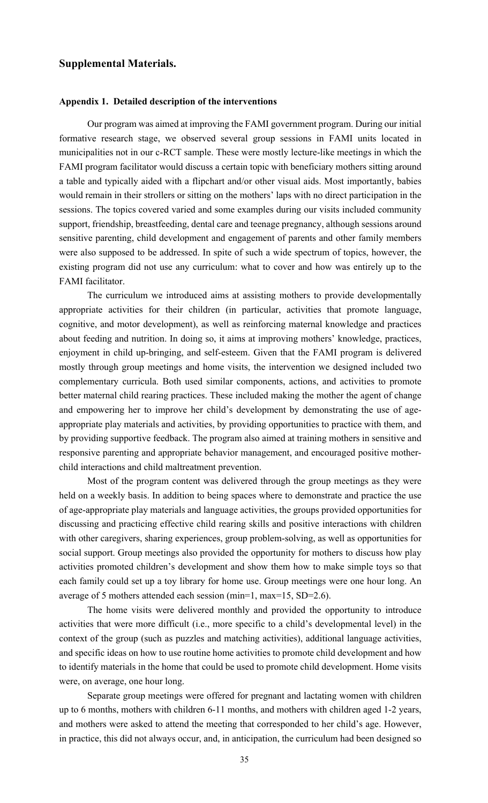### **Supplemental Materials.**

### **Appendix 1. Detailed description of the interventions**

Our program was aimed at improving the FAMI government program. During our initial formative research stage, we observed several group sessions in FAMI units located in municipalities not in our c-RCT sample. These were mostly lecture-like meetings in which the FAMI program facilitator would discuss a certain topic with beneficiary mothers sitting around a table and typically aided with a flipchart and/or other visual aids. Most importantly, babies would remain in their strollers or sitting on the mothers' laps with no direct participation in the sessions. The topics covered varied and some examples during our visits included community support, friendship, breastfeeding, dental care and teenage pregnancy, although sessions around sensitive parenting, child development and engagement of parents and other family members were also supposed to be addressed. In spite of such a wide spectrum of topics, however, the existing program did not use any curriculum: what to cover and how was entirely up to the FAMI facilitator.

The curriculum we introduced aims at assisting mothers to provide developmentally appropriate activities for their children (in particular, activities that promote language, cognitive, and motor development), as well as reinforcing maternal knowledge and practices about feeding and nutrition. In doing so, it aims at improving mothers' knowledge, practices, enjoyment in child up-bringing, and self-esteem. Given that the FAMI program is delivered mostly through group meetings and home visits, the intervention we designed included two complementary curricula. Both used similar components, actions, and activities to promote better maternal child rearing practices. These included making the mother the agent of change and empowering her to improve her child's development by demonstrating the use of ageappropriate play materials and activities, by providing opportunities to practice with them, and by providing supportive feedback. The program also aimed at training mothers in sensitive and responsive parenting and appropriate behavior management, and encouraged positive motherchild interactions and child maltreatment prevention.

Most of the program content was delivered through the group meetings as they were held on a weekly basis. In addition to being spaces where to demonstrate and practice the use of age-appropriate play materials and language activities, the groups provided opportunities for discussing and practicing effective child rearing skills and positive interactions with children with other caregivers, sharing experiences, group problem-solving, as well as opportunities for social support. Group meetings also provided the opportunity for mothers to discuss how play activities promoted children's development and show them how to make simple toys so that each family could set up a toy library for home use. Group meetings were one hour long. An average of 5 mothers attended each session (min=1, max=15, SD=2.6).

The home visits were delivered monthly and provided the opportunity to introduce activities that were more difficult (i.e., more specific to a child's developmental level) in the context of the group (such as puzzles and matching activities), additional language activities, and specific ideas on how to use routine home activities to promote child development and how to identify materials in the home that could be used to promote child development. Home visits were, on average, one hour long.

Separate group meetings were offered for pregnant and lactating women with children up to 6 months, mothers with children 6-11 months, and mothers with children aged 1-2 years, and mothers were asked to attend the meeting that corresponded to her child's age. However, in practice, this did not always occur, and, in anticipation, the curriculum had been designed so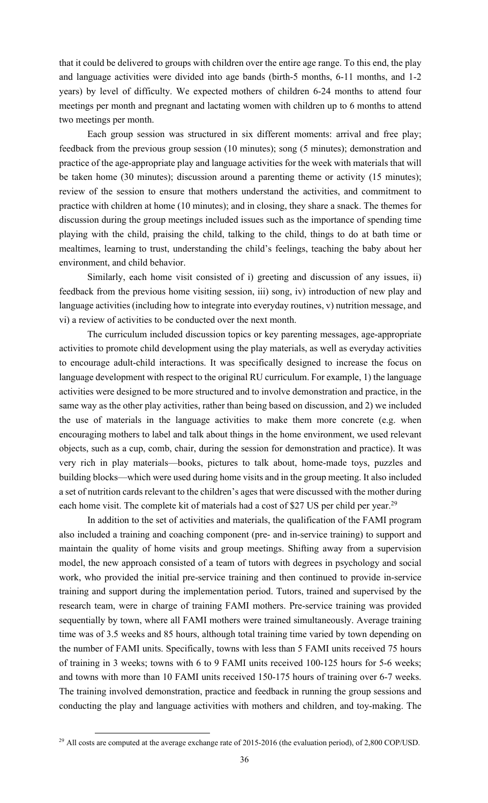that it could be delivered to groups with children over the entire age range. To this end, the play and language activities were divided into age bands (birth-5 months, 6-11 months, and 1-2 years) by level of difficulty. We expected mothers of children 6-24 months to attend four meetings per month and pregnant and lactating women with children up to 6 months to attend two meetings per month.

Each group session was structured in six different moments: arrival and free play; feedback from the previous group session (10 minutes); song (5 minutes); demonstration and practice of the age-appropriate play and language activities for the week with materials that will be taken home (30 minutes); discussion around a parenting theme or activity (15 minutes); review of the session to ensure that mothers understand the activities, and commitment to practice with children at home (10 minutes); and in closing, they share a snack. The themes for discussion during the group meetings included issues such as the importance of spending time playing with the child, praising the child, talking to the child, things to do at bath time or mealtimes, learning to trust, understanding the child's feelings, teaching the baby about her environment, and child behavior.

Similarly, each home visit consisted of i) greeting and discussion of any issues, ii) feedback from the previous home visiting session, iii) song, iv) introduction of new play and language activities (including how to integrate into everyday routines, v) nutrition message, and vi) a review of activities to be conducted over the next month.

The curriculum included discussion topics or key parenting messages, age-appropriate activities to promote child development using the play materials, as well as everyday activities to encourage adult-child interactions. It was specifically designed to increase the focus on language development with respect to the original RU curriculum. For example, 1) the language activities were designed to be more structured and to involve demonstration and practice, in the same way as the other play activities, rather than being based on discussion, and 2) we included the use of materials in the language activities to make them more concrete (e.g. when encouraging mothers to label and talk about things in the home environment, we used relevant objects, such as a cup, comb, chair, during the session for demonstration and practice). It was very rich in play materials—books, pictures to talk about, home-made toys, puzzles and building blocks—which were used during home visits and in the group meeting. It also included a set of nutrition cards relevant to the children's ages that were discussed with the mother during each home visit. The complete kit of materials had a cost of \$27 US per child per year.<sup>29</sup>

In addition to the set of activities and materials, the qualification of the FAMI program also included a training and coaching component (pre- and in-service training) to support and maintain the quality of home visits and group meetings. Shifting away from a supervision model, the new approach consisted of a team of tutors with degrees in psychology and social work, who provided the initial pre-service training and then continued to provide in-service training and support during the implementation period. Tutors, trained and supervised by the research team, were in charge of training FAMI mothers. Pre-service training was provided sequentially by town, where all FAMI mothers were trained simultaneously. Average training time was of 3.5 weeks and 85 hours, although total training time varied by town depending on the number of FAMI units. Specifically, towns with less than 5 FAMI units received 75 hours of training in 3 weeks; towns with 6 to 9 FAMI units received 100-125 hours for 5-6 weeks; and towns with more than 10 FAMI units received 150-175 hours of training over 6-7 weeks. The training involved demonstration, practice and feedback in running the group sessions and conducting the play and language activities with mothers and children, and toy-making. The

<sup>&</sup>lt;sup>29</sup> All costs are computed at the average exchange rate of 2015-2016 (the evaluation period), of 2,800 COP/USD.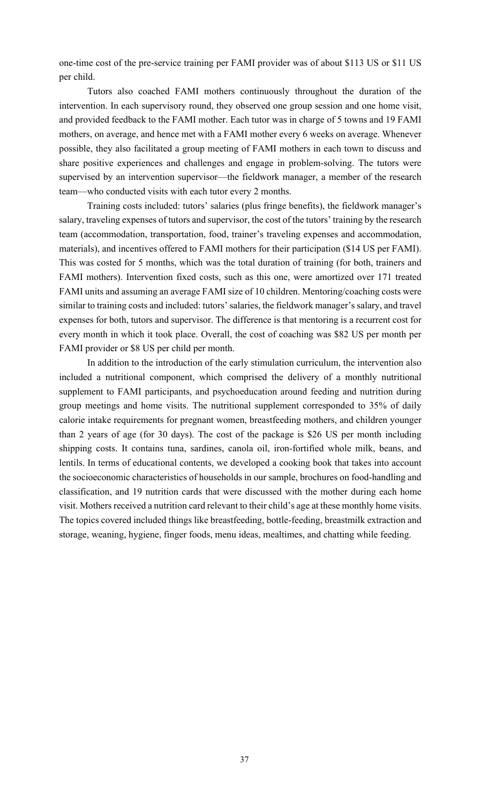one-time cost of the pre-service training per FAMI provider was of about \$113 US or \$11 US per child.

Tutors also coached FAMI mothers continuously throughout the duration of the intervention. In each supervisory round, they observed one group session and one home visit, and provided feedback to the FAMI mother. Each tutor was in charge of 5 towns and 19 FAMI mothers, on average, and hence met with a FAMI mother every 6 weeks on average. Whenever possible, they also facilitated a group meeting of FAMI mothers in each town to discuss and share positive experiences and challenges and engage in problem-solving. The tutors were supervised by an intervention supervisor—the fieldwork manager, a member of the research team—who conducted visits with each tutor every 2 months.

Training costs included: tutors' salaries (plus fringe benefits), the fieldwork manager's salary, traveling expenses of tutors and supervisor, the cost of the tutors' training by the research team (accommodation, transportation, food, trainer's traveling expenses and accommodation, materials), and incentives offered to FAMI mothers for their participation (\$14 US per FAMI). This was costed for 5 months, which was the total duration of training (for both, trainers and FAMI mothers). Intervention fixed costs, such as this one, were amortized over 171 treated FAMI units and assuming an average FAMI size of 10 children. Mentoring/coaching costs were similar to training costs and included: tutors' salaries, the fieldwork manager's salary, and travel expenses for both, tutors and supervisor. The difference is that mentoring is a recurrent cost for every month in which it took place. Overall, the cost of coaching was \$82 US per month per FAMI provider or \$8 US per child per month.

In addition to the introduction of the early stimulation curriculum, the intervention also included a nutritional component, which comprised the delivery of a monthly nutritional supplement to FAMI participants, and psychoeducation around feeding and nutrition during group meetings and home visits. The nutritional supplement corresponded to 35% of daily calorie intake requirements for pregnant women, breastfeeding mothers, and children younger than 2 years of age (for 30 days). The cost of the package is \$26 US per month including shipping costs. It contains tuna, sardines, canola oil, iron-fortified whole milk, beans, and lentils. In terms of educational contents, we developed a cooking book that takes into account the socioeconomic characteristics of households in our sample, brochures on food-handling and classification, and 19 nutrition cards that were discussed with the mother during each home visit. Mothers received a nutrition card relevant to their child's age at these monthly home visits. The topics covered included things like breastfeeding, bottle-feeding, breastmilk extraction and storage, weaning, hygiene, finger foods, menu ideas, mealtimes, and chatting while feeding.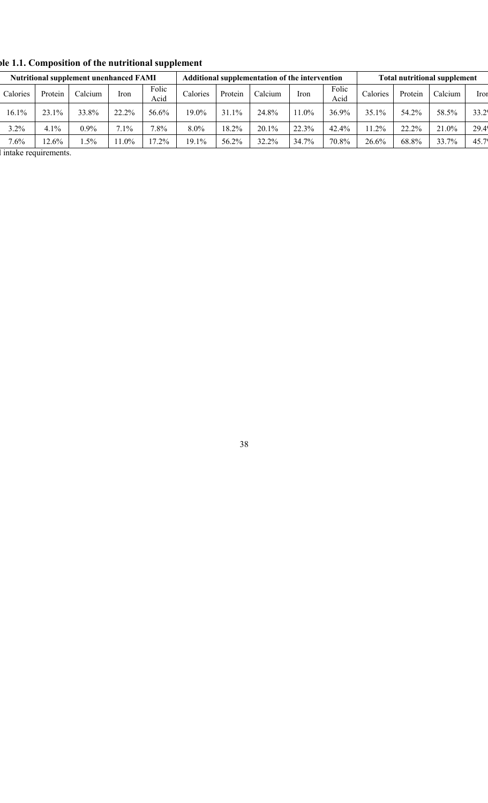|          |         | <b>Nutritional supplement unenhanced FAMI</b> |         |               | Additional supplementation of the intervention |         |         |         | <b>Total nutritional supplement</b> |          |         |         |                |
|----------|---------|-----------------------------------------------|---------|---------------|------------------------------------------------|---------|---------|---------|-------------------------------------|----------|---------|---------|----------------|
| Calories | Protein | Calcium                                       | Iron    | Folic<br>Acıd | Calories                                       | Protein | Calcium | Iron    | Folic<br>Acid                       | Calories | Protein | Calcium | Iror           |
| 16.1%    | 23.1%   | 33.8%                                         | 22.2%   | 56.6%         | $19.0\%$                                       | 31.1%   | 24.8%   | $1.0\%$ | 36.9%                               | 35.1%    | 54.2%   | 58.5%   | 33.2           |
| 3.2%     | 4.1%    | $0.9\%$                                       | $7.1\%$ | $7.8\%$       | 8.0%                                           | 18.2%   | 20.1%   | 22.3%   | 42.4%                               | 1.2%     | 22.2%   | 21.0%   | 29.4           |
| 7.6%     | 2.6%    | $.5\%$                                        | 11.0%   | $17.2\%$      | $19.1\%$                                       | 56.2%   | 32.2%   | 34.7%   | 70.8%                               | 26.6%    | 68.8%   | 33.7%   | $45.7^{\circ}$ |

**Table 1.1. Composition of the nutritional supplement**

I intake requirements.

38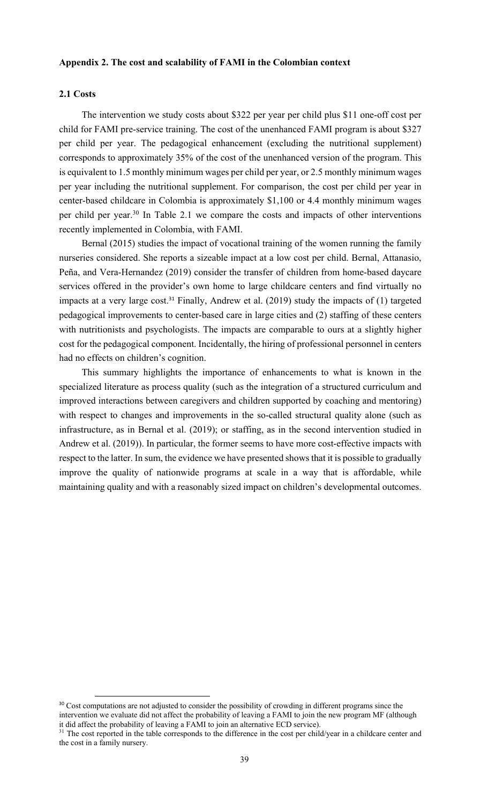### **Appendix 2. The cost and scalability of FAMI in the Colombian context**

### **2.1 Costs**

The intervention we study costs about \$322 per year per child plus \$11 one-off cost per child for FAMI pre-service training. The cost of the unenhanced FAMI program is about \$327 per child per year. The pedagogical enhancement (excluding the nutritional supplement) corresponds to approximately 35% of the cost of the unenhanced version of the program. This is equivalent to 1.5 monthly minimum wages per child per year, or 2.5 monthly minimum wages per year including the nutritional supplement. For comparison, the cost per child per year in center-based childcare in Colombia is approximately \$1,100 or 4.4 monthly minimum wages per child per year.30 In Table 2.1 we compare the costs and impacts of other interventions recently implemented in Colombia, with FAMI.

Bernal (2015) studies the impact of vocational training of the women running the family nurseries considered. She reports a sizeable impact at a low cost per child. Bernal, Attanasio, Peña, and Vera-Hernandez (2019) consider the transfer of children from home-based daycare services offered in the provider's own home to large childcare centers and find virtually no impacts at a very large cost.<sup>31</sup> Finally, Andrew et al. (2019) study the impacts of (1) targeted pedagogical improvements to center-based care in large cities and (2) staffing of these centers with nutritionists and psychologists. The impacts are comparable to ours at a slightly higher cost for the pedagogical component. Incidentally, the hiring of professional personnel in centers had no effects on children's cognition.

This summary highlights the importance of enhancements to what is known in the specialized literature as process quality (such as the integration of a structured curriculum and improved interactions between caregivers and children supported by coaching and mentoring) with respect to changes and improvements in the so-called structural quality alone (such as infrastructure, as in Bernal et al. (2019); or staffing, as in the second intervention studied in Andrew et al. (2019)). In particular, the former seems to have more cost-effective impacts with respect to the latter. In sum, the evidence we have presented shows that it is possible to gradually improve the quality of nationwide programs at scale in a way that is affordable, while maintaining quality and with a reasonably sized impact on children's developmental outcomes.

<sup>&</sup>lt;sup>30</sup> Cost computations are not adjusted to consider the possibility of crowding in different programs since the intervention we evaluate did not affect the probability of leaving a FAMI to join the new program MF (although it did affect the probability of leaving a FAMI to join an alternative ECD service).

<sup>&</sup>lt;sup>31</sup> The cost reported in the table corresponds to the difference in the cost per child/year in a childcare center and the cost in a family nursery.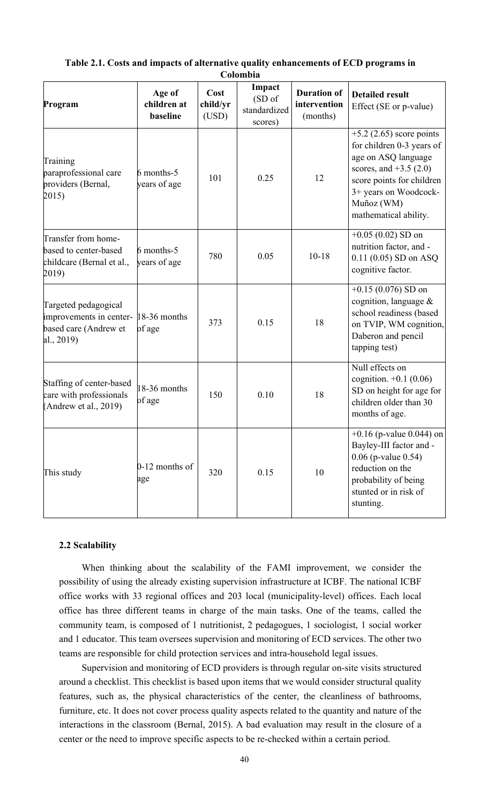| Program                                                                                             | Age of<br>children at<br>baseline | Cost<br>child/yr<br>(USD) | Impact<br>(SD of<br>standardized<br>scores) | <b>Duration of</b><br>intervention<br>(months) | <b>Detailed result</b><br>Effect (SE or p-value)                                                                                                                                                       |
|-----------------------------------------------------------------------------------------------------|-----------------------------------|---------------------------|---------------------------------------------|------------------------------------------------|--------------------------------------------------------------------------------------------------------------------------------------------------------------------------------------------------------|
| Training<br>paraprofessional care<br>providers (Bernal,<br>2015)                                    | 6 months-5<br>years of age        | 101                       | 0.25                                        | 12                                             | $+5.2$ (2.65) score points<br>for children 0-3 years of<br>age on ASQ language<br>scores, and $+3.5(2.0)$<br>score points for children<br>3+ years on Woodcock-<br>Muñoz (WM)<br>mathematical ability. |
| Transfer from home-<br>based to center-based<br>childcare (Bernal et al.,<br>2019)                  | 6 months-5<br>years of age        | 780                       | 0.05                                        | $10 - 18$                                      | $+0.05(0.02)$ SD on<br>nutrition factor, and -<br>$0.11(0.05)$ SD on ASQ<br>cognitive factor.                                                                                                          |
| Targeted pedagogical<br>improvements in center- 18-36 months<br>based care (Andrew et<br>al., 2019) | of age                            | 373                       | 0.15                                        | 18                                             | $+0.15(0.076)$ SD on<br>cognition, language $\&$<br>school readiness (based<br>on TVIP, WM cognition,<br>Daberon and pencil<br>tapping test)                                                           |
| Staffing of center-based<br>care with professionals<br>(Andrew et al., 2019)                        | 18-36 months<br>of age            | 150                       | 0.10                                        | 18                                             | Null effects on<br>cognition. $+0.1$ (0.06)<br>SD on height for age for<br>children older than 30<br>months of age.                                                                                    |
| This study                                                                                          | 0-12 months of<br>age             | 320                       | 0.15                                        | 10                                             | $+0.16$ (p-value 0.044) on<br>Bayley-III factor and -<br>0.06 (p-value 0.54)<br>reduction on the<br>probability of being<br>stunted or in risk of<br>stunting.                                         |

### **Table 2.1. Costs and impacts of alternative quality enhancements of ECD programs in Colombia**

### **2.2 Scalability**

When thinking about the scalability of the FAMI improvement, we consider the possibility of using the already existing supervision infrastructure at ICBF. The national ICBF office works with 33 regional offices and 203 local (municipality-level) offices. Each local office has three different teams in charge of the main tasks. One of the teams, called the community team, is composed of 1 nutritionist, 2 pedagogues, 1 sociologist, 1 social worker and 1 educator. This team oversees supervision and monitoring of ECD services. The other two teams are responsible for child protection services and intra-household legal issues.

Supervision and monitoring of ECD providers is through regular on-site visits structured around a checklist. This checklist is based upon items that we would consider structural quality features, such as, the physical characteristics of the center, the cleanliness of bathrooms, furniture, etc. It does not cover process quality aspects related to the quantity and nature of the interactions in the classroom (Bernal, 2015). A bad evaluation may result in the closure of a center or the need to improve specific aspects to be re-checked within a certain period.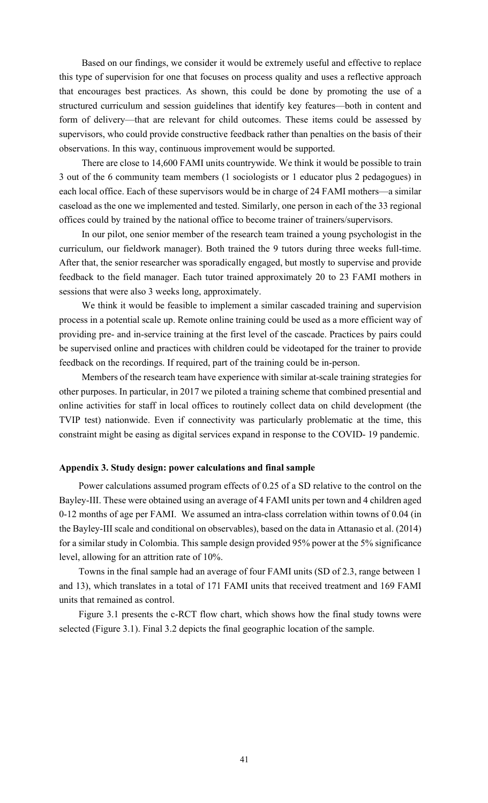Based on our findings, we consider it would be extremely useful and effective to replace this type of supervision for one that focuses on process quality and uses a reflective approach that encourages best practices. As shown, this could be done by promoting the use of a structured curriculum and session guidelines that identify key features—both in content and form of delivery—that are relevant for child outcomes. These items could be assessed by supervisors, who could provide constructive feedback rather than penalties on the basis of their observations. In this way, continuous improvement would be supported.

There are close to 14,600 FAMI units countrywide. We think it would be possible to train 3 out of the 6 community team members (1 sociologists or 1 educator plus 2 pedagogues) in each local office. Each of these supervisors would be in charge of 24 FAMI mothers—a similar caseload as the one we implemented and tested. Similarly, one person in each of the 33 regional offices could by trained by the national office to become trainer of trainers/supervisors.

In our pilot, one senior member of the research team trained a young psychologist in the curriculum, our fieldwork manager). Both trained the 9 tutors during three weeks full-time. After that, the senior researcher was sporadically engaged, but mostly to supervise and provide feedback to the field manager. Each tutor trained approximately 20 to 23 FAMI mothers in sessions that were also 3 weeks long, approximately.

We think it would be feasible to implement a similar cascaded training and supervision process in a potential scale up. Remote online training could be used as a more efficient way of providing pre- and in-service training at the first level of the cascade. Practices by pairs could be supervised online and practices with children could be videotaped for the trainer to provide feedback on the recordings. If required, part of the training could be in-person.

Members of the research team have experience with similar at-scale training strategies for other purposes. In particular, in 2017 we piloted a training scheme that combined presential and online activities for staff in local offices to routinely collect data on child development (the TVIP test) nationwide. Even if connectivity was particularly problematic at the time, this constraint might be easing as digital services expand in response to the COVID- 19 pandemic.

### **Appendix 3. Study design: power calculations and final sample**

Power calculations assumed program effects of 0.25 of a SD relative to the control on the Bayley-III. These were obtained using an average of 4 FAMI units per town and 4 children aged 0-12 months of age per FAMI. We assumed an intra-class correlation within towns of 0.04 (in the Bayley-III scale and conditional on observables), based on the data in Attanasio et al. (2014) for a similar study in Colombia. This sample design provided 95% power at the 5% significance level, allowing for an attrition rate of 10%.

Towns in the final sample had an average of four FAMI units (SD of 2.3, range between 1 and 13), which translates in a total of 171 FAMI units that received treatment and 169 FAMI units that remained as control.

Figure 3.1 presents the c-RCT flow chart, which shows how the final study towns were selected (Figure 3.1). Final 3.2 depicts the final geographic location of the sample.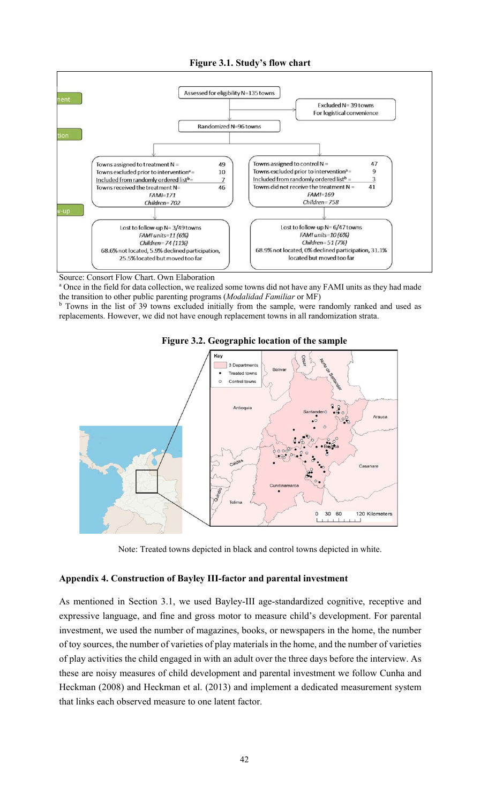



Source: Consort Flow Chart. Own Elaboration

<sup>a</sup> Once in the field for data collection, we realized some towns did not have any FAMI units as they had made the transition to other public parenting programs (*Modalidad Familiar* or MF)

<sup>b</sup> Towns in the list of 39 towns excluded initially from the sample, were randomly ranked and used as replacements. However, we did not have enough replacement towns in all randomization strata.





Note: Treated towns depicted in black and control towns depicted in white.

### **Appendix 4. Construction of Bayley III-factor and parental investment**

As mentioned in Section 3.1, we used Bayley-III age-standardized cognitive, receptive and expressive language, and fine and gross motor to measure child's development. For parental investment, we used the number of magazines, books, or newspapers in the home, the number of toy sources, the number of varieties of play materials in the home, and the number of varieties of play activities the child engaged in with an adult over the three days before the interview. As these are noisy measures of child development and parental investment we follow Cunha and Heckman (2008) and Heckman et al. (2013) and implement a dedicated measurement system that links each observed measure to one latent factor.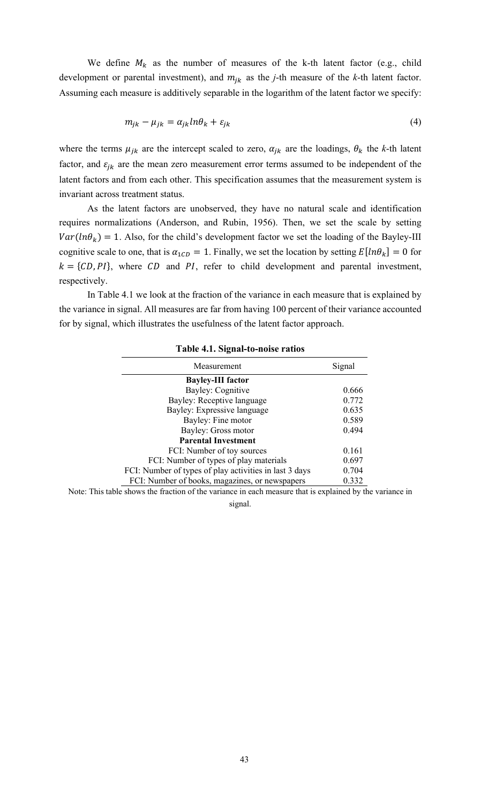We define  $M_k$  as the number of measures of the k-th latent factor (e.g., child development or parental investment), and  $m_{jk}$  as the *j*-th measure of the *k*-th latent factor. Assuming each measure is additively separable in the logarithm of the latent factor we specify:

$$
m_{jk} - \mu_{jk} = \alpha_{jk} ln \theta_k + \varepsilon_{jk}
$$
\n(4)

where the terms  $\mu_{jk}$  are the intercept scaled to zero,  $\alpha_{jk}$  are the loadings,  $\theta_k$  the *k*-th latent factor, and  $\varepsilon_{jk}$  are the mean zero measurement error terms assumed to be independent of the latent factors and from each other. This specification assumes that the measurement system is invariant across treatment status.

As the latent factors are unobserved, they have no natural scale and identification requires normalizations (Anderson, and Rubin, 1956). Then, we set the scale by setting  $Var(ln\theta_k) = 1$ . Also, for the child's development factor we set the loading of the Bayley-III cognitive scale to one, that is  $\alpha_{1CD} = 1$ . Finally, we set the location by setting  $E[ln \theta_k] = 0$  for  $k = \{CD, PI\}$ , where CD and PI, refer to child development and parental investment, respectively.

In Table 4.1 we look at the fraction of the variance in each measure that is explained by the variance in signal. All measures are far from having 100 percent of their variance accounted for by signal, which illustrates the usefulness of the latent factor approach.

| Signal                                                                                                   |
|----------------------------------------------------------------------------------------------------------|
|                                                                                                          |
| 0.666                                                                                                    |
| 0.772                                                                                                    |
| 0.635                                                                                                    |
| 0.589                                                                                                    |
| 0.494                                                                                                    |
|                                                                                                          |
| 0.161                                                                                                    |
| 0.697                                                                                                    |
| 0.704                                                                                                    |
| 0.332                                                                                                    |
| Note: This table shows the fraction of the variance in each measure that is explained by the variance in |
|                                                                                                          |

### **Table 4.1. Signal-to-noise ratios**

signal.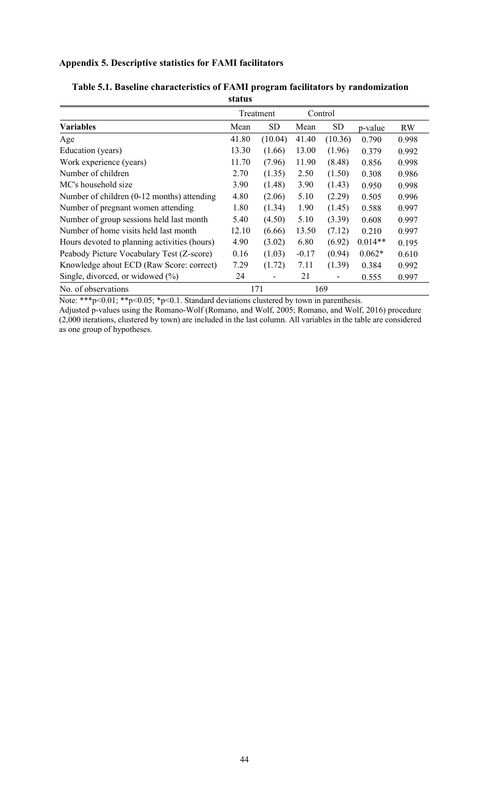# **Appendix 5. Descriptive statistics for FAMI facilitators**

|                                              |       | Treatment |         | Control   |           |       |
|----------------------------------------------|-------|-----------|---------|-----------|-----------|-------|
| <b>Variables</b>                             | Mean  | SD        | Mean    | <b>SD</b> | p-value   | RW    |
| Age                                          | 41.80 | (10.04)   | 41.40   | (10.36)   | 0.790     | 0.998 |
| Education (years)                            | 13.30 | (1.66)    | 13.00   | (1.96)    | 0.379     | 0.992 |
| Work experience (years)                      | 11.70 | (7.96)    | 11.90   | (8.48)    | 0.856     | 0.998 |
| Number of children                           | 2.70  | (1.35)    | 2.50    | (1.50)    | 0.308     | 0.986 |
| MC's household size                          | 3.90  | (1.48)    | 3.90    | (1.43)    | 0.950     | 0.998 |
| Number of children (0-12 months) attending   | 4.80  | (2.06)    | 5.10    | (2.29)    | 0.505     | 0.996 |
| Number of pregnant women attending           | 1.80  | (1.34)    | 1.90    | (1.45)    | 0.588     | 0.997 |
| Number of group sessions held last month     | 5.40  | (4.50)    | 5.10    | (3.39)    | 0.608     | 0.997 |
| Number of home visits held last month        | 12.10 | (6.66)    | 13.50   | (7.12)    | 0.210     | 0.997 |
| Hours devoted to planning activities (hours) | 4.90  | (3.02)    | 6.80    | (6.92)    | $0.014**$ | 0.195 |
| Peabody Picture Vocabulary Test (Z-score)    | 0.16  | (1.03)    | $-0.17$ | (0.94)    | $0.062*$  | 0.610 |
| Knowledge about ECD (Raw Score: correct)     | 7.29  | (1.72)    | 7.11    | (1.39)    | 0.384     | 0.992 |
| Single, divorced, or widowed $(\%)$          | 24    |           | 21      | -         | 0.555     | 0.997 |
| No. of observations                          |       | 171       |         | 169       |           |       |

### **Table 5.1. Baseline characteristics of FAMI program facilitators by randomization status**

Note: \*\*\*p<0.01; \*\*p<0.05; \*p<0.1. Standard deviations clustered by town in parenthesis.

Adjusted p-values using the Romano-Wolf (Romano, and Wolf, 2005; Romano, and Wolf, 2016) procedure (2,000 iterations, clustered by town) are included in the last column. All variables in the table are considered as one group of hypotheses.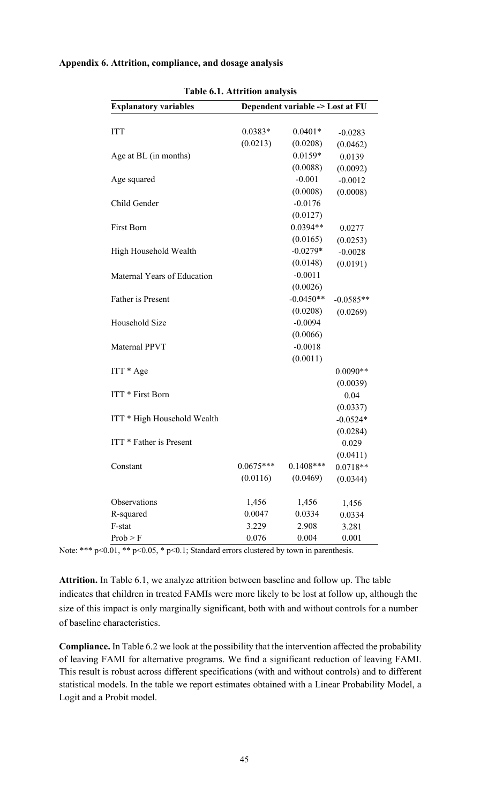| Table 6.1. Attrition analysis                                    |             |             |             |  |  |
|------------------------------------------------------------------|-------------|-------------|-------------|--|--|
| <b>Explanatory variables</b><br>Dependent variable -> Lost at FU |             |             |             |  |  |
| <b>ITT</b>                                                       | $0.0383*$   | $0.0401*$   | $-0.0283$   |  |  |
|                                                                  | (0.0213)    | (0.0208)    | (0.0462)    |  |  |
| Age at BL (in months)                                            |             | $0.0159*$   | 0.0139      |  |  |
|                                                                  |             | (0.0088)    | (0.0092)    |  |  |
| Age squared                                                      |             | $-0.001$    | $-0.0012$   |  |  |
|                                                                  |             | (0.0008)    | (0.0008)    |  |  |
| Child Gender                                                     |             | $-0.0176$   |             |  |  |
|                                                                  |             | (0.0127)    |             |  |  |
| First Born                                                       |             | $0.0394**$  | 0.0277      |  |  |
|                                                                  |             | (0.0165)    | (0.0253)    |  |  |
| High Household Wealth                                            |             | $-0.0279*$  | $-0.0028$   |  |  |
|                                                                  |             | (0.0148)    | (0.0191)    |  |  |
| Maternal Years of Education                                      |             | $-0.0011$   |             |  |  |
|                                                                  |             | (0.0026)    |             |  |  |
| Father is Present                                                |             | $-0.0450**$ | $-0.0585**$ |  |  |
|                                                                  |             | (0.0208)    | (0.0269)    |  |  |
| Household Size                                                   |             | $-0.0094$   |             |  |  |
|                                                                  |             | (0.0066)    |             |  |  |
| Maternal PPVT                                                    |             | $-0.0018$   |             |  |  |
|                                                                  |             | (0.0011)    |             |  |  |
| $ITT * Age$                                                      |             |             | $0.0090**$  |  |  |
|                                                                  |             |             | (0.0039)    |  |  |
| ITT * First Born                                                 |             |             | 0.04        |  |  |
|                                                                  |             |             | (0.0337)    |  |  |
| ITT * High Household Wealth                                      |             |             | $-0.0524*$  |  |  |
|                                                                  |             |             | (0.0284)    |  |  |
| ITT * Father is Present                                          |             |             | 0.029       |  |  |
|                                                                  |             |             | (0.0411)    |  |  |
| Constant                                                         | $0.0675***$ | $0.1408***$ | $0.0718**$  |  |  |
|                                                                  | (0.0116)    | (0.0469)    | (0.0344)    |  |  |
| Observations                                                     | 1,456       | 1,456       | 1,456       |  |  |
| R-squared                                                        | 0.0047      | 0.0334      | 0.0334      |  |  |
| F-stat                                                           | 3.229       | 2.908       | 3.281       |  |  |
| Prob > F                                                         | 0.076       | 0.004       | 0.001       |  |  |

### **Appendix 6. Attrition, compliance, and dosage analysis**

Note: \*\*\*  $p<0.01$ , \*\*  $p<0.05$ , \*  $p<0.1$ ; Standard errors clustered by town in parenthesis.

**Attrition.** In Table 6.1, we analyze attrition between baseline and follow up. The table indicates that children in treated FAMIs were more likely to be lost at follow up, although the size of this impact is only marginally significant, both with and without controls for a number of baseline characteristics.

**Compliance.** In Table 6.2 we look at the possibility that the intervention affected the probability of leaving FAMI for alternative programs. We find a significant reduction of leaving FAMI. This result is robust across different specifications (with and without controls) and to different statistical models. In the table we report estimates obtained with a Linear Probability Model, a Logit and a Probit model.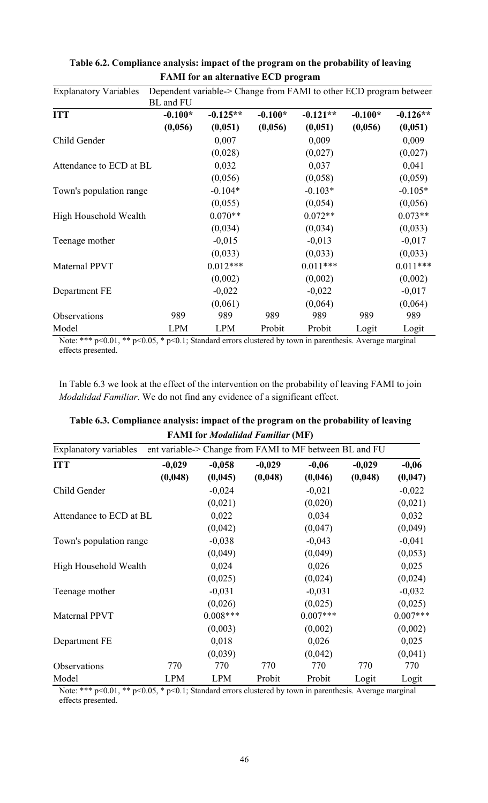| <b>Explanatory Variables</b> | Dependent variable-> Change from FAMI to other ECD program between<br><b>BL</b> and FU |            |           |            |           |            |
|------------------------------|----------------------------------------------------------------------------------------|------------|-----------|------------|-----------|------------|
| <b>ITT</b>                   | $-0.100*$                                                                              | $-0.125**$ | $-0.100*$ | $-0.121**$ | $-0.100*$ | $-0.126**$ |
|                              | (0,056)                                                                                | (0,051)    | (0,056)   | (0,051)    | (0,056)   | (0,051)    |
| Child Gender                 |                                                                                        | 0,007      |           | 0,009      |           | 0,009      |
|                              |                                                                                        | (0,028)    |           | (0,027)    |           | (0,027)    |
| Attendance to ECD at BL      |                                                                                        | 0,032      |           | 0,037      |           | 0,041      |
|                              |                                                                                        | (0,056)    |           | (0,058)    |           | (0,059)    |
| Town's population range      |                                                                                        | $-0.104*$  |           | $-0.103*$  |           | $-0.105*$  |
|                              |                                                                                        | (0,055)    |           | (0,054)    |           | (0,056)    |
| High Household Wealth        |                                                                                        | $0.070**$  |           | $0.072**$  |           | $0.073**$  |
|                              |                                                                                        | (0,034)    |           | (0,034)    |           | (0,033)    |
| Teenage mother               |                                                                                        | $-0,015$   |           | $-0,013$   |           | $-0,017$   |
|                              |                                                                                        | (0,033)    |           | (0,033)    |           | (0,033)    |
| <b>Maternal PPVT</b>         |                                                                                        | $0.012***$ |           | $0.011***$ |           | $0.011***$ |
|                              |                                                                                        | (0,002)    |           | (0,002)    |           | (0,002)    |
| Department FE                |                                                                                        | $-0,022$   |           | $-0,022$   |           | $-0,017$   |
|                              |                                                                                        | (0,061)    |           | (0,064)    |           | (0,064)    |
| Observations                 | 989                                                                                    | 989        | 989       | 989        | 989       | 989        |
| Model                        | <b>LPM</b>                                                                             | <b>LPM</b> | Probit    | Probit     | Logit     | Logit      |

**Table 6.2. Compliance analysis: impact of the program on the probability of leaving FAMI for an alternative ECD program**

Note: \*\*\* p<0.01, \*\* p<0.05, \* p<0.1; Standard errors clustered by town in parenthesis. Average marginal effects presented.

In Table 6.3 we look at the effect of the intervention on the probability of leaving FAMI to join *Modalidad Familiar*. We do not find any evidence of a significant effect.

| <b>FAMI</b> for <i>Modalidad Familiar</i> (MF)                                          |            |            |          |            |          |            |
|-----------------------------------------------------------------------------------------|------------|------------|----------|------------|----------|------------|
| <b>Explanatory variables</b><br>ent variable-> Change from FAMI to MF between BL and FU |            |            |          |            |          |            |
| <b>ITT</b>                                                                              | $-0,029$   | $-0,058$   | $-0,029$ | $-0,06$    | $-0,029$ | $-0,06$    |
|                                                                                         | (0,048)    | (0,045)    | (0,048)  | (0,046)    | (0,048)  | (0,047)    |
| Child Gender                                                                            |            | $-0,024$   |          | $-0,021$   |          | $-0,022$   |
|                                                                                         |            | (0,021)    |          | (0,020)    |          | (0,021)    |
| Attendance to ECD at BL                                                                 |            | 0,022      |          | 0,034      |          | 0,032      |
|                                                                                         |            | (0,042)    |          | (0,047)    |          | (0,049)    |
| Town's population range                                                                 |            | $-0,038$   |          | $-0,043$   |          | $-0,041$   |
|                                                                                         |            | (0,049)    |          | (0,049)    |          | (0,053)    |
| High Household Wealth                                                                   |            | 0,024      |          | 0,026      |          | 0,025      |
|                                                                                         |            | (0,025)    |          | (0,024)    |          | (0,024)    |
| Teenage mother                                                                          |            | $-0,031$   |          | $-0,031$   |          | $-0,032$   |
|                                                                                         |            | (0,026)    |          | (0,025)    |          | (0,025)    |
| Maternal PPVT                                                                           |            | $0.008***$ |          | $0.007***$ |          | $0.007***$ |
|                                                                                         |            | (0,003)    |          | (0,002)    |          | (0,002)    |
| Department FE                                                                           |            | 0,018      |          | 0,026      |          | 0,025      |
|                                                                                         |            | (0,039)    |          | (0,042)    |          | (0,041)    |
| Observations                                                                            | 770        | 770        | 770      | 770        | 770      | 770        |
| Model                                                                                   | <b>LPM</b> | <b>LPM</b> | Probit   | Probit     | Logit    | Logit      |

# **Table 6.3. Compliance analysis: impact of the program on the probability of leaving**

Note: \*\*\* p<0.01, \*\* p<0.05, \* p<0.1; Standard errors clustered by town in parenthesis. Average marginal effects presented.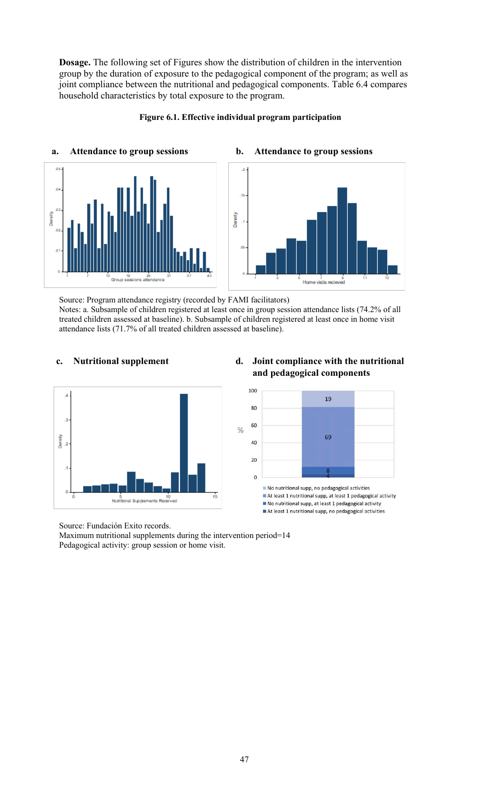**Dosage.** The following set of Figures show the distribution of children in the intervention group by the duration of exposure to the pedagogical component of the program; as well as joint compliance between the nutritional and pedagogical components. Table 6.4 compares household characteristics by total exposure to the program.



### **Figure 6.1. Effective individual program participation**

Source: Program attendance registry (recorded by FAMI facilitators) Notes: a. Subsample of children registered at least once in group session attendance lists (74.2% of all treated children assessed at baseline). b. Subsample of children registered at least once in home visit attendance lists (71.7% of all treated children assessed at baseline).

 $\frac{0}{0}$ 



# **c. Nutritional supplement d. Joint compliance with the nutritional and pedagogical components**



At least 1 nutritional supp, at least 1 pedagogical activity No nutritional supp, at least 1 pedagogical activity At least 1 nutritional supp, no pedagogical activities

Source: Fundación Exito records.

Maximum nutritional supplements during the intervention period=14 Pedagogical activity: group session or home visit.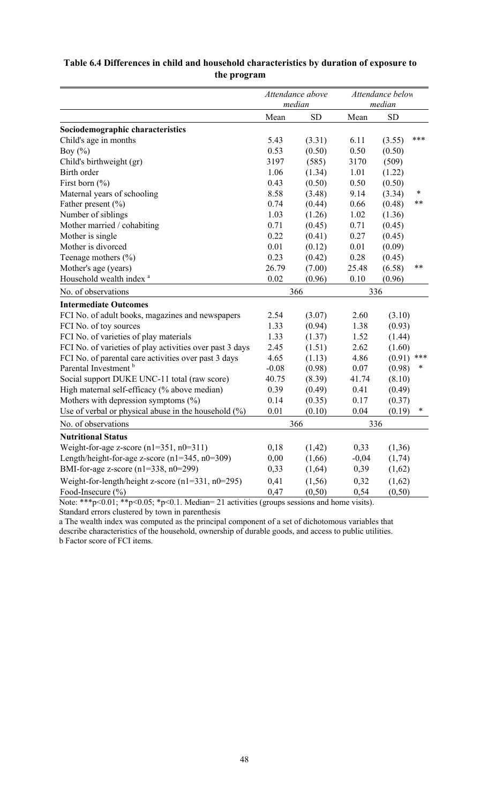# **Table 6.4 Differences in child and household characteristics by duration of exposure to the program**

|                                                          |         | Attendance above<br>median |         | Attendance below<br>median |        |
|----------------------------------------------------------|---------|----------------------------|---------|----------------------------|--------|
|                                                          | Mean    | <b>SD</b>                  | Mean    | <b>SD</b>                  |        |
| Sociodemographic characteristics                         |         |                            |         |                            |        |
| Child's age in months                                    | 5.43    | (3.31)                     | 6.11    | (3.55)                     | ***    |
| Boy $(\%)$                                               | 0.53    | (0.50)                     | 0.50    | (0.50)                     |        |
| Child's birthweight (gr)                                 | 3197    | (585)                      | 3170    | (509)                      |        |
| Birth order                                              | 1.06    | (1.34)                     | 1.01    | (1.22)                     |        |
| First born $(\% )$                                       | 0.43    | (0.50)                     | 0.50    | (0.50)                     |        |
| Maternal years of schooling                              | 8.58    | (3.48)                     | 9.14    | (3.34)                     | *      |
| Father present $(\% )$                                   | 0.74    | (0.44)                     | 0.66    | (0.48)                     | $***$  |
| Number of siblings                                       | 1.03    | (1.26)                     | 1.02    | (1.36)                     |        |
| Mother married / cohabiting                              | 0.71    | (0.45)                     | 0.71    | (0.45)                     |        |
| Mother is single                                         | 0.22    | (0.41)                     | 0.27    | (0.45)                     |        |
| Mother is divorced                                       | 0.01    | (0.12)                     | 0.01    | (0.09)                     |        |
| Teenage mothers (%)                                      | 0.23    | (0.42)                     | 0.28    | (0.45)                     |        |
| Mother's age (years)                                     | 26.79   | (7.00)                     | 25.48   | (6.58)                     | **     |
| Household wealth index <sup>a</sup>                      | 0.02    | (0.96)                     | 0.10    | (0.96)                     |        |
| No. of observations                                      |         | 366                        | 336     |                            |        |
| <b>Intermediate Outcomes</b>                             |         |                            |         |                            |        |
| FCI No. of adult books, magazines and newspapers         | 2.54    | (3.07)                     | 2.60    | (3.10)                     |        |
| FCI No. of toy sources                                   | 1.33    | (0.94)                     | 1.38    | (0.93)                     |        |
| FCI No. of varieties of play materials                   | 1.33    | (1.37)                     | 1.52    | (1.44)                     |        |
| FCI No. of varieties of play activities over past 3 days | 2.45    | (1.51)                     | 2.62    | (1.60)                     |        |
| FCI No. of parental care activities over past 3 days     | 4.65    | (1.13)                     | 4.86    | (0.91)                     | ***    |
| Parental Investment <sup>b</sup>                         | $-0.08$ | (0.98)                     | 0.07    | (0.98)                     | $\ast$ |
| Social support DUKE UNC-11 total (raw score)             | 40.75   | (8.39)                     | 41.74   | (8.10)                     |        |
| High maternal self-efficacy (% above median)             | 0.39    | (0.49)                     | 0.41    | (0.49)                     |        |
| Mothers with depression symptoms $(\%)$                  | 0.14    | (0.35)                     | 0.17    | (0.37)                     |        |
| Use of verbal or physical abuse in the household $(\%)$  | 0.01    | (0.10)                     | 0.04    | (0.19)                     | *      |
| No. of observations                                      |         | 366                        | 336     |                            |        |
| <b>Nutritional Status</b>                                |         |                            |         |                            |        |
| Weight-for-age z-score $(n1=351, n0=311)$                | 0,18    | (1, 42)                    | 0,33    | (1,36)                     |        |
| Length/height-for-age z-score $(n1=345, n0=309)$         | 0,00    | (1,66)                     | $-0,04$ | (1,74)                     |        |
| BMI-for-age z-score (n1=338, n0=299)                     | 0,33    | (1,64)                     | 0,39    | (1,62)                     |        |
| Weight-for-length/height z-score $(n1=331, n0=295)$      | 0,41    | (1,56)                     | 0,32    | (1,62)                     |        |
| Food-Insecure (%)                                        | 0,47    | (0,50)                     | 0,54    | (0,50)                     |        |

Note: \*\*\*p<0.01; \*\*p<0.05; \*p<0.1. Median= 21 activities (groups sessions and home visits). Standard errors clustered by town in parenthesis

a The wealth index was computed as the principal component of a set of dichotomous variables that describe characteristics of the household, ownership of durable goods, and access to public utilities. b Factor score of FCI items.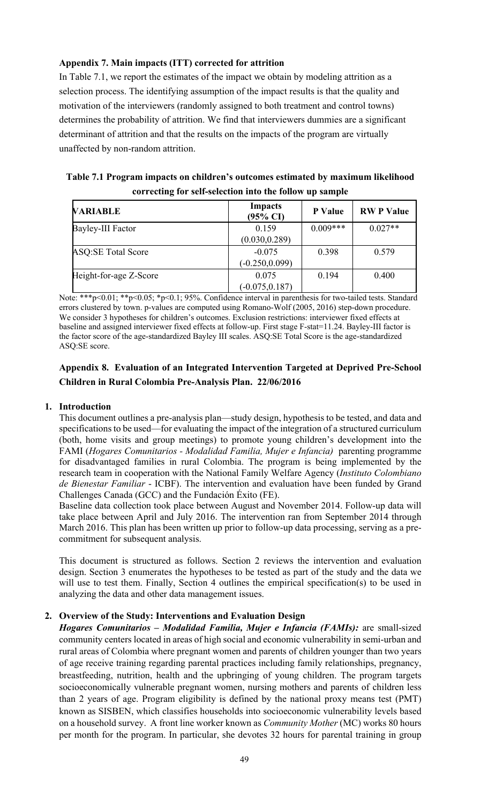# **Appendix 7. Main impacts (ITT) corrected for attrition**

In Table 7.1, we report the estimates of the impact we obtain by modeling attrition as a selection process. The identifying assumption of the impact results is that the quality and motivation of the interviewers (randomly assigned to both treatment and control towns) determines the probability of attrition. We find that interviewers dummies are a significant determinant of attrition and that the results on the impacts of the program are virtually unaffected by non-random attrition.

| Table 7.1 Program impacts on children's outcomes estimated by maximum likelihood |
|----------------------------------------------------------------------------------|
| correcting for self-selection into the follow up sample                          |

| <b>VARIABLE</b>           | <b>Impacts</b><br>$(95\% \text{ CI})$ | P Value    | <b>RWP</b> Value |
|---------------------------|---------------------------------------|------------|------------------|
| <b>Bayley-III Factor</b>  | 0.159<br>(0.030, 0.289)               | $0.009***$ | $0.027**$        |
| <b>ASQ:SE Total Score</b> | $-0.075$<br>$(-0.250, 0.099)$         | 0.398      | 0.579            |
| Height-for-age Z-Score    | 0.075<br>$(-0.075, 0.187)$            | 0.194      | 0.400            |

Note: \*\*\*p<0.01; \*\*p<0.05; \*p<0.1; 95%. Confidence interval in parenthesis for two-tailed tests. Standard errors clustered by town. p-values are computed using Romano-Wolf (2005, 2016) step-down procedure. We consider 3 hypotheses for children's outcomes. Exclusion restrictions: interviewer fixed effects at baseline and assigned interviewer fixed effects at follow-up. First stage F-stat=11.24. Bayley-III factor is the factor score of the age-standardized Bayley III scales. ASQ:SE Total Score is the age-standardized ASQ:SE score.

# **Appendix 8. Evaluation of an Integrated Intervention Targeted at Deprived Pre-School Children in Rural Colombia Pre-Analysis Plan. 22/06/2016**

# **1. Introduction**

This document outlines a pre-analysis plan—study design, hypothesis to be tested, and data and specifications to be used—for evaluating the impact of the integration of a structured curriculum (both, home visits and group meetings) to promote young children's development into the FAMI (*Hogares Comunitarios - Modalidad Familia, Mujer e Infancia)* parenting programme for disadvantaged families in rural Colombia. The program is being implemented by the research team in cooperation with the National Family Welfare Agency (*Instituto Colombiano de Bienestar Familiar* - ICBF). The intervention and evaluation have been funded by Grand Challenges Canada (GCC) and the Fundación Éxito (FE).

Baseline data collection took place between August and November 2014. Follow-up data will take place between April and July 2016. The intervention ran from September 2014 through March 2016. This plan has been written up prior to follow-up data processing, serving as a precommitment for subsequent analysis.

This document is structured as follows. Section 2 reviews the intervention and evaluation design. Section 3 enumerates the hypotheses to be tested as part of the study and the data we will use to test them. Finally, Section 4 outlines the empirical specification(s) to be used in analyzing the data and other data management issues.

# **2. Overview of the Study: Interventions and Evaluation Design**

*Hogares Comunitarios – Modalidad Familia, Mujer e Infancia (FAMIs):* are small-sized community centers located in areas of high social and economic vulnerability in semi-urban and rural areas of Colombia where pregnant women and parents of children younger than two years of age receive training regarding parental practices including family relationships, pregnancy, breastfeeding, nutrition, health and the upbringing of young children. The program targets socioeconomically vulnerable pregnant women, nursing mothers and parents of children less than 2 years of age. Program eligibility is defined by the national proxy means test (PMT) known as SISBEN, which classifies households into socioeconomic vulnerability levels based on a household survey. A front line worker known as *Community Mother* (MC) works 80 hours per month for the program. In particular, she devotes 32 hours for parental training in group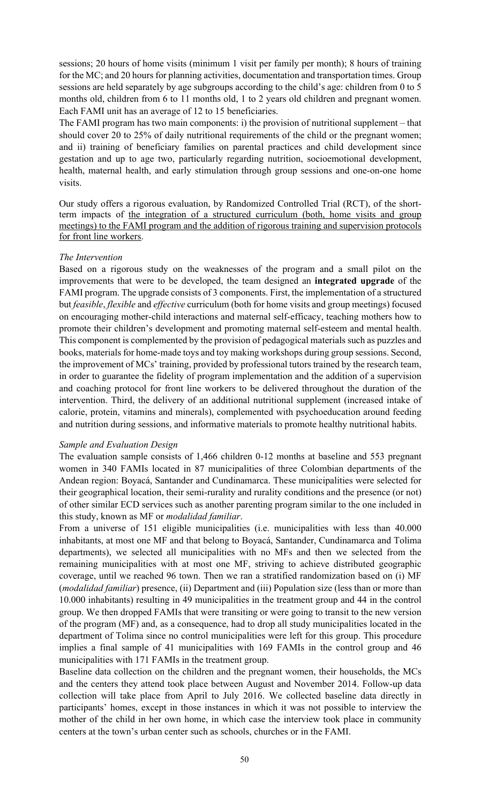sessions; 20 hours of home visits (minimum 1 visit per family per month); 8 hours of training for the MC; and 20 hours for planning activities, documentation and transportation times. Group sessions are held separately by age subgroups according to the child's age: children from 0 to 5 months old, children from 6 to 11 months old, 1 to 2 years old children and pregnant women. Each FAMI unit has an average of 12 to 15 beneficiaries.

The FAMI program has two main components: i) the provision of nutritional supplement – that should cover 20 to 25% of daily nutritional requirements of the child or the pregnant women; and ii) training of beneficiary families on parental practices and child development since gestation and up to age two, particularly regarding nutrition, socioemotional development, health, maternal health, and early stimulation through group sessions and one-on-one home visits.

Our study offers a rigorous evaluation, by Randomized Controlled Trial (RCT), of the shortterm impacts of the integration of a structured curriculum (both, home visits and group meetings) to the FAMI program and the addition of rigorous training and supervision protocols for front line workers.

### *The Intervention*

Based on a rigorous study on the weaknesses of the program and a small pilot on the improvements that were to be developed, the team designed an **integrated upgrade** of the FAMI program. The upgrade consists of 3 components. First, the implementation of a structured but *feasible*, *flexible* and *effective* curriculum (both for home visits and group meetings) focused on encouraging mother‐child interactions and maternal self‐efficacy, teaching mothers how to promote their children's development and promoting maternal self‐esteem and mental health. This component is complemented by the provision of pedagogical materials such as puzzles and books, materials for home‐made toys and toy making workshops during group sessions. Second, the improvement of MCs' training, provided by professional tutors trained by the research team, in order to guarantee the fidelity of program implementation and the addition of a supervision and coaching protocol for front line workers to be delivered throughout the duration of the intervention. Third, the delivery of an additional nutritional supplement (increased intake of calorie, protein, vitamins and minerals), complemented with psychoeducation around feeding and nutrition during sessions, and informative materials to promote healthy nutritional habits.

### *Sample and Evaluation Design*

The evaluation sample consists of 1,466 children 0-12 months at baseline and 553 pregnant women in 340 FAMIs located in 87 municipalities of three Colombian departments of the Andean region: Boyacá, Santander and Cundinamarca. These municipalities were selected for their geographical location, their semi-rurality and rurality conditions and the presence (or not) of other similar ECD services such as another parenting program similar to the one included in this study, known as MF or *modalidad familiar*.

From a universe of 151 eligible municipalities (i.e. municipalities with less than 40.000 inhabitants, at most one MF and that belong to Boyacá, Santander, Cundinamarca and Tolima departments), we selected all municipalities with no MFs and then we selected from the remaining municipalities with at most one MF, striving to achieve distributed geographic coverage, until we reached 96 town. Then we ran a stratified randomization based on (i) MF (*modalidad familiar*) presence, (ii) Department and (iii) Population size (less than or more than 10.000 inhabitants) resulting in 49 municipalities in the treatment group and 44 in the control group. We then dropped FAMIs that were transiting or were going to transit to the new version of the program (MF) and, as a consequence, had to drop all study municipalities located in the department of Tolima since no control municipalities were left for this group. This procedure implies a final sample of 41 municipalities with 169 FAMIs in the control group and 46 municipalities with 171 FAMIs in the treatment group.

Baseline data collection on the children and the pregnant women, their households, the MCs and the centers they attend took place between August and November 2014. Follow-up data collection will take place from April to July 2016. We collected baseline data directly in participants' homes, except in those instances in which it was not possible to interview the mother of the child in her own home, in which case the interview took place in community centers at the town's urban center such as schools, churches or in the FAMI.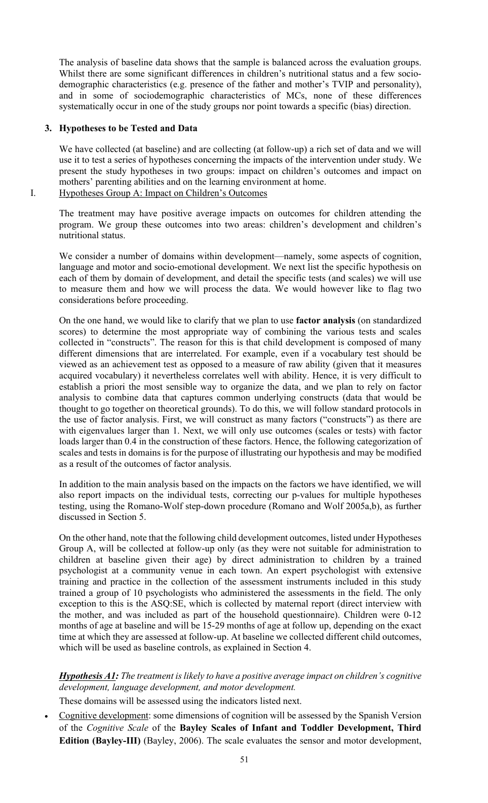The analysis of baseline data shows that the sample is balanced across the evaluation groups. Whilst there are some significant differences in children's nutritional status and a few sociodemographic characteristics (e.g. presence of the father and mother's TVIP and personality), and in some of sociodemographic characteristics of MCs, none of these differences systematically occur in one of the study groups nor point towards a specific (bias) direction.

### **3. Hypotheses to be Tested and Data**

We have collected (at baseline) and are collecting (at follow-up) a rich set of data and we will use it to test a series of hypotheses concerning the impacts of the intervention under study. We present the study hypotheses in two groups: impact on children's outcomes and impact on mothers' parenting abilities and on the learning environment at home.

I. Hypotheses Group A: Impact on Children's Outcomes

The treatment may have positive average impacts on outcomes for children attending the program. We group these outcomes into two areas: children's development and children's nutritional status.

We consider a number of domains within development—namely, some aspects of cognition, language and motor and socio-emotional development. We next list the specific hypothesis on each of them by domain of development, and detail the specific tests (and scales) we will use to measure them and how we will process the data. We would however like to flag two considerations before proceeding.

On the one hand, we would like to clarify that we plan to use **factor analysis** (on standardized scores) to determine the most appropriate way of combining the various tests and scales collected in "constructs". The reason for this is that child development is composed of many different dimensions that are interrelated. For example, even if a vocabulary test should be viewed as an achievement test as opposed to a measure of raw ability (given that it measures acquired vocabulary) it nevertheless correlates well with ability. Hence, it is very difficult to establish a priori the most sensible way to organize the data, and we plan to rely on factor analysis to combine data that captures common underlying constructs (data that would be thought to go together on theoretical grounds). To do this, we will follow standard protocols in the use of factor analysis. First, we will construct as many factors ("constructs") as there are with eigenvalues larger than 1. Next, we will only use outcomes (scales or tests) with factor loads larger than 0.4 in the construction of these factors. Hence, the following categorization of scales and tests in domains is for the purpose of illustrating our hypothesis and may be modified as a result of the outcomes of factor analysis.

In addition to the main analysis based on the impacts on the factors we have identified, we will also report impacts on the individual tests, correcting our p-values for multiple hypotheses testing, using the Romano-Wolf step-down procedure (Romano and Wolf 2005a,b), as further discussed in Section 5.

On the other hand, note that the following child development outcomes, listed under Hypotheses Group A, will be collected at follow-up only (as they were not suitable for administration to children at baseline given their age) by direct administration to children by a trained psychologist at a community venue in each town. An expert psychologist with extensive training and practice in the collection of the assessment instruments included in this study trained a group of 10 psychologists who administered the assessments in the field. The only exception to this is the ASQ:SE, which is collected by maternal report (direct interview with the mother, and was included as part of the household questionnaire). Children were 0-12 months of age at baseline and will be 15-29 months of age at follow up, depending on the exact time at which they are assessed at follow-up. At baseline we collected different child outcomes, which will be used as baseline controls, as explained in Section 4.

# *Hypothesis A1: The treatment is likely to have a positive average impact on children's cognitive development, language development, and motor development.*

These domains will be assessed using the indicators listed next.

• Cognitive development: some dimensions of cognition will be assessed by the Spanish Version of the *Cognitive Scale* of the **Bayley Scales of Infant and Toddler Development, Third Edition (Bayley-III)** (Bayley, 2006). The scale evaluates the sensor and motor development,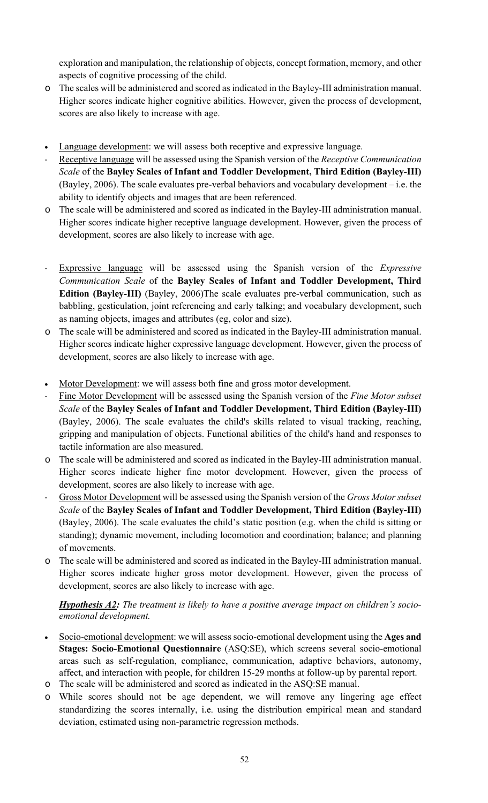exploration and manipulation, the relationship of objects, concept formation, memory, and other aspects of cognitive processing of the child.

- o The scales will be administered and scored as indicated in the Bayley-III administration manual. Higher scores indicate higher cognitive abilities. However, given the process of development, scores are also likely to increase with age.
- Language development: we will assess both receptive and expressive language.
- Receptive language will be assessed using the Spanish version of the *Receptive Communication Scale* of the **Bayley Scales of Infant and Toddler Development, Third Edition (Bayley-III)** (Bayley, 2006). The scale evaluates pre-verbal behaviors and vocabulary development – i.e. the ability to identify objects and images that are been referenced.
- o The scale will be administered and scored as indicated in the Bayley-III administration manual. Higher scores indicate higher receptive language development. However, given the process of development, scores are also likely to increase with age.
- Expressive language will be assessed using the Spanish version of the *Expressive Communication Scale* of the **Bayley Scales of Infant and Toddler Development, Third Edition (Bayley-III)** (Bayley, 2006)The scale evaluates pre-verbal communication, such as babbling, gesticulation, joint referencing and early talking; and vocabulary development, such as naming objects, images and attributes (eg, color and size).
- o The scale will be administered and scored as indicated in the Bayley-III administration manual. Higher scores indicate higher expressive language development. However, given the process of development, scores are also likely to increase with age.
- Motor Development: we will assess both fine and gross motor development.
- Fine Motor Development will be assessed using the Spanish version of the *Fine Motor subset Scale* of the **Bayley Scales of Infant and Toddler Development, Third Edition (Bayley-III)** (Bayley, 2006). The scale evaluates the child's skills related to visual tracking, reaching, gripping and manipulation of objects. Functional abilities of the child's hand and responses to tactile information are also measured.
- o The scale will be administered and scored as indicated in the Bayley-III administration manual. Higher scores indicate higher fine motor development. However, given the process of development, scores are also likely to increase with age.
- Gross Motor Development will be assessed using the Spanish version of the *Gross Motor subset Scale* of the **Bayley Scales of Infant and Toddler Development, Third Edition (Bayley-III)** (Bayley, 2006). The scale evaluates the child's static position (e.g. when the child is sitting or standing); dynamic movement, including locomotion and coordination; balance; and planning of movements.
- o The scale will be administered and scored as indicated in the Bayley-III administration manual. Higher scores indicate higher gross motor development. However, given the process of development, scores are also likely to increase with age.

# *Hypothesis A2: The treatment is likely to have a positive average impact on children's socioemotional development.*

- Socio-emotional development: we will assess socio-emotional development using the **Ages and Stages: Socio-Emotional Questionnaire** (ASQ:SE), which screens several socio-emotional areas such as self-regulation, compliance, communication, adaptive behaviors, autonomy, affect, and interaction with people, for children 15-29 months at follow-up by parental report.
- o The scale will be administered and scored as indicated in the ASQ:SE manual.
- o While scores should not be age dependent, we will remove any lingering age effect standardizing the scores internally, i.e. using the distribution empirical mean and standard deviation, estimated using non-parametric regression methods.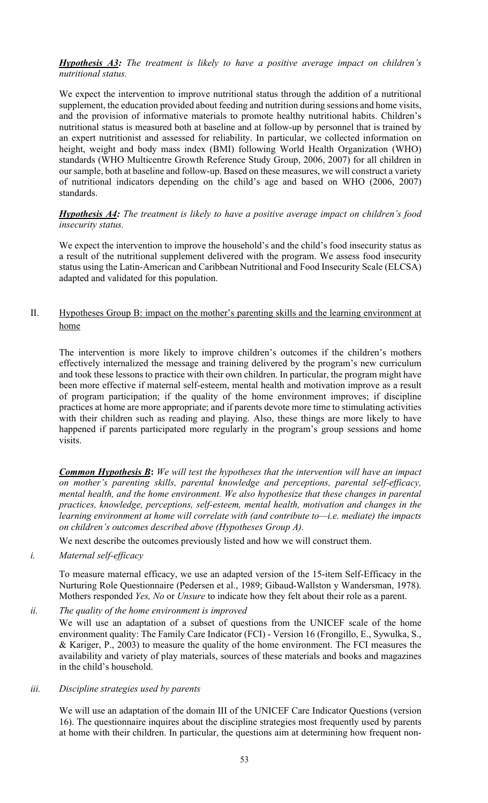*Hypothesis A3: The treatment is likely to have a positive average impact on children's nutritional status.* 

We expect the intervention to improve nutritional status through the addition of a nutritional supplement, the education provided about feeding and nutrition during sessions and home visits, and the provision of informative materials to promote healthy nutritional habits. Children's nutritional status is measured both at baseline and at follow-up by personnel that is trained by an expert nutritionist and assessed for reliability. In particular, we collected information on height, weight and body mass index (BMI) following World Health Organization (WHO) standards (WHO Multicentre Growth Reference Study Group, 2006, 2007) for all children in our sample, both at baseline and follow-up. Based on these measures, we will construct a variety of nutritional indicators depending on the child's age and based on WHO (2006, 2007) standards.

*Hypothesis A4: The treatment is likely to have a positive average impact on children's food insecurity status.*

We expect the intervention to improve the household's and the child's food insecurity status as a result of the nutritional supplement delivered with the program. We assess food insecurity status using the Latin-American and Caribbean Nutritional and Food Insecurity Scale (ELCSA) adapted and validated for this population.

# II. Hypotheses Group B: impact on the mother's parenting skills and the learning environment at home

The intervention is more likely to improve children's outcomes if the children's mothers effectively internalized the message and training delivered by the program's new curriculum and took these lessons to practice with their own children. In particular, the program might have been more effective if maternal self-esteem, mental health and motivation improve as a result of program participation; if the quality of the home environment improves; if discipline practices at home are more appropriate; and if parents devote more time to stimulating activities with their children such as reading and playing. Also, these things are more likely to have happened if parents participated more regularly in the program's group sessions and home visits.

*Common Hypothesis B***:** *We will test the hypotheses that the intervention will have an impact on mother's parenting skills, parental knowledge and perceptions, parental self-efficacy, mental health, and the home environment. We also hypothesize that these changes in parental practices, knowledge, perceptions, self-esteem, mental health, motivation and changes in the learning environment at home will correlate with (and contribute to—i.e. mediate) the impacts on children's outcomes described above (Hypotheses Group A).*

We next describe the outcomes previously listed and how we will construct them.

*i. Maternal self-efficacy*

To measure maternal efficacy, we use an adapted version of the 15-item Self-Efficacy in the Nurturing Role Questionnaire (Pedersen et al., 1989; Gibaud-Wallston y Wandersman, 1978). Mothers responded *Yes, No* or *Unsure* to indicate how they felt about their role as a parent.

### *ii. The quality of the home environment is improved*

We will use an adaptation of a subset of questions from the UNICEF scale of the home environment quality: The Family Care Indicator (FCI) - Version 16 (Frongillo, E., Sywulka, S., & Kariger, P., 2003) to measure the quality of the home environment. The FCI measures the availability and variety of play materials, sources of these materials and books and magazines in the child's household.

### *iii. Discipline strategies used by parents*

We will use an adaptation of the domain III of the UNICEF Care Indicator Questions (version 16). The questionnaire inquires about the discipline strategies most frequently used by parents at home with their children. In particular, the questions aim at determining how frequent non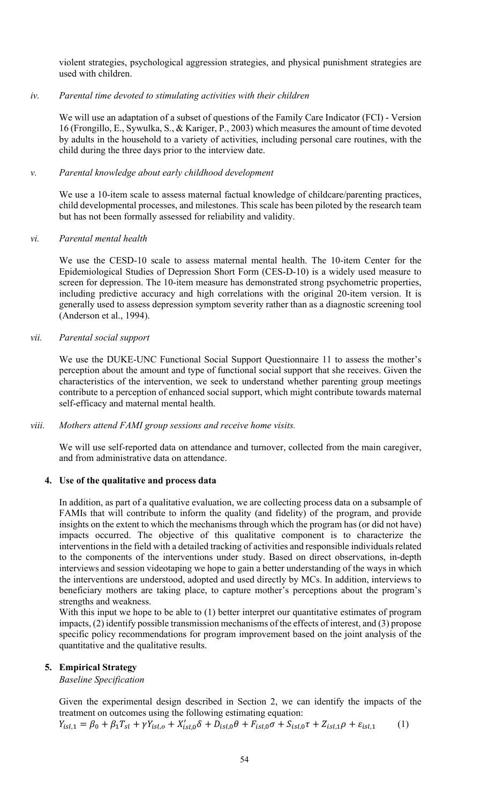violent strategies, psychological aggression strategies, and physical punishment strategies are used with children.

### *iv. Parental time devoted to stimulating activities with their children*

We will use an adaptation of a subset of questions of the Family Care Indicator (FCI) - Version 16 (Frongillo, E., Sywulka, S., & Kariger, P., 2003) which measures the amount of time devoted by adults in the household to a variety of activities, including personal care routines, with the child during the three days prior to the interview date.

### *v. Parental knowledge about early childhood development*

We use a 10-item scale to assess maternal factual knowledge of childcare/parenting practices, child developmental processes, and milestones. This scale has been piloted by the research team but has not been formally assessed for reliability and validity.

### *vi. Parental mental health*

We use the CESD-10 scale to assess maternal mental health. The 10-item Center for the Epidemiological Studies of Depression Short Form (CES-D-10) is a widely used measure to screen for depression. The 10-item measure has demonstrated strong psychometric properties, including predictive accuracy and high correlations with the original 20-item version. It is generally used to assess depression symptom severity rather than as a diagnostic screening tool (Anderson et al., 1994).

### *vii. Parental social support*

We use the DUKE-UNC Functional Social Support Questionnaire 11 to assess the mother's perception about the amount and type of functional social support that she receives. Given the characteristics of the intervention, we seek to understand whether parenting group meetings contribute to a perception of enhanced social support, which might contribute towards maternal self-efficacy and maternal mental health.

### *viii. Mothers attend FAMI group sessions and receive home visits.*

We will use self-reported data on attendance and turnover, collected from the main caregiver, and from administrative data on attendance.

### **4. Use of the qualitative and process data**

In addition, as part of a qualitative evaluation, we are collecting process data on a subsample of FAMIs that will contribute to inform the quality (and fidelity) of the program, and provide insights on the extent to which the mechanisms through which the program has (or did not have) impacts occurred. The objective of this qualitative component is to characterize the interventions in the field with a detailed tracking of activities and responsible individuals related to the components of the interventions under study. Based on direct observations, in-depth interviews and session videotaping we hope to gain a better understanding of the ways in which the interventions are understood, adopted and used directly by MCs. In addition, interviews to beneficiary mothers are taking place, to capture mother's perceptions about the program's strengths and weakness.

With this input we hope to be able to (1) better interpret our quantitative estimates of program impacts, (2) identify possible transmission mechanisms of the effects of interest, and (3) propose specific policy recommendations for program improvement based on the joint analysis of the quantitative and the qualitative results.

### **5. Empirical Strategy**

*Baseline Specification*

Given the experimental design described in Section 2, we can identify the impacts of the treatment on outcomes using the following estimating equation:

$$
Y_{isl,1} = \beta_0 + \beta_1 T_{sl} + \gamma Y_{isl,0} + X'_{isl,0} \delta + D_{isl,0} \theta + F_{isl,0} \sigma + S_{isl,0} \tau + Z_{isl,1} \rho + \varepsilon_{isl,1} \tag{1}
$$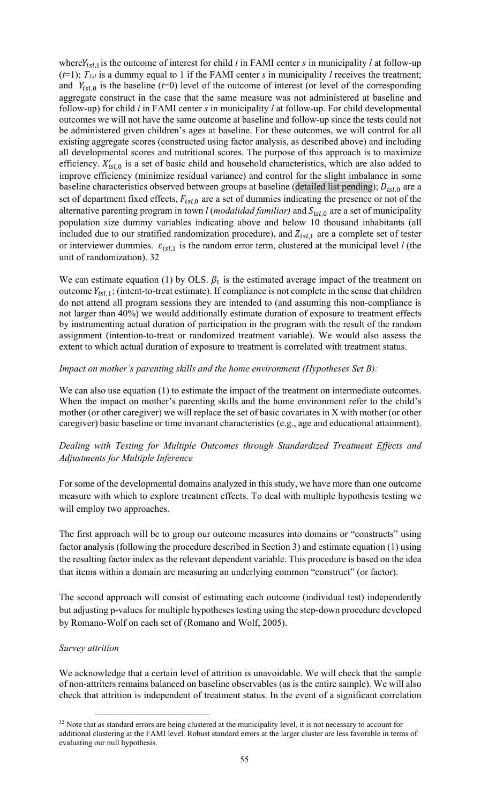where  $Y_{i s l, 1}$  is the outcome of interest for child *i* in FAMI center *s* in municipality *l* at follow-up  $(t=1)$ ;  $T_{1s}$  is a dummy equal to 1 if the FAMI center *s* in municipality *l* receives the treatment; and  $Y_{isl,0}$  is the baseline ( $t=0$ ) level of the outcome of interest (or level of the corresponding aggregate construct in the case that the same measure was not administered at baseline and follow-up) for child *i* in FAMI center *s* in municipality *l* at follow-up. For child developmental outcomes we will not have the same outcome at baseline and follow-up since the tests could not be administered given children's ages at baseline. For these outcomes, we will control for all existing aggregate scores (constructed using factor analysis, as described above) and including all developmental scores and nutritional scores. The purpose of this approach is to maximize efficiency.  $X'_{1s,l,0}$  is a set of basic child and household characteristics, which are also added to improve efficiency (minimize residual variance) and control for the slight imbalance in some baseline characteristics observed between groups at baseline (detailed list pending);  $D_{isl,0}$  are a set of department fixed effects,  $F_{isi,0}$  are a set of dummies indicating the presence or not of the alternative parenting program in town *l* (*modalidad familiar*) and  $S_{isl,0}$  are a set of municipality population size dummy variables indicating above and below 10 thousand inhabitants (all included due to our stratified randomization procedure), and  $Z_{isl,1}$  are a complete set of tester or interviewer dummies.  $\varepsilon_{i s l, 1}$  is the random error term, clustered at the municipal level *l* (the unit of randomization). 32

We can estimate equation (1) by OLS.  $\beta_1$  is the estimated average impact of the treatment on outcome  $Y_{i, s,l, 1}$ ; (intent-to-treat estimate). If compliance is not complete in the sense that children do not attend all program sessions they are intended to (and assuming this non-compliance is not larger than 40%) we would additionally estimate duration of exposure to treatment effects by instrumenting actual duration of participation in the program with the result of the random assignment (intention-to-treat or randomized treatment variable). We would also assess the extent to which actual duration of exposure to treatment is correlated with treatment status.

### *Impact on mother's parenting skills and the home environment (Hypotheses Set B):*

We can also use equation (1) to estimate the impact of the treatment on intermediate outcomes. When the impact on mother's parenting skills and the home environment refer to the child's mother (or other caregiver) we will replace the set of basic covariates in X with mother (or other caregiver) basic baseline or time invariant characteristics (e.g., age and educational attainment).

# *Dealing with Testing for Multiple Outcomes through Standardized Treatment Effects and Adjustments for Multiple Inference*

For some of the developmental domains analyzed in this study, we have more than one outcome measure with which to explore treatment effects. To deal with multiple hypothesis testing we will employ two approaches.

The first approach will be to group our outcome measures into domains or "constructs" using factor analysis (following the procedure described in Section 3) and estimate equation (1) using the resulting factor index as the relevant dependent variable. This procedure is based on the idea that items within a domain are measuring an underlying common "construct" (or factor).

The second approach will consist of estimating each outcome (individual test) independently but adjusting p-values for multiple hypotheses testing using the step-down procedure developed by Romano-Wolf on each set of (Romano and Wolf, 2005).

### *Survey attrition*

We acknowledge that a certain level of attrition is unavoidable. We will check that the sample of non-attriters remains balanced on baseline observables (as is the entire sample). We will also check that attrition is independent of treatment status. In the event of a significant correlation

<sup>&</sup>lt;sup>32</sup> Note that as standard errors are being clustered at the municipality level, it is not necessary to account for additional clustering at the FAMI level. Robust standard errors at the larger cluster are less favorable in terms of evaluating our null hypothesis.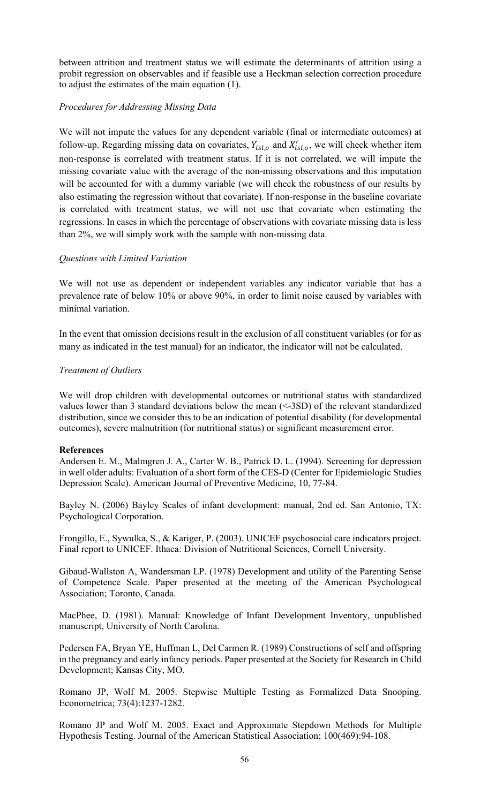between attrition and treatment status we will estimate the determinants of attrition using a probit regression on observables and if feasible use a Heckman selection correction procedure to adjust the estimates of the main equation (1).

### *Procedures for Addressing Missing Data*

We will not impute the values for any dependent variable (final or intermediate outcomes) at follow-up. Regarding missing data on covariates,  $Y_{i s l, o}$  and  $X'_{i s l, o}$ , we will check whether item non-response is correlated with treatment status. If it is not correlated, we will impute the missing covariate value with the average of the non-missing observations and this imputation will be accounted for with a dummy variable (we will check the robustness of our results by also estimating the regression without that covariate). If non-response in the baseline covariate is correlated with treatment status, we will not use that covariate when estimating the regressions. In cases in which the percentage of observations with covariate missing data is less than 2%, we will simply work with the sample with non-missing data.

### *Questions with Limited Variation*

We will not use as dependent or independent variables any indicator variable that has a prevalence rate of below 10% or above 90%, in order to limit noise caused by variables with minimal variation.

In the event that omission decisions result in the exclusion of all constituent variables (or for as many as indicated in the test manual) for an indicator, the indicator will not be calculated.

### *Treatment of Outliers*

We will drop children with developmental outcomes or nutritional status with standardized values lower than 3 standard deviations below the mean (<-3SD) of the relevant standardized distribution, since we consider this to be an indication of potential disability (for developmental outcomes), severe malnutrition (for nutritional status) or significant measurement error.

### **References**

Andersen E. M., Malmgren J. A., Carter W. B., Patrick D. L. (1994). Screening for depression in well older adults: Evaluation of a short form of the CES-D (Center for Epidemiologic Studies Depression Scale). American Journal of Preventive Medicine, 10, 77-84.

Bayley N. (2006) Bayley Scales of infant development: manual, 2nd ed. San Antonio, TX: Psychological Corporation.

Frongillo, E., Sywulka, S., & Kariger, P. (2003). UNICEF psychosocial care indicators project. Final report to UNICEF. Ithaca: Division of Nutritional Sciences, Cornell University.

Gibaud-Wallston A, Wandersman LP. (1978) Development and utility of the Parenting Sense of Competence Scale. Paper presented at the meeting of the American Psychological Association; Toronto, Canada.

MacPhee, D. (1981). Manual: Knowledge of Infant Development Inventory, unpublished manuscript, University of North Carolina.

Pedersen FA, Bryan YE, Huffman L, Del Carmen R. (1989) Constructions of self and offspring in the pregnancy and early infancy periods. Paper presented at the Society for Research in Child Development; Kansas City, MO.

Romano JP, Wolf M. 2005. Stepwise Multiple Testing as Formalized Data Snooping. Econometrica; 73(4):1237-1282.

Romano JP and Wolf M. 2005. Exact and Approximate Stepdown Methods for Multiple Hypothesis Testing. Journal of the American Statistical Association; 100(469):94-108.